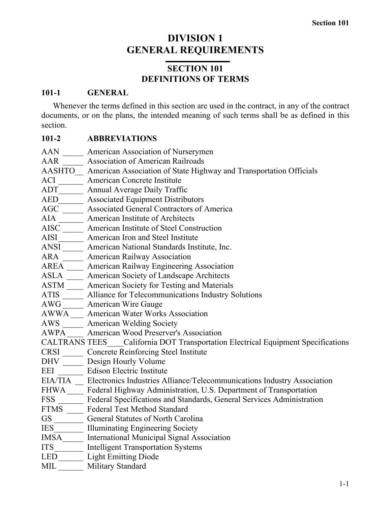# **DIVISION 1 GENERAL REQUIREMENTS**

## **SECTION 101 DEFINITIONS OF TERMS**

### **101-1 GENERAL**

Whenever the terms defined in this section are used in the contract, in any of the contract documents, or on the plans, the intended meaning of such terms shall be as defined in this section.

## **101-2 ABBREVIATIONS**

| <b>AAN</b>           | American Association of Nurserymen                                      |
|----------------------|-------------------------------------------------------------------------|
| AAR                  | <b>Association of American Railroads</b>                                |
| <b>AASHTO</b>        | American Association of State Highway and Transportation Officials      |
| ACI                  | American Concrete Institute                                             |
| <b>ADT</b>           | Annual Average Daily Traffic                                            |
| <b>AED</b>           | <b>Associated Equipment Distributors</b>                                |
| AGC                  | <b>Associated General Contractors of America</b>                        |
| <b>AIA</b>           | American Institute of Architects                                        |
| <b>AISC</b>          | American Institute of Steel Construction                                |
| <b>AISI</b>          | American Iron and Steel Institute                                       |
| <b>ANSI</b>          | American National Standards Institute, Inc.                             |
| <b>ARA</b>           | <b>American Railway Association</b>                                     |
| <b>AREA</b>          | American Railway Engineering Association                                |
| <b>ASLA</b>          | American Society of Landscape Architects                                |
| <b>ASTM</b>          | American Society for Testing and Materials                              |
| <b>ATIS</b>          | Alliance for Telecommunications Industry Solutions                      |
| <b>AWG</b>           | <b>American Wire Gauge</b>                                              |
| <b>AWWA</b>          | <b>American Water Works Association</b>                                 |
| AWS                  | <b>American Welding Society</b>                                         |
| <b>AWPA</b>          | American Wood Preserver's Association                                   |
| <b>CALTRANS TEES</b> | California DOT Transportation Electrical Equipment Specifications       |
| <b>CRSI</b>          | <b>Concrete Reinforcing Steel Institute</b>                             |
| <b>DHV</b>           | Design Hourly Volume                                                    |
| EEI                  | <b>Edison Electric Institute</b>                                        |
| EIA/TIA              | Electronics Industries Alliance/Telecommunications Industry Association |
| <b>FHWA</b>          | Federal Highway Administration, U.S. Department of Transportation       |
| <b>FSS</b>           | Federal Specifications and Standards, General Services Administration   |
| <b>FTMS</b>          | <b>Federal Test Method Standard</b>                                     |
| <b>GS</b>            | General Statutes of North Carolina                                      |
| <b>IES</b>           | Illuminating Engineering Society                                        |
| IMSA                 | International Municipal Signal Association                              |
| <b>ITS</b>           | <b>Intelligent Transportation Systems</b>                               |
| LED                  | <b>Light Emitting Diode</b>                                             |
| MIL                  | Military Standard                                                       |
|                      |                                                                         |
|                      | $1 - 1$                                                                 |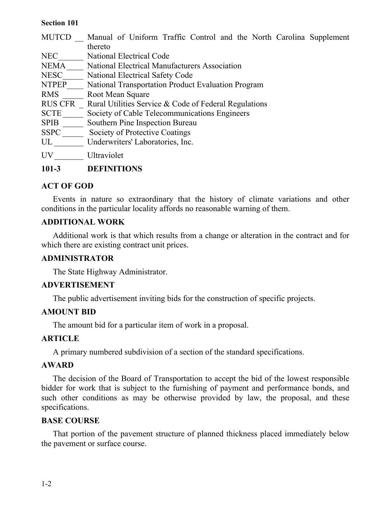| <b>MUTCD</b>   | Manual of Uniform Traffic Control and the North Carolina Supplement |
|----------------|---------------------------------------------------------------------|
|                | thereto                                                             |
| <b>NEC</b>     | <b>National Electrical Code</b>                                     |
| NEMA           | National Electrical Manufacturers Association                       |
| <b>NESC</b>    | National Electrical Safety Code                                     |
| <b>NTPEP</b>   | National Transportation Product Evaluation Program                  |
| <b>RMS</b>     | Root Mean Square                                                    |
| <b>RUS CFR</b> | Rural Utilities Service & Code of Federal Regulations               |
| <b>SCTE</b>    | Society of Cable Telecommunications Engineers                       |
| <b>SPIB</b>    | Southern Pine Inspection Bureau                                     |
| <b>SSPC</b>    | Society of Protective Coatings                                      |
| UL             | Underwriters' Laboratories, Inc.                                    |
| UV             | Ultraviolet                                                         |
| $101 - 3$      | DEFINITIONS                                                         |

### **ACT OF GOD**

Events in nature so extraordinary that the history of climate variations and other conditions in the particular locality affords no reasonable warning of them.

### **ADDITIONAL WORK**

Additional work is that which results from a change or alteration in the contract and for which there are existing contract unit prices.

### **ADMINISTRATOR**

The State Highway Administrator.

### **ADVERTISEMENT**

The public advertisement inviting bids for the construction of specific projects.

### **AMOUNT BID**

The amount bid for a particular item of work in a proposal.

### **ARTICLE**

A primary numbered subdivision of a section of the standard specifications.

### **AWARD**

The decision of the Board of Transportation to accept the bid of the lowest responsible bidder for work that is subject to the furnishing of payment and performance bonds, and such other conditions as may be otherwise provided by law, the proposal, and these specifications.

### **BASE COURSE**

That portion of the pavement structure of planned thickness placed immediately below the pavement or surface course.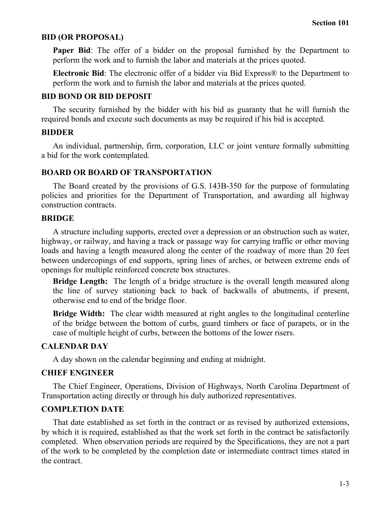#### **BID (OR PROPOSAL)**

**Paper Bid**: The offer of a bidder on the proposal furnished by the Department to perform the work and to furnish the labor and materials at the prices quoted.

**Electronic Bid**: The electronic offer of a bidder via Bid Express® to the Department to perform the work and to furnish the labor and materials at the prices quoted.

#### **BID BOND OR BID DEPOSIT**

The security furnished by the bidder with his bid as guaranty that he will furnish the required bonds and execute such documents as may be required if his bid is accepted.

#### **BIDDER**

An individual, partnership, firm, corporation, LLC or joint venture formally submitting a bid for the work contemplated.

#### **BOARD OR BOARD OF TRANSPORTATION**

The Board created by the provisions of G.S. 143B-350 for the purpose of formulating policies and priorities for the Department of Transportation, and awarding all highway construction contracts.

#### **BRIDGE**

A structure including supports, erected over a depression or an obstruction such as water, highway, or railway, and having a track or passage way for carrying traffic or other moving loads and having a length measured along the center of the roadway of more than 20 feet between undercopings of end supports, spring lines of arches, or between extreme ends of openings for multiple reinforced concrete box structures.

**Bridge Length:** The length of a bridge structure is the overall length measured along the line of survey stationing back to back of backwalls of abutments, if present, otherwise end to end of the bridge floor.

**Bridge Width:** The clear width measured at right angles to the longitudinal centerline of the bridge between the bottom of curbs, guard timbers or face of parapets, or in the case of multiple height of curbs, between the bottoms of the lower risers.

### **CALENDAR DAY**

A day shown on the calendar beginning and ending at midnight.

#### **CHIEF ENGINEER**

The Chief Engineer, Operations, Division of Highways, North Carolina Department of Transportation acting directly or through his duly authorized representatives.

#### **COMPLETION DATE**

That date established as set forth in the contract or as revised by authorized extensions, by which it is required, established as that the work set forth in the contract be satisfactorily completed. When observation periods are required by the Specifications, they are not a part of the work to be completed by the completion date or intermediate contract times stated in the contract.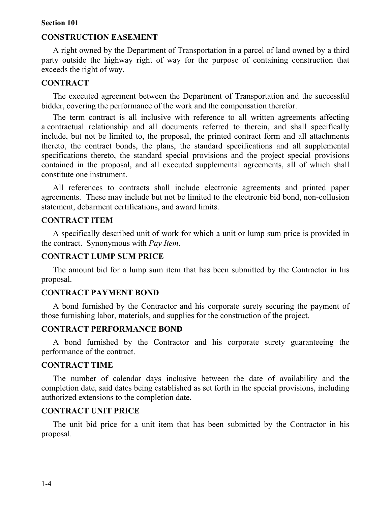### **CONSTRUCTION EASEMENT**

A right owned by the Department of Transportation in a parcel of land owned by a third party outside the highway right of way for the purpose of containing construction that exceeds the right of way.

#### **CONTRACT**

The executed agreement between the Department of Transportation and the successful bidder, covering the performance of the work and the compensation therefor.

The term contract is all inclusive with reference to all written agreements affecting a contractual relationship and all documents referred to therein, and shall specifically include, but not be limited to, the proposal, the printed contract form and all attachments thereto, the contract bonds, the plans, the standard specifications and all supplemental specifications thereto, the standard special provisions and the project special provisions contained in the proposal, and all executed supplemental agreements, all of which shall constitute one instrument.

All references to contracts shall include electronic agreements and printed paper agreements. These may include but not be limited to the electronic bid bond, non-collusion statement, debarment certifications, and award limits.

#### **CONTRACT ITEM**

A specifically described unit of work for which a unit or lump sum price is provided in the contract. Synonymous with *Pay Item*.

#### **CONTRACT LUMP SUM PRICE**

The amount bid for a lump sum item that has been submitted by the Contractor in his proposal.

#### **CONTRACT PAYMENT BOND**

A bond furnished by the Contractor and his corporate surety securing the payment of those furnishing labor, materials, and supplies for the construction of the project.

#### **CONTRACT PERFORMANCE BOND**

A bond furnished by the Contractor and his corporate surety guaranteeing the performance of the contract.

#### **CONTRACT TIME**

The number of calendar days inclusive between the date of availability and the completion date, said dates being established as set forth in the special provisions, including authorized extensions to the completion date.

### **CONTRACT UNIT PRICE**

The unit bid price for a unit item that has been submitted by the Contractor in his proposal.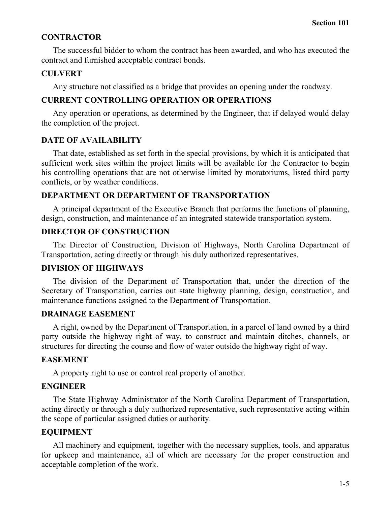### **CONTRACTOR**

The successful bidder to whom the contract has been awarded, and who has executed the contract and furnished acceptable contract bonds.

### **CULVERT**

Any structure not classified as a bridge that provides an opening under the roadway.

## **CURRENT CONTROLLING OPERATION OR OPERATIONS**

Any operation or operations, as determined by the Engineer, that if delayed would delay the completion of the project.

## **DATE OF AVAILABILITY**

That date, established as set forth in the special provisions, by which it is anticipated that sufficient work sites within the project limits will be available for the Contractor to begin his controlling operations that are not otherwise limited by moratoriums, listed third party conflicts, or by weather conditions.

## **DEPARTMENT OR DEPARTMENT OF TRANSPORTATION**

A principal department of the Executive Branch that performs the functions of planning, design, construction, and maintenance of an integrated statewide transportation system.

## **DIRECTOR OF CONSTRUCTION**

The Director of Construction, Division of Highways, North Carolina Department of Transportation, acting directly or through his duly authorized representatives.

## **DIVISION OF HIGHWAYS**

The division of the Department of Transportation that, under the direction of the Secretary of Transportation, carries out state highway planning, design, construction, and maintenance functions assigned to the Department of Transportation.

### **DRAINAGE EASEMENT**

A right, owned by the Department of Transportation, in a parcel of land owned by a third party outside the highway right of way, to construct and maintain ditches, channels, or structures for directing the course and flow of water outside the highway right of way.

### **EASEMENT**

A property right to use or control real property of another.

## **ENGINEER**

The State Highway Administrator of the North Carolina Department of Transportation, acting directly or through a duly authorized representative, such representative acting within the scope of particular assigned duties or authority.

## **EQUIPMENT**

All machinery and equipment, together with the necessary supplies, tools, and apparatus for upkeep and maintenance, all of which are necessary for the proper construction and acceptable completion of the work.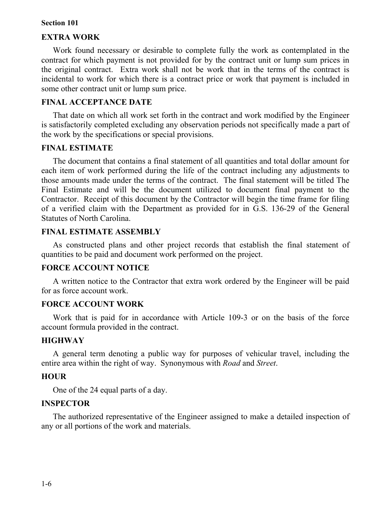### **EXTRA WORK**

Work found necessary or desirable to complete fully the work as contemplated in the contract for which payment is not provided for by the contract unit or lump sum prices in the original contract. Extra work shall not be work that in the terms of the contract is incidental to work for which there is a contract price or work that payment is included in some other contract unit or lump sum price.

### **FINAL ACCEPTANCE DATE**

That date on which all work set forth in the contract and work modified by the Engineer is satisfactorily completed excluding any observation periods not specifically made a part of the work by the specifications or special provisions.

### **FINAL ESTIMATE**

The document that contains a final statement of all quantities and total dollar amount for each item of work performed during the life of the contract including any adjustments to those amounts made under the terms of the contract. The final statement will be titled The Final Estimate and will be the document utilized to document final payment to the Contractor. Receipt of this document by the Contractor will begin the time frame for filing of a verified claim with the Department as provided for in G.S. 136-29 of the General Statutes of North Carolina.

### **FINAL ESTIMATE ASSEMBLY**

As constructed plans and other project records that establish the final statement of quantities to be paid and document work performed on the project.

### **FORCE ACCOUNT NOTICE**

A written notice to the Contractor that extra work ordered by the Engineer will be paid for as force account work.

### **FORCE ACCOUNT WORK**

Work that is paid for in accordance with Article 109-3 or on the basis of the force account formula provided in the contract.

### **HIGHWAY**

A general term denoting a public way for purposes of vehicular travel, including the entire area within the right of way. Synonymous with *Road* and *Street*.

### **HOUR**

One of the 24 equal parts of a day.

#### **INSPECTOR**

The authorized representative of the Engineer assigned to make a detailed inspection of any or all portions of the work and materials.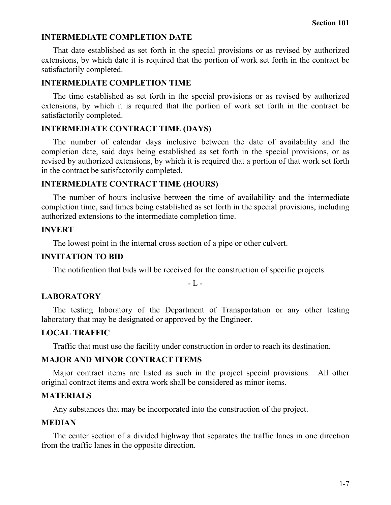#### **INTERMEDIATE COMPLETION DATE**

That date established as set forth in the special provisions or as revised by authorized extensions, by which date it is required that the portion of work set forth in the contract be satisfactorily completed.

#### **INTERMEDIATE COMPLETION TIME**

The time established as set forth in the special provisions or as revised by authorized extensions, by which it is required that the portion of work set forth in the contract be satisfactorily completed.

#### **INTERMEDIATE CONTRACT TIME (DAYS)**

The number of calendar days inclusive between the date of availability and the completion date, said days being established as set forth in the special provisions, or as revised by authorized extensions, by which it is required that a portion of that work set forth in the contract be satisfactorily completed.

#### **INTERMEDIATE CONTRACT TIME (HOURS)**

The number of hours inclusive between the time of availability and the intermediate completion time, said times being established as set forth in the special provisions, including authorized extensions to the intermediate completion time.

#### **INVERT**

The lowest point in the internal cross section of a pipe or other culvert.

#### **INVITATION TO BID**

The notification that bids will be received for the construction of specific projects.

 $-L -$ 

#### **LABORATORY**

The testing laboratory of the Department of Transportation or any other testing laboratory that may be designated or approved by the Engineer.

#### **LOCAL TRAFFIC**

Traffic that must use the facility under construction in order to reach its destination.

#### **MAJOR AND MINOR CONTRACT ITEMS**

Major contract items are listed as such in the project special provisions. All other original contract items and extra work shall be considered as minor items.

#### **MATERIALS**

Any substances that may be incorporated into the construction of the project.

### **MEDIAN**

The center section of a divided highway that separates the traffic lanes in one direction from the traffic lanes in the opposite direction.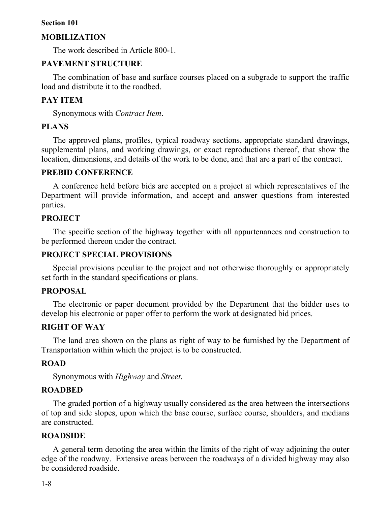#### **MOBILIZATION**

The work described in Article 800-1.

### **PAVEMENT STRUCTURE**

The combination of base and surface courses placed on a subgrade to support the traffic load and distribute it to the roadbed.

### **PAY ITEM**

Synonymous with *Contract Item*.

### **PLANS**

The approved plans, profiles, typical roadway sections, appropriate standard drawings, supplemental plans, and working drawings, or exact reproductions thereof, that show the location, dimensions, and details of the work to be done, and that are a part of the contract.

### **PREBID CONFERENCE**

A conference held before bids are accepted on a project at which representatives of the Department will provide information, and accept and answer questions from interested parties.

### **PROJECT**

The specific section of the highway together with all appurtenances and construction to be performed thereon under the contract.

### **PROJECT SPECIAL PROVISIONS**

Special provisions peculiar to the project and not otherwise thoroughly or appropriately set forth in the standard specifications or plans.

#### **PROPOSAL**

The electronic or paper document provided by the Department that the bidder uses to develop his electronic or paper offer to perform the work at designated bid prices.

### **RIGHT OF WAY**

The land area shown on the plans as right of way to be furnished by the Department of Transportation within which the project is to be constructed.

#### **ROAD**

Synonymous with *Highway* and *Street*.

#### **ROADBED**

The graded portion of a highway usually considered as the area between the intersections of top and side slopes, upon which the base course, surface course, shoulders, and medians are constructed.

### **ROADSIDE**

A general term denoting the area within the limits of the right of way adjoining the outer edge of the roadway. Extensive areas between the roadways of a divided highway may also be considered roadside.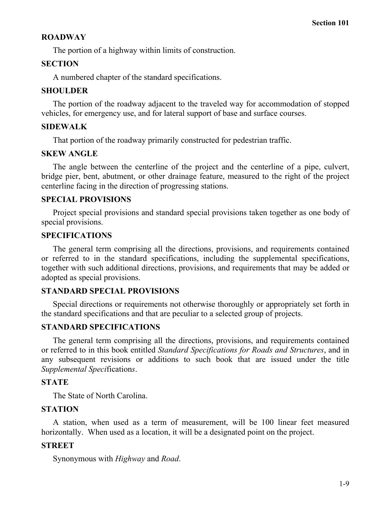## **ROADWAY**

The portion of a highway within limits of construction.

## **SECTION**

A numbered chapter of the standard specifications.

## **SHOULDER**

The portion of the roadway adjacent to the traveled way for accommodation of stopped vehicles, for emergency use, and for lateral support of base and surface courses.

## **SIDEWALK**

That portion of the roadway primarily constructed for pedestrian traffic.

## **SKEW ANGLE**

The angle between the centerline of the project and the centerline of a pipe, culvert, bridge pier, bent, abutment, or other drainage feature, measured to the right of the project centerline facing in the direction of progressing stations.

## **SPECIAL PROVISIONS**

Project special provisions and standard special provisions taken together as one body of special provisions.

## **SPECIFICATIONS**

The general term comprising all the directions, provisions, and requirements contained or referred to in the standard specifications, including the supplemental specifications, together with such additional directions, provisions, and requirements that may be added or adopted as special provisions.

## **STANDARD SPECIAL PROVISIONS**

Special directions or requirements not otherwise thoroughly or appropriately set forth in the standard specifications and that are peculiar to a selected group of projects.

## **STANDARD SPECIFICATIONS**

The general term comprising all the directions, provisions, and requirements contained or referred to in this book entitled *Standard Specifications for Roads and Structures*, and in any subsequent revisions or additions to such book that are issued under the title *Supplemental Speci*fication*s*.

## **STATE**

The State of North Carolina.

## **STATION**

A station, when used as a term of measurement, will be 100 linear feet measured horizontally. When used as a location, it will be a designated point on the project.

## **STREET**

Synonymous with *Highway* and *Road*.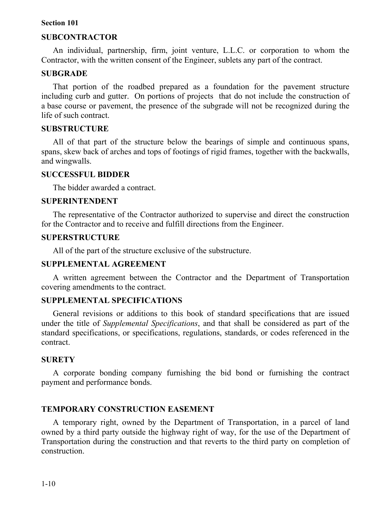### **SUBCONTRACTOR**

An individual, partnership, firm, joint venture, L.L.C. or corporation to whom the Contractor, with the written consent of the Engineer, sublets any part of the contract.

#### **SUBGRADE**

That portion of the roadbed prepared as a foundation for the pavement structure including curb and gutter. On portions of projects that do not include the construction of a base course or pavement, the presence of the subgrade will not be recognized during the life of such contract.

#### **SUBSTRUCTURE**

All of that part of the structure below the bearings of simple and continuous spans, spans, skew back of arches and tops of footings of rigid frames, together with the backwalls, and wingwalls.

#### **SUCCESSFUL BIDDER**

The bidder awarded a contract.

#### **SUPERINTENDENT**

The representative of the Contractor authorized to supervise and direct the construction for the Contractor and to receive and fulfill directions from the Engineer.

#### **SUPERSTRUCTURE**

All of the part of the structure exclusive of the substructure.

#### **SUPPLEMENTAL AGREEMENT**

A written agreement between the Contractor and the Department of Transportation covering amendments to the contract.

#### **SUPPLEMENTAL SPECIFICATIONS**

General revisions or additions to this book of standard specifications that are issued under the title of *Supplemental Specifications*, and that shall be considered as part of the standard specifications, or specifications, regulations, standards, or codes referenced in the contract.

#### **SURETY**

A corporate bonding company furnishing the bid bond or furnishing the contract payment and performance bonds.

#### **TEMPORARY CONSTRUCTION EASEMENT**

A temporary right, owned by the Department of Transportation, in a parcel of land owned by a third party outside the highway right of way, for the use of the Department of Transportation during the construction and that reverts to the third party on completion of construction.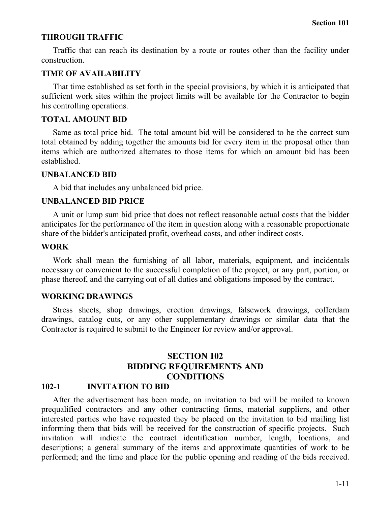#### **THROUGH TRAFFIC**

Traffic that can reach its destination by a route or routes other than the facility under construction.

#### **TIME OF AVAILABILITY**

That time established as set forth in the special provisions, by which it is anticipated that sufficient work sites within the project limits will be available for the Contractor to begin his controlling operations.

#### **TOTAL AMOUNT BID**

Same as total price bid. The total amount bid will be considered to be the correct sum total obtained by adding together the amounts bid for every item in the proposal other than items which are authorized alternates to those items for which an amount bid has been established.

#### **UNBALANCED BID**

A bid that includes any unbalanced bid price.

#### **UNBALANCED BID PRICE**

A unit or lump sum bid price that does not reflect reasonable actual costs that the bidder anticipates for the performance of the item in question along with a reasonable proportionate share of the bidder's anticipated profit, overhead costs, and other indirect costs.

### **WORK**

Work shall mean the furnishing of all labor, materials, equipment, and incidentals necessary or convenient to the successful completion of the project, or any part, portion, or phase thereof, and the carrying out of all duties and obligations imposed by the contract.

#### **WORKING DRAWINGS**

Stress sheets, shop drawings, erection drawings, falsework drawings, cofferdam drawings, catalog cuts, or any other supplementary drawings or similar data that the Contractor is required to submit to the Engineer for review and/or approval.

## **SECTION 102 BIDDING REQUIREMENTS AND CONDITIONS**

### **102-1 INVITATION TO BID**

After the advertisement has been made, an invitation to bid will be mailed to known prequalified contractors and any other contracting firms, material suppliers, and other interested parties who have requested they be placed on the invitation to bid mailing list informing them that bids will be received for the construction of specific projects. Such invitation will indicate the contract identification number, length, locations, and descriptions; a general summary of the items and approximate quantities of work to be performed; and the time and place for the public opening and reading of the bids received.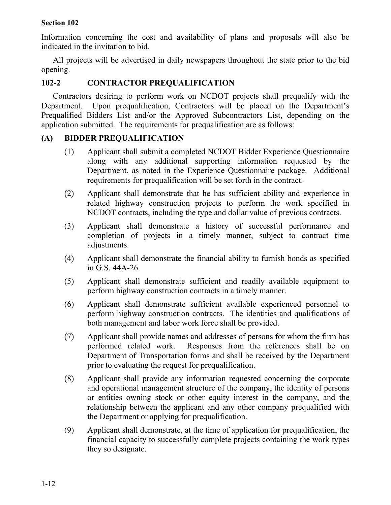Information concerning the cost and availability of plans and proposals will also be indicated in the invitation to bid.

All projects will be advertised in daily newspapers throughout the state prior to the bid opening.

## **102-2 CONTRACTOR PREQUALIFICATION**

Contractors desiring to perform work on NCDOT projects shall prequalify with the Department. Upon prequalification, Contractors will be placed on the Department's Prequalified Bidders List and/or the Approved Subcontractors List, depending on the application submitted. The requirements for prequalification are as follows:

## **(A) BIDDER PREQUALIFICATION**

- (1) Applicant shall submit a completed NCDOT Bidder Experience Questionnaire along with any additional supporting information requested by the Department, as noted in the Experience Questionnaire package. Additional requirements for prequalification will be set forth in the contract.
- (2) Applicant shall demonstrate that he has sufficient ability and experience in related highway construction projects to perform the work specified in NCDOT contracts, including the type and dollar value of previous contracts.
- (3) Applicant shall demonstrate a history of successful performance and completion of projects in a timely manner, subject to contract time adjustments.
- (4) Applicant shall demonstrate the financial ability to furnish bonds as specified in G.S. 44A-26.
- (5) Applicant shall demonstrate sufficient and readily available equipment to perform highway construction contracts in a timely manner.
- (6) Applicant shall demonstrate sufficient available experienced personnel to perform highway construction contracts. The identities and qualifications of both management and labor work force shall be provided.
- (7) Applicant shall provide names and addresses of persons for whom the firm has performed related work. Responses from the references shall be on Department of Transportation forms and shall be received by the Department prior to evaluating the request for prequalification.
- (8) Applicant shall provide any information requested concerning the corporate and operational management structure of the company, the identity of persons or entities owning stock or other equity interest in the company, and the relationship between the applicant and any other company prequalified with the Department or applying for prequalification.
- (9) Applicant shall demonstrate, at the time of application for prequalification, the financial capacity to successfully complete projects containing the work types they so designate.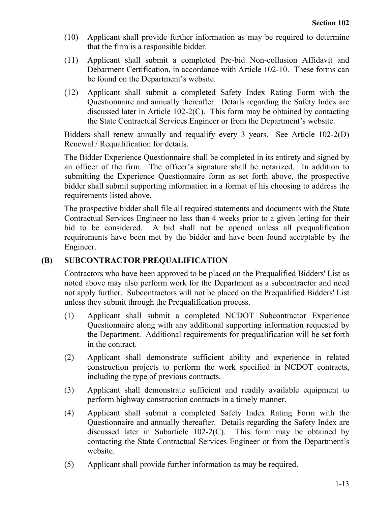- (10) Applicant shall provide further information as may be required to determine that the firm is a responsible bidder.
- (11) Applicant shall submit a completed Pre-bid Non-collusion Affidavit and Debarment Certification, in accordance with Article 102-10. These forms can be found on the Department's website.
- (12) Applicant shall submit a completed Safety Index Rating Form with the Questionnaire and annually thereafter. Details regarding the Safety Index are discussed later in Article 102-2(C). This form may be obtained by contacting the State Contractual Services Engineer or from the Department's website.

Bidders shall renew annually and requalify every 3 years. See Article 102-2(D) Renewal / Requalification for details.

The Bidder Experience Questionnaire shall be completed in its entirety and signed by an officer of the firm. The officer's signature shall be notarized. In addition to submitting the Experience Questionnaire form as set forth above, the prospective bidder shall submit supporting information in a format of his choosing to address the requirements listed above.

The prospective bidder shall file all required statements and documents with the State Contractual Services Engineer no less than 4 weeks prior to a given letting for their bid to be considered. A bid shall not be opened unless all prequalification requirements have been met by the bidder and have been found acceptable by the Engineer.

## **(B) SUBCONTRACTOR PREQUALIFICATION**

Contractors who have been approved to be placed on the Prequalified Bidders' List as noted above may also perform work for the Department as a subcontractor and need not apply further. Subcontractors will not be placed on the Prequalified Bidders' List unless they submit through the Prequalification process.

- (1) Applicant shall submit a completed NCDOT Subcontractor Experience Questionnaire along with any additional supporting information requested by the Department. Additional requirements for prequalification will be set forth in the contract.
- (2) Applicant shall demonstrate sufficient ability and experience in related construction projects to perform the work specified in NCDOT contracts, including the type of previous contracts.
- (3) Applicant shall demonstrate sufficient and readily available equipment to perform highway construction contracts in a timely manner.
- (4) Applicant shall submit a completed Safety Index Rating Form with the Questionnaire and annually thereafter. Details regarding the Safety Index are discussed later in Subarticle 102-2(C). This form may be obtained by contacting the State Contractual Services Engineer or from the Department's website.
- (5) Applicant shall provide further information as may be required.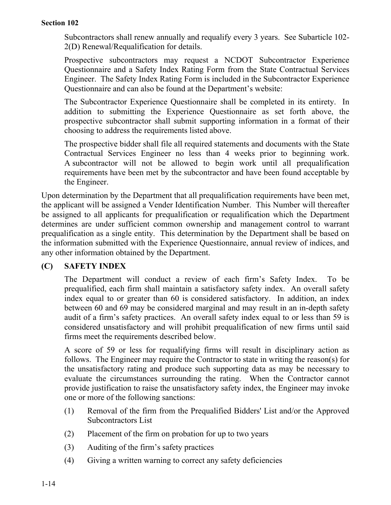Subcontractors shall renew annually and requalify every 3 years. See Subarticle 102- 2(D) Renewal/Requalification for details.

Prospective subcontractors may request a NCDOT Subcontractor Experience Questionnaire and a Safety Index Rating Form from the State Contractual Services Engineer. The Safety Index Rating Form is included in the Subcontractor Experience Questionnaire and can also be found at the Department's website:

The Subcontractor Experience Questionnaire shall be completed in its entirety. In addition to submitting the Experience Questionnaire as set forth above, the prospective subcontractor shall submit supporting information in a format of their choosing to address the requirements listed above.

The prospective bidder shall file all required statements and documents with the State Contractual Services Engineer no less than 4 weeks prior to beginning work. A subcontractor will not be allowed to begin work until all prequalification requirements have been met by the subcontractor and have been found acceptable by the Engineer.

Upon determination by the Department that all prequalification requirements have been met, the applicant will be assigned a Vender Identification Number. This Number will thereafter be assigned to all applicants for prequalification or requalification which the Department determines are under sufficient common ownership and management control to warrant prequalification as a single entity. This determination by the Department shall be based on the information submitted with the Experience Questionnaire, annual review of indices, and any other information obtained by the Department.

## **(C) SAFETY INDEX**

The Department will conduct a review of each firm's Safety Index. To be prequalified, each firm shall maintain a satisfactory safety index. An overall safety index equal to or greater than 60 is considered satisfactory. In addition, an index between 60 and 69 may be considered marginal and may result in an in-depth safety audit of a firm's safety practices. An overall safety index equal to or less than 59 is considered unsatisfactory and will prohibit prequalification of new firms until said firms meet the requirements described below.

A score of 59 or less for requalifying firms will result in disciplinary action as follows. The Engineer may require the Contractor to state in writing the reason(s) for the unsatisfactory rating and produce such supporting data as may be necessary to evaluate the circumstances surrounding the rating. When the Contractor cannot provide justification to raise the unsatisfactory safety index, the Engineer may invoke one or more of the following sanctions:

- (1) Removal of the firm from the Prequalified Bidders' List and/or the Approved Subcontractors List
- (2) Placement of the firm on probation for up to two years
- (3) Auditing of the firm's safety practices
- (4) Giving a written warning to correct any safety deficiencies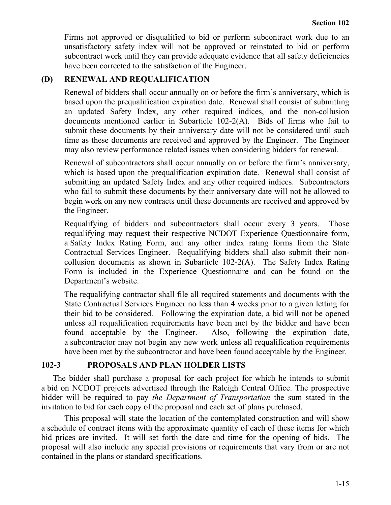Firms not approved or disqualified to bid or perform subcontract work due to an unsatisfactory safety index will not be approved or reinstated to bid or perform subcontract work until they can provide adequate evidence that all safety deficiencies have been corrected to the satisfaction of the Engineer.

### **(D) RENEWAL AND REQUALIFICATION**

Renewal of bidders shall occur annually on or before the firm's anniversary, which is based upon the prequalification expiration date. Renewal shall consist of submitting an updated Safety Index, any other required indices, and the non-collusion documents mentioned earlier in Subarticle 102-2(A). Bids of firms who fail to submit these documents by their anniversary date will not be considered until such time as these documents are received and approved by the Engineer. The Engineer may also review performance related issues when considering bidders for renewal.

Renewal of subcontractors shall occur annually on or before the firm's anniversary, which is based upon the prequalification expiration date. Renewal shall consist of submitting an updated Safety Index and any other required indices. Subcontractors who fail to submit these documents by their anniversary date will not be allowed to begin work on any new contracts until these documents are received and approved by the Engineer.

Requalifying of bidders and subcontractors shall occur every 3 years. Those requalifying may request their respective NCDOT Experience Questionnaire form, a Safety Index Rating Form, and any other index rating forms from the State Contractual Services Engineer. Requalifying bidders shall also submit their noncollusion documents as shown in Subarticle 102-2(A). The Safety Index Rating Form is included in the Experience Questionnaire and can be found on the Department's website.

The requalifying contractor shall file all required statements and documents with the State Contractual Services Engineer no less than 4 weeks prior to a given letting for their bid to be considered. Following the expiration date, a bid will not be opened unless all requalification requirements have been met by the bidder and have been found acceptable by the Engineer. Also, following the expiration date, a subcontractor may not begin any new work unless all requalification requirements have been met by the subcontractor and have been found acceptable by the Engineer.

### **102-3 PROPOSALS AND PLAN HOLDER LISTS**

The bidder shall purchase a proposal for each project for which he intends to submit a bid on NCDOT projects advertised through the Raleigh Central Office. The prospective bidder will be required to pay *the Department of Transportation* the sum stated in the invitation to bid for each copy of the proposal and each set of plans purchased.

This proposal will state the location of the contemplated construction and will show a schedule of contract items with the approximate quantity of each of these items for which bid prices are invited. It will set forth the date and time for the opening of bids. The proposal will also include any special provisions or requirements that vary from or are not contained in the plans or standard specifications.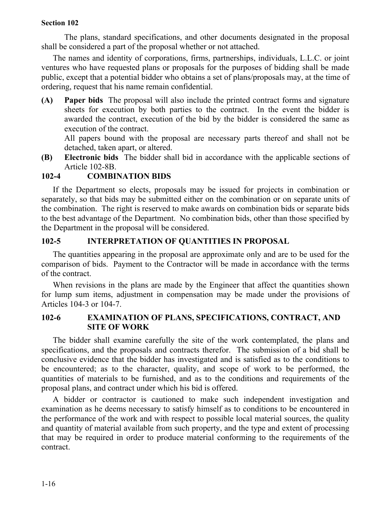The plans, standard specifications, and other documents designated in the proposal shall be considered a part of the proposal whether or not attached.

The names and identity of corporations, firms, partnerships, individuals, L.L.C. or joint ventures who have requested plans or proposals for the purposes of bidding shall be made public, except that a potential bidder who obtains a set of plans/proposals may, at the time of ordering, request that his name remain confidential.

**(A) Paper bids** The proposal will also include the printed contract forms and signature sheets for execution by both parties to the contract. In the event the bidder is awarded the contract, execution of the bid by the bidder is considered the same as execution of the contract.

All papers bound with the proposal are necessary parts thereof and shall not be detached, taken apart, or altered.

**(B) Electronic bids** The bidder shall bid in accordance with the applicable sections of Article 102-8B.

## **102-4 COMBINATION BIDS**

If the Department so elects, proposals may be issued for projects in combination or separately, so that bids may be submitted either on the combination or on separate units of the combination. The right is reserved to make awards on combination bids or separate bids to the best advantage of the Department. No combination bids, other than those specified by the Department in the proposal will be considered.

## **102-5 INTERPRETATION OF QUANTITIES IN PROPOSAL**

The quantities appearing in the proposal are approximate only and are to be used for the comparison of bids. Payment to the Contractor will be made in accordance with the terms of the contract.

When revisions in the plans are made by the Engineer that affect the quantities shown for lump sum items, adjustment in compensation may be made under the provisions of Articles 104-3 or 104-7.

### **102-6 EXAMINATION OF PLANS, SPECIFICATIONS, CONTRACT, AND SITE OF WORK**

The bidder shall examine carefully the site of the work contemplated, the plans and specifications, and the proposals and contracts therefor. The submission of a bid shall be conclusive evidence that the bidder has investigated and is satisfied as to the conditions to be encountered; as to the character, quality, and scope of work to be performed, the quantities of materials to be furnished, and as to the conditions and requirements of the proposal plans, and contract under which his bid is offered.

A bidder or contractor is cautioned to make such independent investigation and examination as he deems necessary to satisfy himself as to conditions to be encountered in the performance of the work and with respect to possible local material sources, the quality and quantity of material available from such property, and the type and extent of processing that may be required in order to produce material conforming to the requirements of the contract.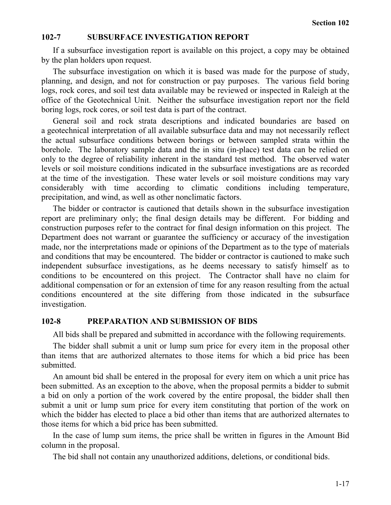#### **102-7 SUBSURFACE INVESTIGATION REPORT**

If a subsurface investigation report is available on this project, a copy may be obtained by the plan holders upon request.

The subsurface investigation on which it is based was made for the purpose of study, planning, and design, and not for construction or pay purposes. The various field boring logs, rock cores, and soil test data available may be reviewed or inspected in Raleigh at the office of the Geotechnical Unit. Neither the subsurface investigation report nor the field boring logs, rock cores, or soil test data is part of the contract.

General soil and rock strata descriptions and indicated boundaries are based on a geotechnical interpretation of all available subsurface data and may not necessarily reflect the actual subsurface conditions between borings or between sampled strata within the borehole. The laboratory sample data and the in situ (in-place) test data can be relied on only to the degree of reliability inherent in the standard test method. The observed water levels or soil moisture conditions indicated in the subsurface investigations are as recorded at the time of the investigation. These water levels or soil moisture conditions may vary considerably with time according to climatic conditions including temperature, precipitation, and wind, as well as other nonclimatic factors.

The bidder or contractor is cautioned that details shown in the subsurface investigation report are preliminary only; the final design details may be different. For bidding and construction purposes refer to the contract for final design information on this project. The Department does not warrant or guarantee the sufficiency or accuracy of the investigation made, nor the interpretations made or opinions of the Department as to the type of materials and conditions that may be encountered. The bidder or contractor is cautioned to make such independent subsurface investigations, as he deems necessary to satisfy himself as to conditions to be encountered on this project. The Contractor shall have no claim for additional compensation or for an extension of time for any reason resulting from the actual conditions encountered at the site differing from those indicated in the subsurface investigation.

#### **102-8 PREPARATION AND SUBMISSION OF BIDS**

All bids shall be prepared and submitted in accordance with the following requirements.

The bidder shall submit a unit or lump sum price for every item in the proposal other than items that are authorized alternates to those items for which a bid price has been submitted.

An amount bid shall be entered in the proposal for every item on which a unit price has been submitted. As an exception to the above, when the proposal permits a bidder to submit a bid on only a portion of the work covered by the entire proposal, the bidder shall then submit a unit or lump sum price for every item constituting that portion of the work on which the bidder has elected to place a bid other than items that are authorized alternates to those items for which a bid price has been submitted.

In the case of lump sum items, the price shall be written in figures in the Amount Bid column in the proposal.

The bid shall not contain any unauthorized additions, deletions, or conditional bids.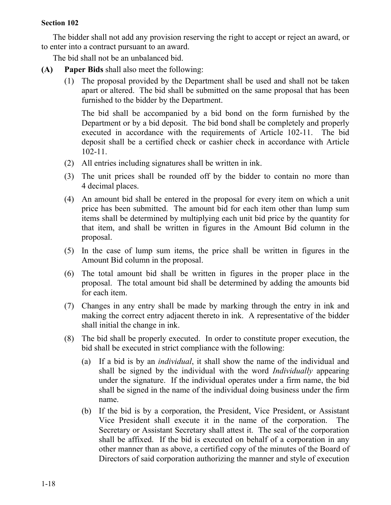The bidder shall not add any provision reserving the right to accept or reject an award, or to enter into a contract pursuant to an award.

The bid shall not be an unbalanced bid.

- **(A) Paper Bids** shall also meet the following:
	- (1) The proposal provided by the Department shall be used and shall not be taken apart or altered. The bid shall be submitted on the same proposal that has been furnished to the bidder by the Department.

The bid shall be accompanied by a bid bond on the form furnished by the Department or by a bid deposit. The bid bond shall be completely and properly executed in accordance with the requirements of Article 102-11. The bid deposit shall be a certified check or cashier check in accordance with Article 102-11.

- (2) All entries including signatures shall be written in ink.
- (3) The unit prices shall be rounded off by the bidder to contain no more than 4 decimal places.
- (4) An amount bid shall be entered in the proposal for every item on which a unit price has been submitted. The amount bid for each item other than lump sum items shall be determined by multiplying each unit bid price by the quantity for that item, and shall be written in figures in the Amount Bid column in the proposal.
- (5) In the case of lump sum items, the price shall be written in figures in the Amount Bid column in the proposal.
- (6) The total amount bid shall be written in figures in the proper place in the proposal. The total amount bid shall be determined by adding the amounts bid for each item.
- (7) Changes in any entry shall be made by marking through the entry in ink and making the correct entry adjacent thereto in ink. A representative of the bidder shall initial the change in ink.
- (8) The bid shall be properly executed. In order to constitute proper execution, the bid shall be executed in strict compliance with the following:
	- (a) If a bid is by an *individual*, it shall show the name of the individual and shall be signed by the individual with the word *Individually* appearing under the signature. If the individual operates under a firm name, the bid shall be signed in the name of the individual doing business under the firm name.
	- (b) If the bid is by a corporation, the President, Vice President, or Assistant Vice President shall execute it in the name of the corporation. The Secretary or Assistant Secretary shall attest it. The seal of the corporation shall be affixed. If the bid is executed on behalf of a corporation in any other manner than as above, a certified copy of the minutes of the Board of Directors of said corporation authorizing the manner and style of execution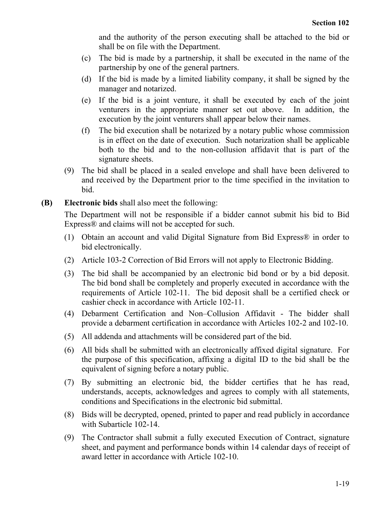and the authority of the person executing shall be attached to the bid or shall be on file with the Department.

- (c) The bid is made by a partnership, it shall be executed in the name of the partnership by one of the general partners.
- (d) If the bid is made by a limited liability company, it shall be signed by the manager and notarized.
- (e) If the bid is a joint venture, it shall be executed by each of the joint venturers in the appropriate manner set out above. In addition, the execution by the joint venturers shall appear below their names.
- (f) The bid execution shall be notarized by a notary public whose commission is in effect on the date of execution. Such notarization shall be applicable both to the bid and to the non-collusion affidavit that is part of the signature sheets.
- (9) The bid shall be placed in a sealed envelope and shall have been delivered to and received by the Department prior to the time specified in the invitation to bid.
- **(B) Electronic bids** shall also meet the following:

The Department will not be responsible if a bidder cannot submit his bid to Bid Express® and claims will not be accepted for such.

- (1) Obtain an account and valid Digital Signature from Bid Express® in order to bid electronically.
- (2) Article 103-2 Correction of Bid Errors will not apply to Electronic Bidding.
- (3) The bid shall be accompanied by an electronic bid bond or by a bid deposit. The bid bond shall be completely and properly executed in accordance with the requirements of Article 102-11. The bid deposit shall be a certified check or cashier check in accordance with Article 102-11.
- (4) Debarment Certification and Non–Collusion Affidavit The bidder shall provide a debarment certification in accordance with Articles 102-2 and 102-10.
- (5) All addenda and attachments will be considered part of the bid.
- (6) All bids shall be submitted with an electronically affixed digital signature. For the purpose of this specification, affixing a digital ID to the bid shall be the equivalent of signing before a notary public.
- (7) By submitting an electronic bid, the bidder certifies that he has read, understands, accepts, acknowledges and agrees to comply with all statements, conditions and Specifications in the electronic bid submittal.
- (8) Bids will be decrypted, opened, printed to paper and read publicly in accordance with Subarticle 102-14.
- (9) The Contractor shall submit a fully executed Execution of Contract, signature sheet, and payment and performance bonds within 14 calendar days of receipt of award letter in accordance with Article 102-10.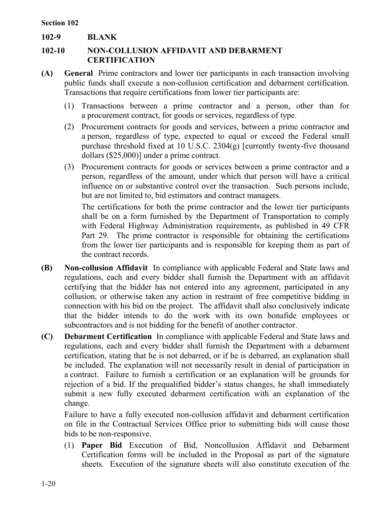**102-9 BLANK**

## **102-10 NON-COLLUSION AFFIDAVIT AND DEBARMENT CERTIFICATION**

- **(A) General** Prime contractors and lower tier participants in each transaction involving public funds shall execute a non-collusion certification and debarment certification. Transactions that require certifications from lower tier participants are:
	- (1) Transactions between a prime contractor and a person, other than for a procurement contract, for goods or services, regardless of type.
	- (2) Procurement contracts for goods and services, between a prime contractor and a person, regardless of type, expected to equal or exceed the Federal small purchase threshold fixed at 10 U.S.C. 2304(g) [currently twenty-five thousand dollars (\$25,000)] under a prime contract.
	- (3) Procurement contracts for goods or services between a prime contractor and a person, regardless of the amount, under which that person will have a critical influence on or substantive control over the transaction. Such persons include, but are not limited to, bid estimators and contract managers.

The certifications for both the prime contractor and the lower tier participants shall be on a form furnished by the Department of Transportation to comply with Federal Highway Administration requirements, as published in 49 CFR Part 29. The prime contractor is responsible for obtaining the certifications from the lower tier participants and is responsible for keeping them as part of the contract records.

- **(B) Non-collusion Affidavit** In compliance with applicable Federal and State laws and regulations, each and every bidder shall furnish the Department with an affidavit certifying that the bidder has not entered into any agreement, participated in any collusion, or otherwise taken any action in restraint of free competitive bidding in connection with his bid on the project. The affidavit shall also conclusively indicate that the bidder intends to do the work with its own bonafide employees or subcontractors and is not bidding for the benefit of another contractor.
- **(C) Debarment Certification** In compliance with applicable Federal and State laws and regulations, each and every bidder shall furnish the Department with a debarment certification, stating that he is not debarred, or if he is debarred, an explanation shall be included. The explanation will not necessarily result in denial of participation in a contract. Failure to furnish a certification or an explanation will be grounds for rejection of a bid. If the prequalified bidder's status changes, he shall immediately submit a new fully executed debarment certification with an explanation of the change.

Failure to have a fully executed non-collusion affidavit and debarment certification on file in the Contractual Services Office prior to submitting bids will cause those bids to be non-responsive.

(1) **Paper Bid** Execution of Bid, Noncollusion Affidavit and Debarment Certification forms will be included in the Proposal as part of the signature sheets. Execution of the signature sheets will also constitute execution of the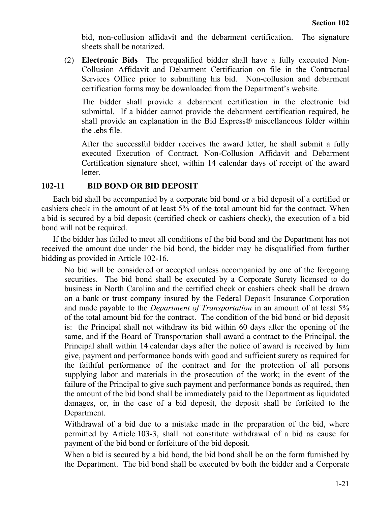bid, non-collusion affidavit and the debarment certification. The signature sheets shall be notarized.

(2) **Electronic Bids** The prequalified bidder shall have a fully executed Non-Collusion Affidavit and Debarment Certification on file in the Contractual Services Office prior to submitting his bid. Non-collusion and debarment certification forms may be downloaded from the Department's website.

The bidder shall provide a debarment certification in the electronic bid submittal. If a bidder cannot provide the debarment certification required, he shall provide an explanation in the Bid Express® miscellaneous folder within the .ebs file.

After the successful bidder receives the award letter, he shall submit a fully executed Execution of Contract, Non-Collusion Affidavit and Debarment Certification signature sheet, within 14 calendar days of receipt of the award letter.

### **102-11 BID BOND OR BID DEPOSIT**

Each bid shall be accompanied by a corporate bid bond or a bid deposit of a certified or cashiers check in the amount of at least 5% of the total amount bid for the contract. When a bid is secured by a bid deposit (certified check or cashiers check), the execution of a bid bond will not be required.

If the bidder has failed to meet all conditions of the bid bond and the Department has not received the amount due under the bid bond, the bidder may be disqualified from further bidding as provided in Article 102-16.

No bid will be considered or accepted unless accompanied by one of the foregoing securities. The bid bond shall be executed by a Corporate Surety licensed to do business in North Carolina and the certified check or cashiers check shall be drawn on a bank or trust company insured by the Federal Deposit Insurance Corporation and made payable to the *Department of Transportation* in an amount of at least 5% of the total amount bid for the contract. The condition of the bid bond or bid deposit is: the Principal shall not withdraw its bid within 60 days after the opening of the same, and if the Board of Transportation shall award a contract to the Principal, the Principal shall within 14 calendar days after the notice of award is received by him give, payment and performance bonds with good and sufficient surety as required for the faithful performance of the contract and for the protection of all persons supplying labor and materials in the prosecution of the work; in the event of the failure of the Principal to give such payment and performance bonds as required, then the amount of the bid bond shall be immediately paid to the Department as liquidated damages, or, in the case of a bid deposit, the deposit shall be forfeited to the Department.

Withdrawal of a bid due to a mistake made in the preparation of the bid, where permitted by Article 103-3, shall not constitute withdrawal of a bid as cause for payment of the bid bond or forfeiture of the bid deposit.

When a bid is secured by a bid bond, the bid bond shall be on the form furnished by the Department. The bid bond shall be executed by both the bidder and a Corporate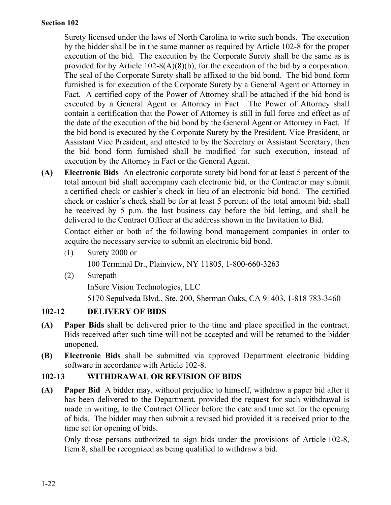Surety licensed under the laws of North Carolina to write such bonds. The execution by the bidder shall be in the same manner as required by Article 102-8 for the proper execution of the bid. The execution by the Corporate Surety shall be the same as is provided for by Article 102-8(A)(8)(b), for the execution of the bid by a corporation. The seal of the Corporate Surety shall be affixed to the bid bond. The bid bond form furnished is for execution of the Corporate Surety by a General Agent or Attorney in Fact. A certified copy of the Power of Attorney shall be attached if the bid bond is executed by a General Agent or Attorney in Fact. The Power of Attorney shall contain a certification that the Power of Attorney is still in full force and effect as of the date of the execution of the bid bond by the General Agent or Attorney in Fact. If the bid bond is executed by the Corporate Surety by the President, Vice President, or Assistant Vice President, and attested to by the Secretary or Assistant Secretary, then the bid bond form furnished shall be modified for such execution, instead of execution by the Attorney in Fact or the General Agent.

**(A) Electronic Bids** An electronic corporate surety bid bond for at least 5 percent of the total amount bid shall accompany each electronic bid, or the Contractor may submit a certified check or cashier's check in lieu of an electronic bid bond. The certified check or cashier's check shall be for at least 5 percent of the total amount bid; shall be received by 5 p.m. the last business day before the bid letting, and shall be delivered to the Contract Officer at the address shown in the Invitation to Bid.

Contact either or both of the following bond management companies in order to acquire the necessary service to submit an electronic bid bond.

- (1) Surety 2000 or 100 Terminal Dr., Plainview, NY 11805, 1-800-660-3263
- (2) Surepath

InSure Vision Technologies, LLC

5170 Sepulveda Blvd., Ste. 200, Sherman Oaks, CA 91403, 1-818 783-3460

## **102-12 DELIVERY OF BIDS**

- **(A) Paper Bids** shall be delivered prior to the time and place specified in the contract. Bids received after such time will not be accepted and will be returned to the bidder unopened.
- **(B) Electronic Bids** shall be submitted via approved Department electronic bidding software in accordance with Article 102-8.

## **102-13 WITHDRAWAL OR REVISION OF BIDS**

**(A) Paper Bid** A bidder may, without prejudice to himself, withdraw a paper bid after it has been delivered to the Department, provided the request for such withdrawal is made in writing, to the Contract Officer before the date and time set for the opening of bids. The bidder may then submit a revised bid provided it is received prior to the time set for opening of bids.

Only those persons authorized to sign bids under the provisions of Article 102-8, Item 8, shall be recognized as being qualified to withdraw a bid.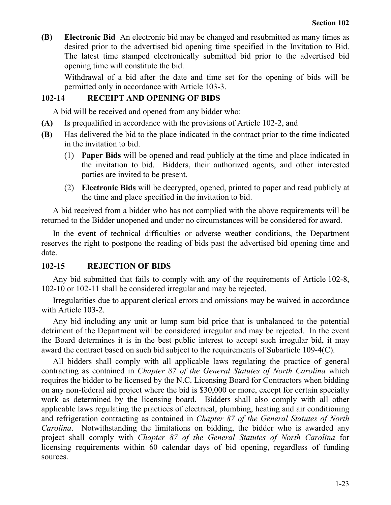**(B) Electronic Bid** An electronic bid may be changed and resubmitted as many times as desired prior to the advertised bid opening time specified in the Invitation to Bid. The latest time stamped electronically submitted bid prior to the advertised bid opening time will constitute the bid.

Withdrawal of a bid after the date and time set for the opening of bids will be permitted only in accordance with Article 103-3.

### **102-14 RECEIPT AND OPENING OF BIDS**

A bid will be received and opened from any bidder who:

- **(A)** Is prequalified in accordance with the provisions of Article 102-2, and
- **(B)** Has delivered the bid to the place indicated in the contract prior to the time indicated in the invitation to bid.
	- (1) **Paper Bids** will be opened and read publicly at the time and place indicated in the invitation to bid. Bidders, their authorized agents, and other interested parties are invited to be present.
	- (2) **Electronic Bids** will be decrypted, opened, printed to paper and read publicly at the time and place specified in the invitation to bid.

A bid received from a bidder who has not complied with the above requirements will be returned to the Bidder unopened and under no circumstances will be considered for award.

In the event of technical difficulties or adverse weather conditions, the Department reserves the right to postpone the reading of bids past the advertised bid opening time and date.

### **102-15 REJECTION OF BIDS**

Any bid submitted that fails to comply with any of the requirements of Article 102-8, 102-10 or 102-11 shall be considered irregular and may be rejected.

Irregularities due to apparent clerical errors and omissions may be waived in accordance with Article 103-2.

Any bid including any unit or lump sum bid price that is unbalanced to the potential detriment of the Department will be considered irregular and may be rejected. In the event the Board determines it is in the best public interest to accept such irregular bid, it may award the contract based on such bid subject to the requirements of Subarticle 109-4(C).

All bidders shall comply with all applicable laws regulating the practice of general contracting as contained in *Chapter 87 of the General Statutes of North Carolina* which requires the bidder to be licensed by the N.C. Licensing Board for Contractors when bidding on any non-federal aid project where the bid is \$30,000 or more, except for certain specialty work as determined by the licensing board. Bidders shall also comply with all other applicable laws regulating the practices of electrical, plumbing, heating and air conditioning and refrigeration contracting as contained in *Chapter 87 of the General Statutes of North Carolina*. Notwithstanding the limitations on bidding, the bidder who is awarded any project shall comply with *Chapter 87 of the General Statutes of North Carolina* for licensing requirements within 60 calendar days of bid opening, regardless of funding sources.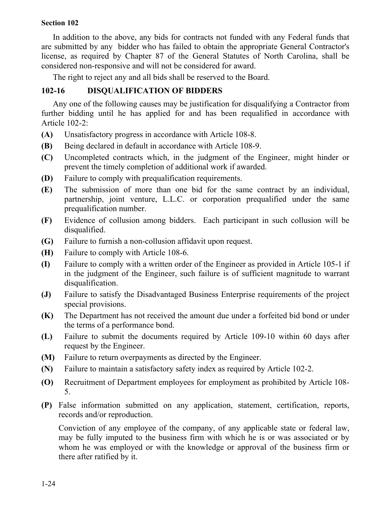In addition to the above, any bids for contracts not funded with any Federal funds that are submitted by any bidder who has failed to obtain the appropriate General Contractor's license, as required by Chapter 87 of the General Statutes of North Carolina, shall be considered non-responsive and will not be considered for award.

The right to reject any and all bids shall be reserved to the Board.

## **102-16 DISQUALIFICATION OF BIDDERS**

Any one of the following causes may be justification for disqualifying a Contractor from further bidding until he has applied for and has been requalified in accordance with Article 102-2:

- **(A)** Unsatisfactory progress in accordance with Article 108-8.
- **(B)** Being declared in default in accordance with Article 108-9.
- **(C)** Uncompleted contracts which, in the judgment of the Engineer, might hinder or prevent the timely completion of additional work if awarded.
- **(D)** Failure to comply with prequalification requirements.
- **(E)** The submission of more than one bid for the same contract by an individual, partnership, joint venture, L.L.C. or corporation prequalified under the same prequalification number.
- **(F)** Evidence of collusion among bidders. Each participant in such collusion will be disqualified.
- **(G)** Failure to furnish a non-collusion affidavit upon request.
- **(H)** Failure to comply with Article 108-6.
- **(I)** Failure to comply with a written order of the Engineer as provided in Article 105-1 if in the judgment of the Engineer, such failure is of sufficient magnitude to warrant disqualification.
- **(J)** Failure to satisfy the Disadvantaged Business Enterprise requirements of the project special provisions.
- **(K)** The Department has not received the amount due under a forfeited bid bond or under the terms of a performance bond.
- **(L)** Failure to submit the documents required by Article 109-10 within 60 days after request by the Engineer.
- **(M)** Failure to return overpayments as directed by the Engineer.
- **(N)** Failure to maintain a satisfactory safety index as required by Article 102-2.
- **(O)** Recruitment of Department employees for employment as prohibited by Article 108-5.
- **(P)** False information submitted on any application, statement, certification, reports, records and/or reproduction.

Conviction of any employee of the company, of any applicable state or federal law, may be fully imputed to the business firm with which he is or was associated or by whom he was employed or with the knowledge or approval of the business firm or there after ratified by it.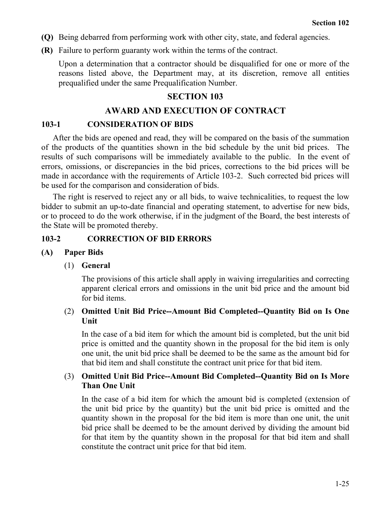- **(Q)** Being debarred from performing work with other city, state, and federal agencies.
- **(R)** Failure to perform guaranty work within the terms of the contract.

Upon a determination that a contractor should be disqualified for one or more of the reasons listed above, the Department may, at its discretion, remove all entities prequalified under the same Prequalification Number.

#### **SECTION 103**

### **AWARD AND EXECUTION OF CONTRACT**

#### **103-1 CONSIDERATION OF BIDS**

After the bids are opened and read, they will be compared on the basis of the summation of the products of the quantities shown in the bid schedule by the unit bid prices. The results of such comparisons will be immediately available to the public. In the event of errors, omissions, or discrepancies in the bid prices, corrections to the bid prices will be made in accordance with the requirements of Article 103-2. Such corrected bid prices will be used for the comparison and consideration of bids.

The right is reserved to reject any or all bids, to waive technicalities, to request the low bidder to submit an up-to-date financial and operating statement, to advertise for new bids, or to proceed to do the work otherwise, if in the judgment of the Board, the best interests of the State will be promoted thereby.

#### **103-2 CORRECTION OF BID ERRORS**

#### **(A) Paper Bids**

#### (1) **General**

The provisions of this article shall apply in waiving irregularities and correcting apparent clerical errors and omissions in the unit bid price and the amount bid for bid items.

#### (2) **Omitted Unit Bid Price--Amount Bid Completed--Quantity Bid on Is One Unit**

In the case of a bid item for which the amount bid is completed, but the unit bid price is omitted and the quantity shown in the proposal for the bid item is only one unit, the unit bid price shall be deemed to be the same as the amount bid for that bid item and shall constitute the contract unit price for that bid item.

### (3) **Omitted Unit Bid Price--Amount Bid Completed--Quantity Bid on Is More Than One Unit**

In the case of a bid item for which the amount bid is completed (extension of the unit bid price by the quantity) but the unit bid price is omitted and the quantity shown in the proposal for the bid item is more than one unit, the unit bid price shall be deemed to be the amount derived by dividing the amount bid for that item by the quantity shown in the proposal for that bid item and shall constitute the contract unit price for that bid item.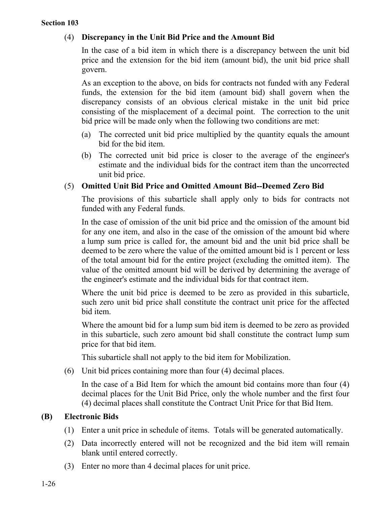## (4) **Discrepancy in the Unit Bid Price and the Amount Bid**

In the case of a bid item in which there is a discrepancy between the unit bid price and the extension for the bid item (amount bid), the unit bid price shall govern.

As an exception to the above, on bids for contracts not funded with any Federal funds, the extension for the bid item (amount bid) shall govern when the discrepancy consists of an obvious clerical mistake in the unit bid price consisting of the misplacement of a decimal point. The correction to the unit bid price will be made only when the following two conditions are met:

- (a) The corrected unit bid price multiplied by the quantity equals the amount bid for the bid item.
- (b) The corrected unit bid price is closer to the average of the engineer's estimate and the individual bids for the contract item than the uncorrected unit bid price.

## (5) **Omitted Unit Bid Price and Omitted Amount Bid--Deemed Zero Bid**

The provisions of this subarticle shall apply only to bids for contracts not funded with any Federal funds.

In the case of omission of the unit bid price and the omission of the amount bid for any one item, and also in the case of the omission of the amount bid where a lump sum price is called for, the amount bid and the unit bid price shall be deemed to be zero where the value of the omitted amount bid is 1 percent or less of the total amount bid for the entire project (excluding the omitted item). The value of the omitted amount bid will be derived by determining the average of the engineer's estimate and the individual bids for that contract item.

Where the unit bid price is deemed to be zero as provided in this subarticle, such zero unit bid price shall constitute the contract unit price for the affected bid item.

Where the amount bid for a lump sum bid item is deemed to be zero as provided in this subarticle, such zero amount bid shall constitute the contract lump sum price for that bid item.

This subarticle shall not apply to the bid item for Mobilization.

(6) Unit bid prices containing more than four (4) decimal places.

In the case of a Bid Item for which the amount bid contains more than four (4) decimal places for the Unit Bid Price, only the whole number and the first four (4) decimal places shall constitute the Contract Unit Price for that Bid Item.

### **(B) Electronic Bids**

- (1) Enter a unit price in schedule of items. Totals will be generated automatically.
- (2) Data incorrectly entered will not be recognized and the bid item will remain blank until entered correctly.
- (3) Enter no more than 4 decimal places for unit price.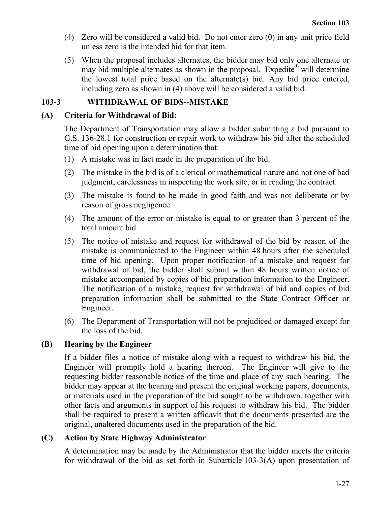- (4) Zero will be considered a valid bid. Do not enter zero (0) in any unit price field unless zero is the intended bid for that item.
- (5) When the proposal includes alternates, the bidder may bid only one alternate or may bid multiple alternates as shown in the proposal. Expedite<sup>®</sup> will determine the lowest total price based on the alternate(s) bid. Any bid price entered, including zero as shown in (4) above will be considered a valid bid.

## **103-3 WITHDRAWAL OF BIDS--MISTAKE**

## **(A) Criteria for Withdrawal of Bid:**

The Department of Transportation may allow a bidder submitting a bid pursuant to G.S. 136-28.1 for construction or repair work to withdraw his bid after the scheduled time of bid opening upon a determination that:

- (1) A mistake was in fact made in the preparation of the bid.
- (2) The mistake in the bid is of a clerical or mathematical nature and not one of bad judgment, carelessness in inspecting the work site, or in reading the contract.
- (3) The mistake is found to be made in good faith and was not deliberate or by reason of gross negligence.
- (4) The amount of the error or mistake is equal to or greater than 3 percent of the total amount bid.
- (5) The notice of mistake and request for withdrawal of the bid by reason of the mistake is communicated to the Engineer within 48 hours after the scheduled time of bid opening. Upon proper notification of a mistake and request for withdrawal of bid, the bidder shall submit within 48 hours written notice of mistake accompanied by copies of bid preparation information to the Engineer. The notification of a mistake, request for withdrawal of bid and copies of bid preparation information shall be submitted to the State Contract Officer or Engineer.
- (6) The Department of Transportation will not be prejudiced or damaged except for the loss of the bid.

## **(B) Hearing by the Engineer**

If a bidder files a notice of mistake along with a request to withdraw his bid, the Engineer will promptly hold a hearing thereon. The Engineer will give to the requesting bidder reasonable notice of the time and place of any such hearing. The bidder may appear at the hearing and present the original working papers, documents, or materials used in the preparation of the bid sought to be withdrawn, together with other facts and arguments in support of his request to withdraw his bid. The bidder shall be required to present a written affidavit that the documents presented are the original, unaltered documents used in the preparation of the bid.

## **(C) Action by State Highway Administrator**

A determination may be made by the Administrator that the bidder meets the criteria for withdrawal of the bid as set forth in Subarticle 103-3(A) upon presentation of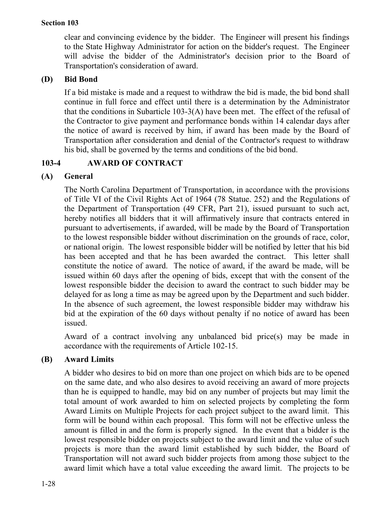clear and convincing evidence by the bidder. The Engineer will present his findings to the State Highway Administrator for action on the bidder's request. The Engineer will advise the bidder of the Administrator's decision prior to the Board of Transportation's consideration of award.

## **(D) Bid Bond**

If a bid mistake is made and a request to withdraw the bid is made, the bid bond shall continue in full force and effect until there is a determination by the Administrator that the conditions in Subarticle 103-3(A) have been met. The effect of the refusal of the Contractor to give payment and performance bonds within 14 calendar days after the notice of award is received by him, if award has been made by the Board of Transportation after consideration and denial of the Contractor's request to withdraw his bid, shall be governed by the terms and conditions of the bid bond.

## **103-4 AWARD OF CONTRACT**

## **(A) General**

The North Carolina Department of Transportation, in accordance with the provisions of Title VI of the Civil Rights Act of 1964 (78 Statue. 252) and the Regulations of the Department of Transportation (49 CFR, Part 21), issued pursuant to such act, hereby notifies all bidders that it will affirmatively insure that contracts entered in pursuant to advertisements, if awarded, will be made by the Board of Transportation to the lowest responsible bidder without discrimination on the grounds of race, color, or national origin. The lowest responsible bidder will be notified by letter that his bid has been accepted and that he has been awarded the contract. This letter shall constitute the notice of award. The notice of award, if the award be made, will be issued within 60 days after the opening of bids, except that with the consent of the lowest responsible bidder the decision to award the contract to such bidder may be delayed for as long a time as may be agreed upon by the Department and such bidder. In the absence of such agreement, the lowest responsible bidder may withdraw his bid at the expiration of the 60 days without penalty if no notice of award has been issued.

Award of a contract involving any unbalanced bid price(s) may be made in accordance with the requirements of Article 102-15.

## **(B) Award Limits**

A bidder who desires to bid on more than one project on which bids are to be opened on the same date, and who also desires to avoid receiving an award of more projects than he is equipped to handle, may bid on any number of projects but may limit the total amount of work awarded to him on selected projects by completing the form Award Limits on Multiple Projects for each project subject to the award limit. This form will be bound within each proposal. This form will not be effective unless the amount is filled in and the form is properly signed. In the event that a bidder is the lowest responsible bidder on projects subject to the award limit and the value of such projects is more than the award limit established by such bidder, the Board of Transportation will not award such bidder projects from among those subject to the award limit which have a total value exceeding the award limit. The projects to be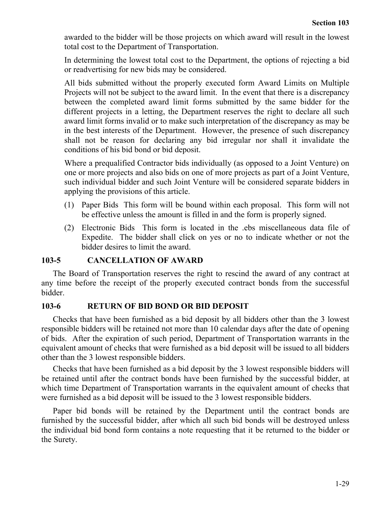awarded to the bidder will be those projects on which award will result in the lowest total cost to the Department of Transportation.

In determining the lowest total cost to the Department, the options of rejecting a bid or readvertising for new bids may be considered.

All bids submitted without the properly executed form Award Limits on Multiple Projects will not be subject to the award limit. In the event that there is a discrepancy between the completed award limit forms submitted by the same bidder for the different projects in a letting, the Department reserves the right to declare all such award limit forms invalid or to make such interpretation of the discrepancy as may be in the best interests of the Department. However, the presence of such discrepancy shall not be reason for declaring any bid irregular nor shall it invalidate the conditions of his bid bond or bid deposit.

Where a prequalified Contractor bids individually (as opposed to a Joint Venture) on one or more projects and also bids on one of more projects as part of a Joint Venture, such individual bidder and such Joint Venture will be considered separate bidders in applying the provisions of this article.

- (1) Paper Bids This form will be bound within each proposal. This form will not be effective unless the amount is filled in and the form is properly signed.
- (2) Electronic Bids This form is located in the .ebs miscellaneous data file of Expedite. The bidder shall click on yes or no to indicate whether or not the bidder desires to limit the award.

### **103-5 CANCELLATION OF AWARD**

The Board of Transportation reserves the right to rescind the award of any contract at any time before the receipt of the properly executed contract bonds from the successful bidder.

### **103-6 RETURN OF BID BOND OR BID DEPOSIT**

Checks that have been furnished as a bid deposit by all bidders other than the 3 lowest responsible bidders will be retained not more than 10 calendar days after the date of opening of bids. After the expiration of such period, Department of Transportation warrants in the equivalent amount of checks that were furnished as a bid deposit will be issued to all bidders other than the 3 lowest responsible bidders.

Checks that have been furnished as a bid deposit by the 3 lowest responsible bidders will be retained until after the contract bonds have been furnished by the successful bidder, at which time Department of Transportation warrants in the equivalent amount of checks that were furnished as a bid deposit will be issued to the 3 lowest responsible bidders.

Paper bid bonds will be retained by the Department until the contract bonds are furnished by the successful bidder, after which all such bid bonds will be destroyed unless the individual bid bond form contains a note requesting that it be returned to the bidder or the Surety.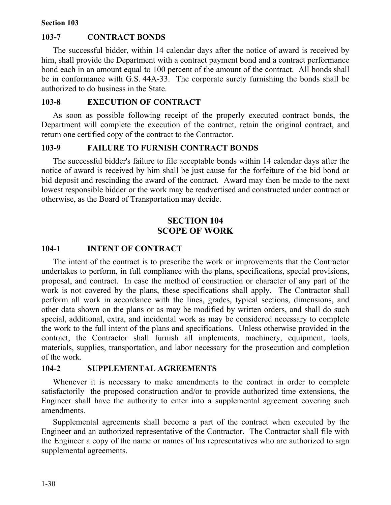### **103-7 CONTRACT BONDS**

The successful bidder, within 14 calendar days after the notice of award is received by him, shall provide the Department with a contract payment bond and a contract performance bond each in an amount equal to 100 percent of the amount of the contract. All bonds shall be in conformance with G.S. 44A-33. The corporate surety furnishing the bonds shall be authorized to do business in the State.

#### **103-8 EXECUTION OF CONTRACT**

As soon as possible following receipt of the properly executed contract bonds, the Department will complete the execution of the contract, retain the original contract, and return one certified copy of the contract to the Contractor.

### **103-9 FAILURE TO FURNISH CONTRACT BONDS**

The successful bidder's failure to file acceptable bonds within 14 calendar days after the notice of award is received by him shall be just cause for the forfeiture of the bid bond or bid deposit and rescinding the award of the contract. Award may then be made to the next lowest responsible bidder or the work may be readvertised and constructed under contract or otherwise, as the Board of Transportation may decide.

## **SECTION 104 SCOPE OF WORK**

### **104-1 INTENT OF CONTRACT**

The intent of the contract is to prescribe the work or improvements that the Contractor undertakes to perform, in full compliance with the plans, specifications, special provisions, proposal, and contract. In case the method of construction or character of any part of the work is not covered by the plans, these specifications shall apply. The Contractor shall perform all work in accordance with the lines, grades, typical sections, dimensions, and other data shown on the plans or as may be modified by written orders, and shall do such special, additional, extra, and incidental work as may be considered necessary to complete the work to the full intent of the plans and specifications. Unless otherwise provided in the contract, the Contractor shall furnish all implements, machinery, equipment, tools, materials, supplies, transportation, and labor necessary for the prosecution and completion of the work.

### **104-2 SUPPLEMENTAL AGREEMENTS**

Whenever it is necessary to make amendments to the contract in order to complete satisfactorily the proposed construction and/or to provide authorized time extensions, the Engineer shall have the authority to enter into a supplemental agreement covering such amendments.

Supplemental agreements shall become a part of the contract when executed by the Engineer and an authorized representative of the Contractor. The Contractor shall file with the Engineer a copy of the name or names of his representatives who are authorized to sign supplemental agreements.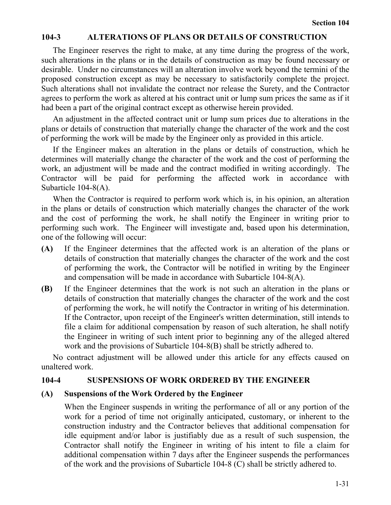### **104-3 ALTERATIONS OF PLANS OR DETAILS OF CONSTRUCTION**

The Engineer reserves the right to make, at any time during the progress of the work, such alterations in the plans or in the details of construction as may be found necessary or desirable. Under no circumstances will an alteration involve work beyond the termini of the proposed construction except as may be necessary to satisfactorily complete the project. Such alterations shall not invalidate the contract nor release the Surety, and the Contractor agrees to perform the work as altered at his contract unit or lump sum prices the same as if it had been a part of the original contract except as otherwise herein provided.

An adjustment in the affected contract unit or lump sum prices due to alterations in the plans or details of construction that materially change the character of the work and the cost of performing the work will be made by the Engineer only as provided in this article.

If the Engineer makes an alteration in the plans or details of construction, which he determines will materially change the character of the work and the cost of performing the work, an adjustment will be made and the contract modified in writing accordingly. The Contractor will be paid for performing the affected work in accordance with Subarticle 104-8(A).

When the Contractor is required to perform work which is, in his opinion, an alteration in the plans or details of construction which materially changes the character of the work and the cost of performing the work, he shall notify the Engineer in writing prior to performing such work. The Engineer will investigate and, based upon his determination, one of the following will occur:

- **(A)** If the Engineer determines that the affected work is an alteration of the plans or details of construction that materially changes the character of the work and the cost of performing the work, the Contractor will be notified in writing by the Engineer and compensation will be made in accordance with Subarticle 104-8(A).
- **(B)** If the Engineer determines that the work is not such an alteration in the plans or details of construction that materially changes the character of the work and the cost of performing the work, he will notify the Contractor in writing of his determination. If the Contractor, upon receipt of the Engineer's written determination, still intends to file a claim for additional compensation by reason of such alteration, he shall notify the Engineer in writing of such intent prior to beginning any of the alleged altered work and the provisions of Subarticle 104-8(B) shall be strictly adhered to.

No contract adjustment will be allowed under this article for any effects caused on unaltered work.

### **104-4 SUSPENSIONS OF WORK ORDERED BY THE ENGINEER**

### **(A) Suspensions of the Work Ordered by the Engineer**

When the Engineer suspends in writing the performance of all or any portion of the work for a period of time not originally anticipated, customary, or inherent to the construction industry and the Contractor believes that additional compensation for idle equipment and/or labor is justifiably due as a result of such suspension, the Contractor shall notify the Engineer in writing of his intent to file a claim for additional compensation within 7 days after the Engineer suspends the performances of the work and the provisions of Subarticle 104-8 (C) shall be strictly adhered to.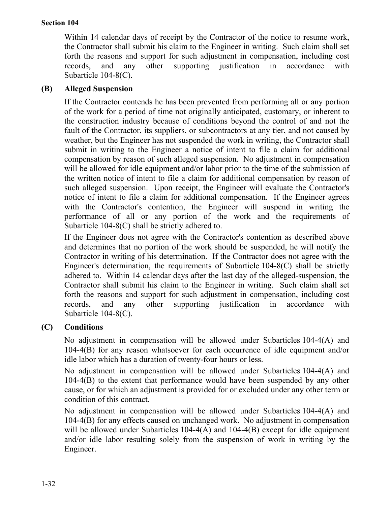Within 14 calendar days of receipt by the Contractor of the notice to resume work, the Contractor shall submit his claim to the Engineer in writing. Such claim shall set forth the reasons and support for such adjustment in compensation, including cost records, and any other supporting justification in accordance with Subarticle 104-8(C).

## **(B) Alleged Suspension**

If the Contractor contends he has been prevented from performing all or any portion of the work for a period of time not originally anticipated, customary, or inherent to the construction industry because of conditions beyond the control of and not the fault of the Contractor, its suppliers, or subcontractors at any tier, and not caused by weather, but the Engineer has not suspended the work in writing, the Contractor shall submit in writing to the Engineer a notice of intent to file a claim for additional compensation by reason of such alleged suspension. No adjustment in compensation will be allowed for idle equipment and/or labor prior to the time of the submission of the written notice of intent to file a claim for additional compensation by reason of such alleged suspension. Upon receipt, the Engineer will evaluate the Contractor's notice of intent to file a claim for additional compensation. If the Engineer agrees with the Contractor's contention, the Engineer will suspend in writing the performance of all or any portion of the work and the requirements of Subarticle 104-8(C) shall be strictly adhered to.

If the Engineer does not agree with the Contractor's contention as described above and determines that no portion of the work should be suspended, he will notify the Contractor in writing of his determination. If the Contractor does not agree with the Engineer's determination, the requirements of Subarticle 104-8(C) shall be strictly adhered to. Within 14 calendar days after the last day of the alleged-suspension, the Contractor shall submit his claim to the Engineer in writing. Such claim shall set forth the reasons and support for such adjustment in compensation, including cost records, and any other supporting justification in accordance with Subarticle 104-8(C).

## **(C) Conditions**

No adjustment in compensation will be allowed under Subarticles 104-4(A) and 104-4(B) for any reason whatsoever for each occurrence of idle equipment and/or idle labor which has a duration of twenty-four hours or less.

No adjustment in compensation will be allowed under Subarticles 104-4(A) and 104-4(B) to the extent that performance would have been suspended by any other cause, or for which an adjustment is provided for or excluded under any other term or condition of this contract.

No adjustment in compensation will be allowed under Subarticles 104-4(A) and 104-4(B) for any effects caused on unchanged work. No adjustment in compensation will be allowed under Subarticles 104-4(A) and 104-4(B) except for idle equipment and/or idle labor resulting solely from the suspension of work in writing by the Engineer.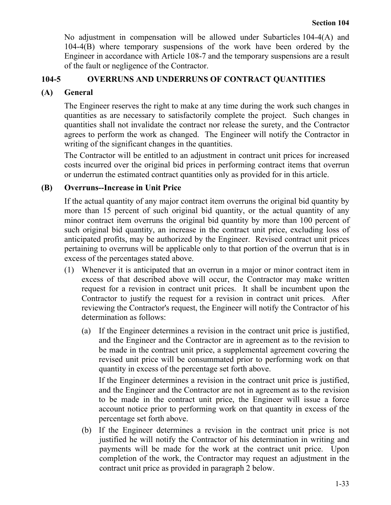No adjustment in compensation will be allowed under Subarticles 104-4(A) and 104-4(B) where temporary suspensions of the work have been ordered by the Engineer in accordance with Article 108-7 and the temporary suspensions are a result of the fault or negligence of the Contractor.

## **104-5 OVERRUNS AND UNDERRUNS OF CONTRACT QUANTITIES**

## **(A) General**

The Engineer reserves the right to make at any time during the work such changes in quantities as are necessary to satisfactorily complete the project. Such changes in quantities shall not invalidate the contract nor release the surety, and the Contractor agrees to perform the work as changed. The Engineer will notify the Contractor in writing of the significant changes in the quantities.

The Contractor will be entitled to an adjustment in contract unit prices for increased costs incurred over the original bid prices in performing contract items that overrun or underrun the estimated contract quantities only as provided for in this article.

## **(B) Overruns--Increase in Unit Price**

If the actual quantity of any major contract item overruns the original bid quantity by more than 15 percent of such original bid quantity, or the actual quantity of any minor contract item overruns the original bid quantity by more than 100 percent of such original bid quantity, an increase in the contract unit price, excluding loss of anticipated profits, may be authorized by the Engineer. Revised contract unit prices pertaining to overruns will be applicable only to that portion of the overrun that is in excess of the percentages stated above.

- (1) Whenever it is anticipated that an overrun in a major or minor contract item in excess of that described above will occur, the Contractor may make written request for a revision in contract unit prices. It shall be incumbent upon the Contractor to justify the request for a revision in contract unit prices. After reviewing the Contractor's request, the Engineer will notify the Contractor of his determination as follows:
	- (a) If the Engineer determines a revision in the contract unit price is justified, and the Engineer and the Contractor are in agreement as to the revision to be made in the contract unit price, a supplemental agreement covering the revised unit price will be consummated prior to performing work on that quantity in excess of the percentage set forth above.

If the Engineer determines a revision in the contract unit price is justified, and the Engineer and the Contractor are not in agreement as to the revision to be made in the contract unit price, the Engineer will issue a force account notice prior to performing work on that quantity in excess of the percentage set forth above.

(b) If the Engineer determines a revision in the contract unit price is not justified he will notify the Contractor of his determination in writing and payments will be made for the work at the contract unit price. Upon completion of the work, the Contractor may request an adjustment in the contract unit price as provided in paragraph 2 below.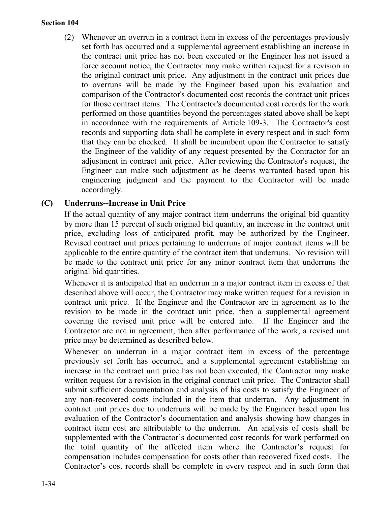(2) Whenever an overrun in a contract item in excess of the percentages previously set forth has occurred and a supplemental agreement establishing an increase in the contract unit price has not been executed or the Engineer has not issued a force account notice, the Contractor may make written request for a revision in the original contract unit price. Any adjustment in the contract unit prices due to overruns will be made by the Engineer based upon his evaluation and comparison of the Contractor's documented cost records the contract unit prices for those contract items. The Contractor's documented cost records for the work performed on those quantities beyond the percentages stated above shall be kept in accordance with the requirements of Article 109-3. The Contractor's cost records and supporting data shall be complete in every respect and in such form that they can be checked. It shall be incumbent upon the Contractor to satisfy the Engineer of the validity of any request presented by the Contractor for an adjustment in contract unit price. After reviewing the Contractor's request, the Engineer can make such adjustment as he deems warranted based upon his engineering judgment and the payment to the Contractor will be made accordingly.

### **(C) Underruns--Increase in Unit Price**

If the actual quantity of any major contract item underruns the original bid quantity by more than 15 percent of such original bid quantity, an increase in the contract unit price, excluding loss of anticipated profit, may be authorized by the Engineer. Revised contract unit prices pertaining to underruns of major contract items will be applicable to the entire quantity of the contract item that underruns. No revision will be made to the contract unit price for any minor contract item that underruns the original bid quantities.

Whenever it is anticipated that an underrun in a major contract item in excess of that described above will occur, the Contractor may make written request for a revision in contract unit price. If the Engineer and the Contractor are in agreement as to the revision to be made in the contract unit price, then a supplemental agreement covering the revised unit price will be entered into. If the Engineer and the Contractor are not in agreement, then after performance of the work, a revised unit price may be determined as described below.

Whenever an underrun in a major contract item in excess of the percentage previously set forth has occurred, and a supplemental agreement establishing an increase in the contract unit price has not been executed, the Contractor may make written request for a revision in the original contract unit price. The Contractor shall submit sufficient documentation and analysis of his costs to satisfy the Engineer of any non-recovered costs included in the item that underran. Any adjustment in contract unit prices due to underruns will be made by the Engineer based upon his evaluation of the Contractor's documentation and analysis showing how changes in contract item cost are attributable to the underrun. An analysis of costs shall be supplemented with the Contractor's documented cost records for work performed on the total quantity of the affected item where the Contractor's request for compensation includes compensation for costs other than recovered fixed costs. The Contractor's cost records shall be complete in every respect and in such form that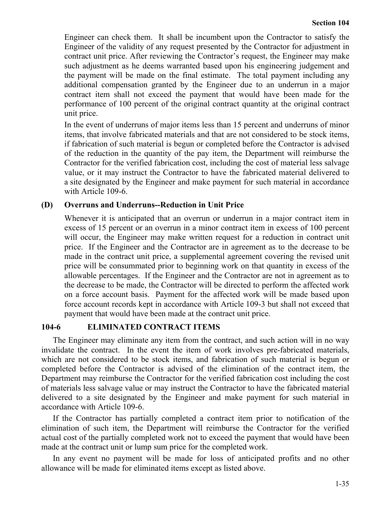Engineer can check them. It shall be incumbent upon the Contractor to satisfy the Engineer of the validity of any request presented by the Contractor for adjustment in contract unit price. After reviewing the Contractor's request, the Engineer may make such adjustment as he deems warranted based upon his engineering judgement and the payment will be made on the final estimate. The total payment including any additional compensation granted by the Engineer due to an underrun in a major contract item shall not exceed the payment that would have been made for the performance of 100 percent of the original contract quantity at the original contract unit price.

In the event of underruns of major items less than 15 percent and underruns of minor items, that involve fabricated materials and that are not considered to be stock items, if fabrication of such material is begun or completed before the Contractor is advised of the reduction in the quantity of the pay item, the Department will reimburse the Contractor for the verified fabrication cost, including the cost of material less salvage value, or it may instruct the Contractor to have the fabricated material delivered to a site designated by the Engineer and make payment for such material in accordance with Article 109-6.

### **(D) Overruns and Underruns--Reduction in Unit Price**

Whenever it is anticipated that an overrun or underrun in a major contract item in excess of 15 percent or an overrun in a minor contract item in excess of 100 percent will occur, the Engineer may make written request for a reduction in contract unit price. If the Engineer and the Contractor are in agreement as to the decrease to be made in the contract unit price, a supplemental agreement covering the revised unit price will be consummated prior to beginning work on that quantity in excess of the allowable percentages. If the Engineer and the Contractor are not in agreement as to the decrease to be made, the Contractor will be directed to perform the affected work on a force account basis. Payment for the affected work will be made based upon force account records kept in accordance with Article 109-3 but shall not exceed that payment that would have been made at the contract unit price.

### **104-6 ELIMINATED CONTRACT ITEMS**

The Engineer may eliminate any item from the contract, and such action will in no way invalidate the contract. In the event the item of work involves pre-fabricated materials, which are not considered to be stock items, and fabrication of such material is begun or completed before the Contractor is advised of the elimination of the contract item, the Department may reimburse the Contractor for the verified fabrication cost including the cost of materials less salvage value or may instruct the Contractor to have the fabricated material delivered to a site designated by the Engineer and make payment for such material in accordance with Article 109-6.

If the Contractor has partially completed a contract item prior to notification of the elimination of such item, the Department will reimburse the Contractor for the verified actual cost of the partially completed work not to exceed the payment that would have been made at the contract unit or lump sum price for the completed work.

In any event no payment will be made for loss of anticipated profits and no other allowance will be made for eliminated items except as listed above.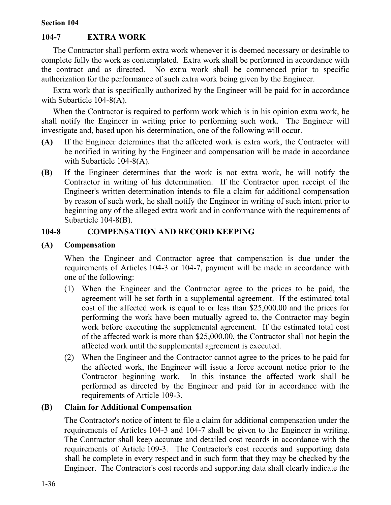## **104-7 EXTRA WORK**

The Contractor shall perform extra work whenever it is deemed necessary or desirable to complete fully the work as contemplated. Extra work shall be performed in accordance with the contract and as directed. No extra work shall be commenced prior to specific authorization for the performance of such extra work being given by the Engineer.

Extra work that is specifically authorized by the Engineer will be paid for in accordance with Subarticle 104-8(A).

When the Contractor is required to perform work which is in his opinion extra work, he shall notify the Engineer in writing prior to performing such work. The Engineer will investigate and, based upon his determination, one of the following will occur.

- **(A)** If the Engineer determines that the affected work is extra work, the Contractor will be notified in writing by the Engineer and compensation will be made in accordance with Subarticle 104-8(A).
- **(B)** If the Engineer determines that the work is not extra work, he will notify the Contractor in writing of his determination. If the Contractor upon receipt of the Engineer's written determination intends to file a claim for additional compensation by reason of such work, he shall notify the Engineer in writing of such intent prior to beginning any of the alleged extra work and in conformance with the requirements of Subarticle 104-8(B).

## **104-8 COMPENSATION AND RECORD KEEPING**

## **(A) Compensation**

When the Engineer and Contractor agree that compensation is due under the requirements of Articles 104-3 or 104-7, payment will be made in accordance with one of the following:

- (1) When the Engineer and the Contractor agree to the prices to be paid, the agreement will be set forth in a supplemental agreement. If the estimated total cost of the affected work is equal to or less than \$25,000.00 and the prices for performing the work have been mutually agreed to, the Contractor may begin work before executing the supplemental agreement. If the estimated total cost of the affected work is more than \$25,000.00, the Contractor shall not begin the affected work until the supplemental agreement is executed.
- (2) When the Engineer and the Contractor cannot agree to the prices to be paid for the affected work, the Engineer will issue a force account notice prior to the Contractor beginning work. In this instance the affected work shall be performed as directed by the Engineer and paid for in accordance with the requirements of Article 109-3.

### **(B) Claim for Additional Compensation**

The Contractor's notice of intent to file a claim for additional compensation under the requirements of Articles 104-3 and 104-7 shall be given to the Engineer in writing. The Contractor shall keep accurate and detailed cost records in accordance with the requirements of Article 109-3. The Contractor's cost records and supporting data shall be complete in every respect and in such form that they may be checked by the Engineer. The Contractor's cost records and supporting data shall clearly indicate the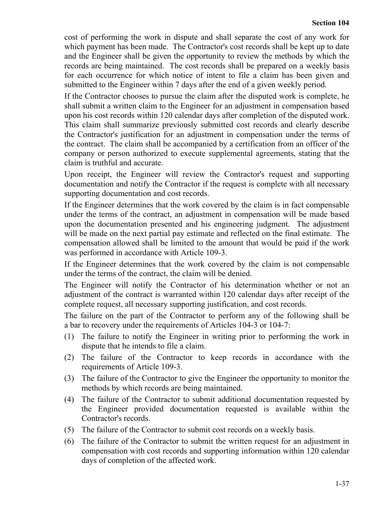cost of performing the work in dispute and shall separate the cost of any work for which payment has been made. The Contractor's cost records shall be kept up to date and the Engineer shall be given the opportunity to review the methods by which the records are being maintained. The cost records shall be prepared on a weekly basis for each occurrence for which notice of intent to file a claim has been given and submitted to the Engineer within 7 days after the end of a given weekly period.

If the Contractor chooses to pursue the claim after the disputed work is complete, he shall submit a written claim to the Engineer for an adjustment in compensation based upon his cost records within 120 calendar days after completion of the disputed work. This claim shall summarize previously submitted cost records and clearly describe the Contractor's justification for an adjustment in compensation under the terms of the contract. The claim shall be accompanied by a certification from an officer of the company or person authorized to execute supplemental agreements, stating that the claim is truthful and accurate.

Upon receipt, the Engineer will review the Contractor's request and supporting documentation and notify the Contractor if the request is complete with all necessary supporting documentation and cost records.

If the Engineer determines that the work covered by the claim is in fact compensable under the terms of the contract, an adjustment in compensation will be made based upon the documentation presented and his engineering judgment. The adjustment will be made on the next partial pay estimate and reflected on the final estimate. The compensation allowed shall be limited to the amount that would be paid if the work was performed in accordance with Article 109-3.

If the Engineer determines that the work covered by the claim is not compensable under the terms of the contract, the claim will be denied.

The Engineer will notify the Contractor of his determination whether or not an adjustment of the contract is warranted within 120 calendar days after receipt of the complete request, all necessary supporting justification, and cost records.

The failure on the part of the Contractor to perform any of the following shall be a bar to recovery under the requirements of Articles 104-3 or 104-7:

- (1) The failure to notify the Engineer in writing prior to performing the work in dispute that he intends to file a claim.
- (2) The failure of the Contractor to keep records in accordance with the requirements of Article 109-3.
- (3) The failure of the Contractor to give the Engineer the opportunity to monitor the methods by which records are being maintained.
- (4) The failure of the Contractor to submit additional documentation requested by the Engineer provided documentation requested is available within the Contractor's records.
- (5) The failure of the Contractor to submit cost records on a weekly basis.
- (6) The failure of the Contractor to submit the written request for an adjustment in compensation with cost records and supporting information within 120 calendar days of completion of the affected work.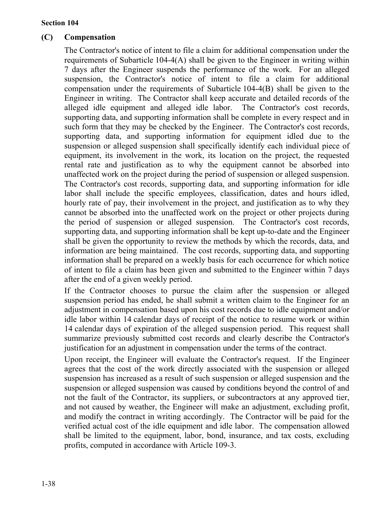### **(C) Compensation**

The Contractor's notice of intent to file a claim for additional compensation under the requirements of Subarticle 104-4(A) shall be given to the Engineer in writing within 7 days after the Engineer suspends the performance of the work. For an alleged suspension, the Contractor's notice of intent to file a claim for additional compensation under the requirements of Subarticle 104-4(B) shall be given to the Engineer in writing. The Contractor shall keep accurate and detailed records of the alleged idle equipment and alleged idle labor. The Contractor's cost records, supporting data, and supporting information shall be complete in every respect and in such form that they may be checked by the Engineer. The Contractor's cost records, supporting data, and supporting information for equipment idled due to the suspension or alleged suspension shall specifically identify each individual piece of equipment, its involvement in the work, its location on the project, the requested rental rate and justification as to why the equipment cannot be absorbed into unaffected work on the project during the period of suspension or alleged suspension. The Contractor's cost records, supporting data, and supporting information for idle labor shall include the specific employees, classification, dates and hours idled, hourly rate of pay, their involvement in the project, and justification as to why they cannot be absorbed into the unaffected work on the project or other projects during the period of suspension or alleged suspension. The Contractor's cost records, supporting data, and supporting information shall be kept up-to-date and the Engineer shall be given the opportunity to review the methods by which the records, data, and information are being maintained. The cost records, supporting data, and supporting information shall be prepared on a weekly basis for each occurrence for which notice of intent to file a claim has been given and submitted to the Engineer within 7 days after the end of a given weekly period.

If the Contractor chooses to pursue the claim after the suspension or alleged suspension period has ended, he shall submit a written claim to the Engineer for an adjustment in compensation based upon his cost records due to idle equipment and/or idle labor within 14 calendar days of receipt of the notice to resume work or within 14 calendar days of expiration of the alleged suspension period. This request shall summarize previously submitted cost records and clearly describe the Contractor's justification for an adjustment in compensation under the terms of the contract.

Upon receipt, the Engineer will evaluate the Contractor's request. If the Engineer agrees that the cost of the work directly associated with the suspension or alleged suspension has increased as a result of such suspension or alleged suspension and the suspension or alleged suspension was caused by conditions beyond the control of and not the fault of the Contractor, its suppliers, or subcontractors at any approved tier, and not caused by weather, the Engineer will make an adjustment, excluding profit, and modify the contract in writing accordingly. The Contractor will be paid for the verified actual cost of the idle equipment and idle labor. The compensation allowed shall be limited to the equipment, labor, bond, insurance, and tax costs, excluding profits, computed in accordance with Article 109-3.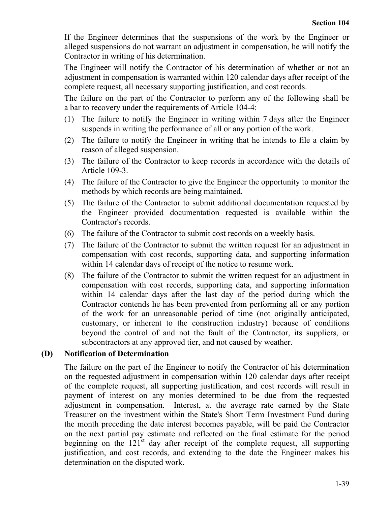If the Engineer determines that the suspensions of the work by the Engineer or alleged suspensions do not warrant an adjustment in compensation, he will notify the Contractor in writing of his determination.

The Engineer will notify the Contractor of his determination of whether or not an adjustment in compensation is warranted within 120 calendar days after receipt of the complete request, all necessary supporting justification, and cost records.

The failure on the part of the Contractor to perform any of the following shall be a bar to recovery under the requirements of Article 104-4:

- (1) The failure to notify the Engineer in writing within 7 days after the Engineer suspends in writing the performance of all or any portion of the work.
- (2) The failure to notify the Engineer in writing that he intends to file a claim by reason of alleged suspension.
- (3) The failure of the Contractor to keep records in accordance with the details of Article 109-3.
- (4) The failure of the Contractor to give the Engineer the opportunity to monitor the methods by which records are being maintained.
- (5) The failure of the Contractor to submit additional documentation requested by the Engineer provided documentation requested is available within the Contractor's records.
- (6) The failure of the Contractor to submit cost records on a weekly basis.
- (7) The failure of the Contractor to submit the written request for an adjustment in compensation with cost records, supporting data, and supporting information within 14 calendar days of receipt of the notice to resume work.
- (8) The failure of the Contractor to submit the written request for an adjustment in compensation with cost records, supporting data, and supporting information within 14 calendar days after the last day of the period during which the Contractor contends he has been prevented from performing all or any portion of the work for an unreasonable period of time (not originally anticipated, customary, or inherent to the construction industry) because of conditions beyond the control of and not the fault of the Contractor, its suppliers, or subcontractors at any approved tier, and not caused by weather.

### **(D) Notification of Determination**

The failure on the part of the Engineer to notify the Contractor of his determination on the requested adjustment in compensation within 120 calendar days after receipt of the complete request, all supporting justification, and cost records will result in payment of interest on any monies determined to be due from the requested adjustment in compensation. Interest, at the average rate earned by the State Treasurer on the investment within the State's Short Term Investment Fund during the month preceding the date interest becomes payable, will be paid the Contractor on the next partial pay estimate and reflected on the final estimate for the period beginning on the  $121<sup>st</sup>$  day after receipt of the complete request, all supporting justification, and cost records, and extending to the date the Engineer makes his determination on the disputed work.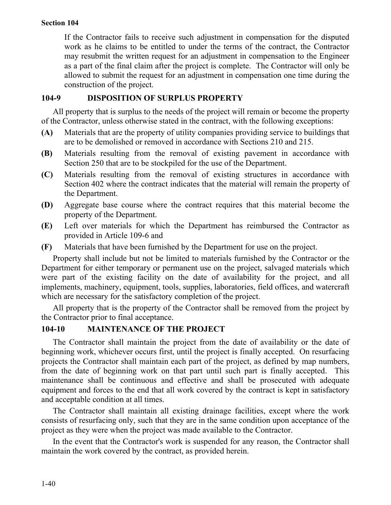If the Contractor fails to receive such adjustment in compensation for the disputed work as he claims to be entitled to under the terms of the contract, the Contractor may resubmit the written request for an adjustment in compensation to the Engineer as a part of the final claim after the project is complete. The Contractor will only be allowed to submit the request for an adjustment in compensation one time during the construction of the project.

### **104-9 DISPOSITION OF SURPLUS PROPERTY**

All property that is surplus to the needs of the project will remain or become the property of the Contractor, unless otherwise stated in the contract, with the following exceptions:

- **(A)** Materials that are the property of utility companies providing service to buildings that are to be demolished or removed in accordance with Sections 210 and 215.
- **(B)** Materials resulting from the removal of existing pavement in accordance with Section 250 that are to be stockpiled for the use of the Department.
- **(C)** Materials resulting from the removal of existing structures in accordance with Section 402 where the contract indicates that the material will remain the property of the Department.
- **(D)** Aggregate base course where the contract requires that this material become the property of the Department.
- **(E)** Left over materials for which the Department has reimbursed the Contractor as provided in Article 109-6 and
- **(F)** Materials that have been furnished by the Department for use on the project.

Property shall include but not be limited to materials furnished by the Contractor or the Department for either temporary or permanent use on the project, salvaged materials which were part of the existing facility on the date of availability for the project, and all implements, machinery, equipment, tools, supplies, laboratories, field offices, and watercraft which are necessary for the satisfactory completion of the project.

All property that is the property of the Contractor shall be removed from the project by the Contractor prior to final acceptance.

### **104-10 MAINTENANCE OF THE PROJECT**

The Contractor shall maintain the project from the date of availability or the date of beginning work, whichever occurs first, until the project is finally accepted. On resurfacing projects the Contractor shall maintain each part of the project, as defined by map numbers, from the date of beginning work on that part until such part is finally accepted. This maintenance shall be continuous and effective and shall be prosecuted with adequate equipment and forces to the end that all work covered by the contract is kept in satisfactory and acceptable condition at all times.

The Contractor shall maintain all existing drainage facilities, except where the work consists of resurfacing only, such that they are in the same condition upon acceptance of the project as they were when the project was made available to the Contractor.

In the event that the Contractor's work is suspended for any reason, the Contractor shall maintain the work covered by the contract, as provided herein.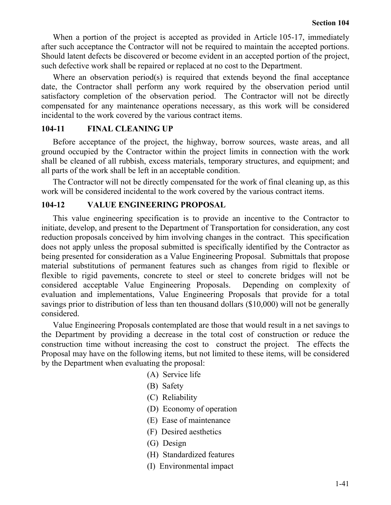When a portion of the project is accepted as provided in Article 105-17, immediately after such acceptance the Contractor will not be required to maintain the accepted portions. Should latent defects be discovered or become evident in an accepted portion of the project, such defective work shall be repaired or replaced at no cost to the Department.

Where an observation period(s) is required that extends beyond the final acceptance date, the Contractor shall perform any work required by the observation period until satisfactory completion of the observation period. The Contractor will not be directly compensated for any maintenance operations necessary, as this work will be considered incidental to the work covered by the various contract items.

#### **104-11 FINAL CLEANING UP**

Before acceptance of the project, the highway, borrow sources, waste areas, and all ground occupied by the Contractor within the project limits in connection with the work shall be cleaned of all rubbish, excess materials, temporary structures, and equipment; and all parts of the work shall be left in an acceptable condition.

The Contractor will not be directly compensated for the work of final cleaning up, as this work will be considered incidental to the work covered by the various contract items.

#### **104-12 VALUE ENGINEERING PROPOSAL**

This value engineering specification is to provide an incentive to the Contractor to initiate, develop, and present to the Department of Transportation for consideration, any cost reduction proposals conceived by him involving changes in the contract. This specification does not apply unless the proposal submitted is specifically identified by the Contractor as being presented for consideration as a Value Engineering Proposal. Submittals that propose material substitutions of permanent features such as changes from rigid to flexible or flexible to rigid pavements, concrete to steel or steel to concrete bridges will not be considered acceptable Value Engineering Proposals. Depending on complexity of evaluation and implementations, Value Engineering Proposals that provide for a total savings prior to distribution of less than ten thousand dollars (\$10,000) will not be generally considered.

Value Engineering Proposals contemplated are those that would result in a net savings to the Department by providing a decrease in the total cost of construction or reduce the construction time without increasing the cost to construct the project. The effects the Proposal may have on the following items, but not limited to these items, will be considered by the Department when evaluating the proposal:

- (A) Service life
- (B) Safety
- (C) Reliability
- (D) Economy of operation
- (E) Ease of maintenance
- (F) Desired aesthetics
- (G) Design
- (H) Standardized features
- (I) Environmental impact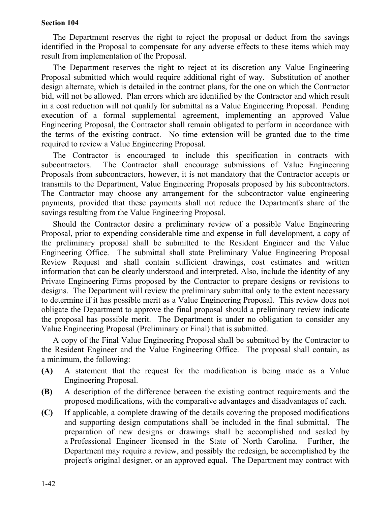The Department reserves the right to reject the proposal or deduct from the savings identified in the Proposal to compensate for any adverse effects to these items which may result from implementation of the Proposal.

The Department reserves the right to reject at its discretion any Value Engineering Proposal submitted which would require additional right of way. Substitution of another design alternate, which is detailed in the contract plans, for the one on which the Contractor bid, will not be allowed. Plan errors which are identified by the Contractor and which result in a cost reduction will not qualify for submittal as a Value Engineering Proposal. Pending execution of a formal supplemental agreement, implementing an approved Value Engineering Proposal, the Contractor shall remain obligated to perform in accordance with the terms of the existing contract. No time extension will be granted due to the time required to review a Value Engineering Proposal.

The Contractor is encouraged to include this specification in contracts with subcontractors. The Contractor shall encourage submissions of Value Engineering Proposals from subcontractors, however, it is not mandatory that the Contractor accepts or transmits to the Department, Value Engineering Proposals proposed by his subcontractors. The Contractor may choose any arrangement for the subcontractor value engineering payments, provided that these payments shall not reduce the Department's share of the savings resulting from the Value Engineering Proposal.

Should the Contractor desire a preliminary review of a possible Value Engineering Proposal, prior to expending considerable time and expense in full development, a copy of the preliminary proposal shall be submitted to the Resident Engineer and the Value Engineering Office. The submittal shall state Preliminary Value Engineering Proposal Review Request and shall contain sufficient drawings, cost estimates and written information that can be clearly understood and interpreted. Also, include the identity of any Private Engineering Firms proposed by the Contractor to prepare designs or revisions to designs. The Department will review the preliminary submittal only to the extent necessary to determine if it has possible merit as a Value Engineering Proposal. This review does not obligate the Department to approve the final proposal should a preliminary review indicate the proposal has possible merit. The Department is under no obligation to consider any Value Engineering Proposal (Preliminary or Final) that is submitted.

A copy of the Final Value Engineering Proposal shall be submitted by the Contractor to the Resident Engineer and the Value Engineering Office. The proposal shall contain, as a minimum, the following:

- **(A)** A statement that the request for the modification is being made as a Value Engineering Proposal.
- **(B)** A description of the difference between the existing contract requirements and the proposed modifications, with the comparative advantages and disadvantages of each.
- **(C)** If applicable, a complete drawing of the details covering the proposed modifications and supporting design computations shall be included in the final submittal. The preparation of new designs or drawings shall be accomplished and sealed by a Professional Engineer licensed in the State of North Carolina. Further, the Department may require a review, and possibly the redesign, be accomplished by the project's original designer, or an approved equal. The Department may contract with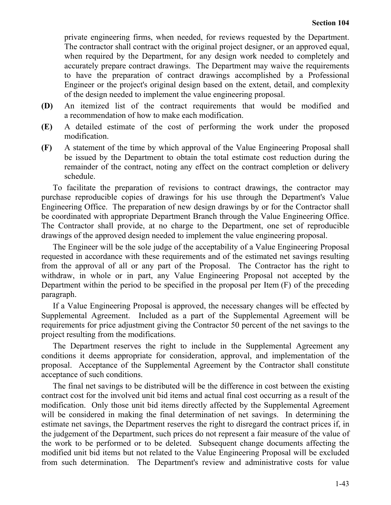private engineering firms, when needed, for reviews requested by the Department. The contractor shall contract with the original project designer, or an approved equal, when required by the Department, for any design work needed to completely and accurately prepare contract drawings. The Department may waive the requirements to have the preparation of contract drawings accomplished by a Professional Engineer or the project's original design based on the extent, detail, and complexity of the design needed to implement the value engineering proposal.

- **(D)** An itemized list of the contract requirements that would be modified and a recommendation of how to make each modification.
- **(E)** A detailed estimate of the cost of performing the work under the proposed modification.
- **(F)** A statement of the time by which approval of the Value Engineering Proposal shall be issued by the Department to obtain the total estimate cost reduction during the remainder of the contract, noting any effect on the contract completion or delivery schedule.

To facilitate the preparation of revisions to contract drawings, the contractor may purchase reproducible copies of drawings for his use through the Department's Value Engineering Office. The preparation of new design drawings by or for the Contractor shall be coordinated with appropriate Department Branch through the Value Engineering Office. The Contractor shall provide, at no charge to the Department, one set of reproducible drawings of the approved design needed to implement the value engineering proposal.

The Engineer will be the sole judge of the acceptability of a Value Engineering Proposal requested in accordance with these requirements and of the estimated net savings resulting from the approval of all or any part of the Proposal. The Contractor has the right to withdraw, in whole or in part, any Value Engineering Proposal not accepted by the Department within the period to be specified in the proposal per Item (F) of the preceding paragraph.

If a Value Engineering Proposal is approved, the necessary changes will be effected by Supplemental Agreement. Included as a part of the Supplemental Agreement will be requirements for price adjustment giving the Contractor 50 percent of the net savings to the project resulting from the modifications.

The Department reserves the right to include in the Supplemental Agreement any conditions it deems appropriate for consideration, approval, and implementation of the proposal. Acceptance of the Supplemental Agreement by the Contractor shall constitute acceptance of such conditions.

The final net savings to be distributed will be the difference in cost between the existing contract cost for the involved unit bid items and actual final cost occurring as a result of the modification. Only those unit bid items directly affected by the Supplemental Agreement will be considered in making the final determination of net savings. In determining the estimate net savings, the Department reserves the right to disregard the contract prices if, in the judgement of the Department, such prices do not represent a fair measure of the value of the work to be performed or to be deleted. Subsequent change documents affecting the modified unit bid items but not related to the Value Engineering Proposal will be excluded from such determination. The Department's review and administrative costs for value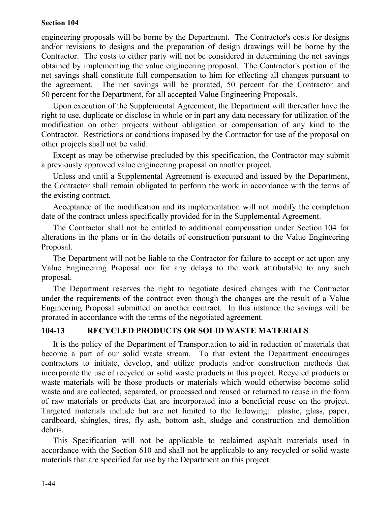engineering proposals will be borne by the Department. The Contractor's costs for designs and/or revisions to designs and the preparation of design drawings will be borne by the Contractor. The costs to either party will not be considered in determining the net savings obtained by implementing the value engineering proposal. The Contractor's portion of the net savings shall constitute full compensation to him for effecting all changes pursuant to the agreement. The net savings will be prorated, 50 percent for the Contractor and 50 percent for the Department, for all accepted Value Engineering Proposals.

Upon execution of the Supplemental Agreement, the Department will thereafter have the right to use, duplicate or disclose in whole or in part any data necessary for utilization of the modification on other projects without obligation or compensation of any kind to the Contractor. Restrictions or conditions imposed by the Contractor for use of the proposal on other projects shall not be valid.

Except as may be otherwise precluded by this specification, the Contractor may submit a previously approved value engineering proposal on another project.

Unless and until a Supplemental Agreement is executed and issued by the Department, the Contractor shall remain obligated to perform the work in accordance with the terms of the existing contract.

Acceptance of the modification and its implementation will not modify the completion date of the contract unless specifically provided for in the Supplemental Agreement.

The Contractor shall not be entitled to additional compensation under Section 104 for alterations in the plans or in the details of construction pursuant to the Value Engineering Proposal.

The Department will not be liable to the Contractor for failure to accept or act upon any Value Engineering Proposal nor for any delays to the work attributable to any such proposal.

The Department reserves the right to negotiate desired changes with the Contractor under the requirements of the contract even though the changes are the result of a Value Engineering Proposal submitted on another contract. In this instance the savings will be prorated in accordance with the terms of the negotiated agreement.

# **104-13 RECYCLED PRODUCTS OR SOLID WASTE MATERIALS**

It is the policy of the Department of Transportation to aid in reduction of materials that become a part of our solid waste stream. To that extent the Department encourages contractors to initiate, develop, and utilize products and/or construction methods that incorporate the use of recycled or solid waste products in this project. Recycled products or waste materials will be those products or materials which would otherwise become solid waste and are collected, separated, or processed and reused or returned to reuse in the form of raw materials or products that are incorporated into a beneficial reuse on the project. Targeted materials include but are not limited to the following: plastic, glass, paper, cardboard, shingles, tires, fly ash, bottom ash, sludge and construction and demolition debris.

This Specification will not be applicable to reclaimed asphalt materials used in accordance with the Section 610 and shall not be applicable to any recycled or solid waste materials that are specified for use by the Department on this project.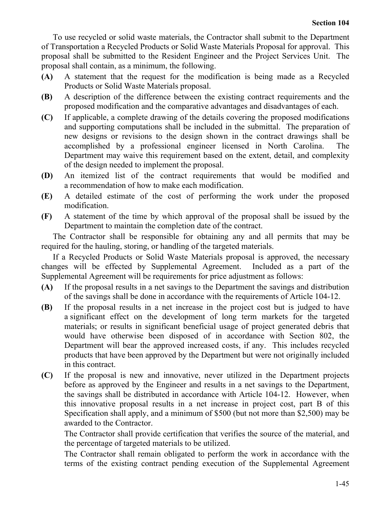To use recycled or solid waste materials, the Contractor shall submit to the Department of Transportation a Recycled Products or Solid Waste Materials Proposal for approval. This proposal shall be submitted to the Resident Engineer and the Project Services Unit. The proposal shall contain, as a minimum, the following.

- **(A)** A statement that the request for the modification is being made as a Recycled Products or Solid Waste Materials proposal.
- **(B)** A description of the difference between the existing contract requirements and the proposed modification and the comparative advantages and disadvantages of each.
- **(C)** If applicable, a complete drawing of the details covering the proposed modifications and supporting computations shall be included in the submittal. The preparation of new designs or revisions to the design shown in the contract drawings shall be accomplished by a professional engineer licensed in North Carolina. The Department may waive this requirement based on the extent, detail, and complexity of the design needed to implement the proposal.
- **(D)** An itemized list of the contract requirements that would be modified and a recommendation of how to make each modification.
- **(E)** A detailed estimate of the cost of performing the work under the proposed modification.
- **(F)** A statement of the time by which approval of the proposal shall be issued by the Department to maintain the completion date of the contract.

The Contractor shall be responsible for obtaining any and all permits that may be required for the hauling, storing, or handling of the targeted materials.

If a Recycled Products or Solid Waste Materials proposal is approved, the necessary changes will be effected by Supplemental Agreement. Included as a part of the Supplemental Agreement will be requirements for price adjustment as follows:

- **(A)** If the proposal results in a net savings to the Department the savings and distribution of the savings shall be done in accordance with the requirements of Article 104-12.
- **(B)** If the proposal results in a net increase in the project cost but is judged to have a significant effect on the development of long term markets for the targeted materials; or results in significant beneficial usage of project generated debris that would have otherwise been disposed of in accordance with Section 802, the Department will bear the approved increased costs, if any. This includes recycled products that have been approved by the Department but were not originally included in this contract.
- **(C)** If the proposal is new and innovative, never utilized in the Department projects before as approved by the Engineer and results in a net savings to the Department, the savings shall be distributed in accordance with Article 104-12. However, when this innovative proposal results in a net increase in project cost, part B of this Specification shall apply, and a minimum of \$500 (but not more than \$2,500) may be awarded to the Contractor.

The Contractor shall provide certification that verifies the source of the material, and the percentage of targeted materials to be utilized.

The Contractor shall remain obligated to perform the work in accordance with the terms of the existing contract pending execution of the Supplemental Agreement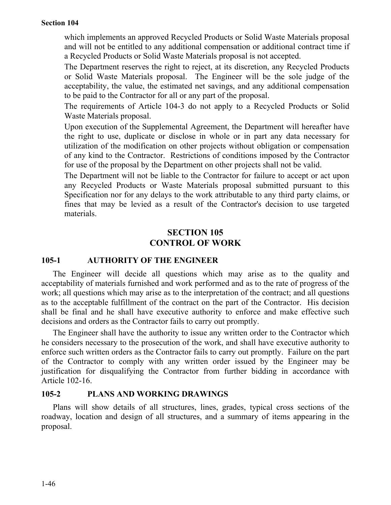which implements an approved Recycled Products or Solid Waste Materials proposal and will not be entitled to any additional compensation or additional contract time if a Recycled Products or Solid Waste Materials proposal is not accepted.

The Department reserves the right to reject, at its discretion, any Recycled Products or Solid Waste Materials proposal. The Engineer will be the sole judge of the acceptability, the value, the estimated net savings, and any additional compensation to be paid to the Contractor for all or any part of the proposal.

The requirements of Article 104-3 do not apply to a Recycled Products or Solid Waste Materials proposal.

Upon execution of the Supplemental Agreement, the Department will hereafter have the right to use, duplicate or disclose in whole or in part any data necessary for utilization of the modification on other projects without obligation or compensation of any kind to the Contractor. Restrictions of conditions imposed by the Contractor for use of the proposal by the Department on other projects shall not be valid.

The Department will not be liable to the Contractor for failure to accept or act upon any Recycled Products or Waste Materials proposal submitted pursuant to this Specification nor for any delays to the work attributable to any third party claims, or fines that may be levied as a result of the Contractor's decision to use targeted materials.

# **SECTION 105 CONTROL OF WORK**

### **105-1 AUTHORITY OF THE ENGINEER**

The Engineer will decide all questions which may arise as to the quality and acceptability of materials furnished and work performed and as to the rate of progress of the work; all questions which may arise as to the interpretation of the contract; and all questions as to the acceptable fulfillment of the contract on the part of the Contractor. His decision shall be final and he shall have executive authority to enforce and make effective such decisions and orders as the Contractor fails to carry out promptly.

The Engineer shall have the authority to issue any written order to the Contractor which he considers necessary to the prosecution of the work, and shall have executive authority to enforce such written orders as the Contractor fails to carry out promptly. Failure on the part of the Contractor to comply with any written order issued by the Engineer may be justification for disqualifying the Contractor from further bidding in accordance with Article 102-16.

### **105-2 PLANS AND WORKING DRAWINGS**

Plans will show details of all structures, lines, grades, typical cross sections of the roadway, location and design of all structures, and a summary of items appearing in the proposal.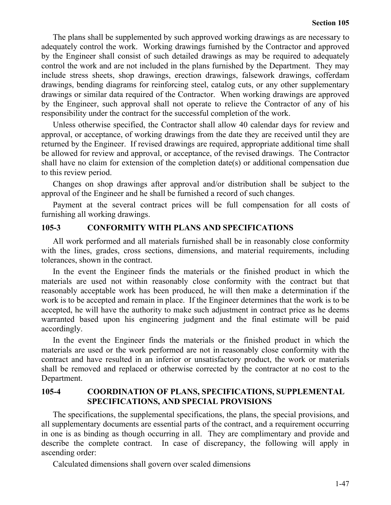The plans shall be supplemented by such approved working drawings as are necessary to adequately control the work. Working drawings furnished by the Contractor and approved by the Engineer shall consist of such detailed drawings as may be required to adequately control the work and are not included in the plans furnished by the Department. They may include stress sheets, shop drawings, erection drawings, falsework drawings, cofferdam drawings, bending diagrams for reinforcing steel, catalog cuts, or any other supplementary drawings or similar data required of the Contractor. When working drawings are approved by the Engineer, such approval shall not operate to relieve the Contractor of any of his responsibility under the contract for the successful completion of the work.

Unless otherwise specified, the Contractor shall allow 40 calendar days for review and approval, or acceptance, of working drawings from the date they are received until they are returned by the Engineer. If revised drawings are required, appropriate additional time shall be allowed for review and approval, or acceptance, of the revised drawings. The Contractor shall have no claim for extension of the completion date(s) or additional compensation due to this review period.

Changes on shop drawings after approval and/or distribution shall be subject to the approval of the Engineer and he shall be furnished a record of such changes.

Payment at the several contract prices will be full compensation for all costs of furnishing all working drawings.

### **105-3 CONFORMITY WITH PLANS AND SPECIFICATIONS**

All work performed and all materials furnished shall be in reasonably close conformity with the lines, grades, cross sections, dimensions, and material requirements, including tolerances, shown in the contract.

In the event the Engineer finds the materials or the finished product in which the materials are used not within reasonably close conformity with the contract but that reasonably acceptable work has been produced, he will then make a determination if the work is to be accepted and remain in place. If the Engineer determines that the work is to be accepted, he will have the authority to make such adjustment in contract price as he deems warranted based upon his engineering judgment and the final estimate will be paid accordingly.

In the event the Engineer finds the materials or the finished product in which the materials are used or the work performed are not in reasonably close conformity with the contract and have resulted in an inferior or unsatisfactory product, the work or materials shall be removed and replaced or otherwise corrected by the contractor at no cost to the Department.

### **105-4 COORDINATION OF PLANS, SPECIFICATIONS, SUPPLEMENTAL SPECIFICATIONS, AND SPECIAL PROVISIONS**

The specifications, the supplemental specifications, the plans, the special provisions, and all supplementary documents are essential parts of the contract, and a requirement occurring in one is as binding as though occurring in all. They are complimentary and provide and describe the complete contract. In case of discrepancy, the following will apply in ascending order:

Calculated dimensions shall govern over scaled dimensions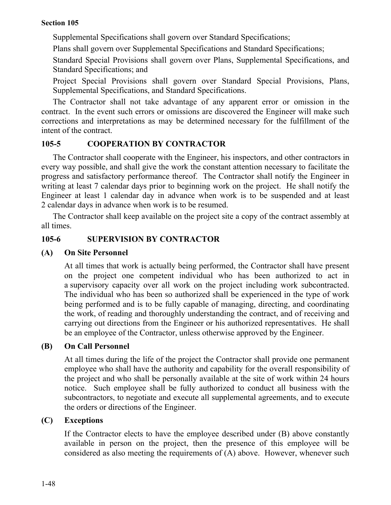Supplemental Specifications shall govern over Standard Specifications;

Plans shall govern over Supplemental Specifications and Standard Specifications;

Standard Special Provisions shall govern over Plans, Supplemental Specifications, and Standard Specifications; and

Project Special Provisions shall govern over Standard Special Provisions, Plans, Supplemental Specifications, and Standard Specifications.

The Contractor shall not take advantage of any apparent error or omission in the contract. In the event such errors or omissions are discovered the Engineer will make such corrections and interpretations as may be determined necessary for the fulfillment of the intent of the contract.

# **105-5 COOPERATION BY CONTRACTOR**

The Contractor shall cooperate with the Engineer, his inspectors, and other contractors in every way possible, and shall give the work the constant attention necessary to facilitate the progress and satisfactory performance thereof. The Contractor shall notify the Engineer in writing at least 7 calendar days prior to beginning work on the project. He shall notify the Engineer at least 1 calendar day in advance when work is to be suspended and at least 2 calendar days in advance when work is to be resumed.

The Contractor shall keep available on the project site a copy of the contract assembly at all times.

# **105-6 SUPERVISION BY CONTRACTOR**

### **(A) On Site Personnel**

At all times that work is actually being performed, the Contractor shall have present on the project one competent individual who has been authorized to act in a supervisory capacity over all work on the project including work subcontracted. The individual who has been so authorized shall be experienced in the type of work being performed and is to be fully capable of managing, directing, and coordinating the work, of reading and thoroughly understanding the contract, and of receiving and carrying out directions from the Engineer or his authorized representatives. He shall be an employee of the Contractor, unless otherwise approved by the Engineer.

# **(B) On Call Personnel**

At all times during the life of the project the Contractor shall provide one permanent employee who shall have the authority and capability for the overall responsibility of the project and who shall be personally available at the site of work within 24 hours notice. Such employee shall be fully authorized to conduct all business with the subcontractors, to negotiate and execute all supplemental agreements, and to execute the orders or directions of the Engineer.

# **(C) Exceptions**

If the Contractor elects to have the employee described under (B) above constantly available in person on the project, then the presence of this employee will be considered as also meeting the requirements of (A) above. However, whenever such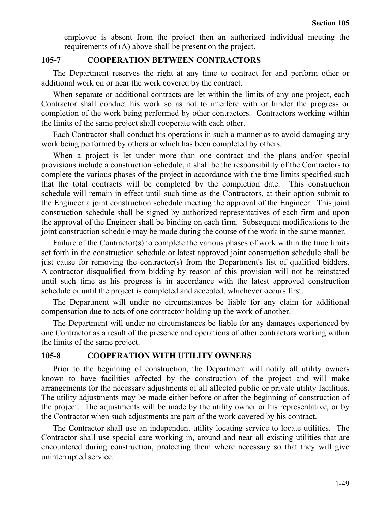employee is absent from the project then an authorized individual meeting the requirements of (A) above shall be present on the project.

#### **105-7 COOPERATION BETWEEN CONTRACTORS**

The Department reserves the right at any time to contract for and perform other or additional work on or near the work covered by the contract.

When separate or additional contracts are let within the limits of any one project, each Contractor shall conduct his work so as not to interfere with or hinder the progress or completion of the work being performed by other contractors. Contractors working within the limits of the same project shall cooperate with each other.

Each Contractor shall conduct his operations in such a manner as to avoid damaging any work being performed by others or which has been completed by others.

When a project is let under more than one contract and the plans and/or special provisions include a construction schedule, it shall be the responsibility of the Contractors to complete the various phases of the project in accordance with the time limits specified such that the total contracts will be completed by the completion date. This construction schedule will remain in effect until such time as the Contractors, at their option submit to the Engineer a joint construction schedule meeting the approval of the Engineer. This joint construction schedule shall be signed by authorized representatives of each firm and upon the approval of the Engineer shall be binding on each firm. Subsequent modifications to the joint construction schedule may be made during the course of the work in the same manner.

Failure of the Contractor(s) to complete the various phases of work within the time limits set forth in the construction schedule or latest approved joint construction schedule shall be just cause for removing the contractor(s) from the Department's list of qualified bidders. A contractor disqualified from bidding by reason of this provision will not be reinstated until such time as his progress is in accordance with the latest approved construction schedule or until the project is completed and accepted, whichever occurs first.

The Department will under no circumstances be liable for any claim for additional compensation due to acts of one contractor holding up the work of another.

The Department will under no circumstances be liable for any damages experienced by one Contractor as a result of the presence and operations of other contractors working within the limits of the same project.

### **105-8 COOPERATION WITH UTILITY OWNERS**

Prior to the beginning of construction, the Department will notify all utility owners known to have facilities affected by the construction of the project and will make arrangements for the necessary adjustments of all affected public or private utility facilities. The utility adjustments may be made either before or after the beginning of construction of the project. The adjustments will be made by the utility owner or his representative, or by the Contractor when such adjustments are part of the work covered by his contract.

The Contractor shall use an independent utility locating service to locate utilities. The Contractor shall use special care working in, around and near all existing utilities that are encountered during construction, protecting them where necessary so that they will give uninterrupted service.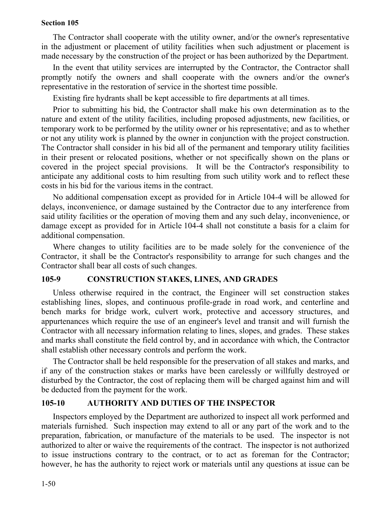The Contractor shall cooperate with the utility owner, and/or the owner's representative in the adjustment or placement of utility facilities when such adjustment or placement is made necessary by the construction of the project or has been authorized by the Department.

In the event that utility services are interrupted by the Contractor, the Contractor shall promptly notify the owners and shall cooperate with the owners and/or the owner's representative in the restoration of service in the shortest time possible.

Existing fire hydrants shall be kept accessible to fire departments at all times.

Prior to submitting his bid, the Contractor shall make his own determination as to the nature and extent of the utility facilities, including proposed adjustments, new facilities, or temporary work to be performed by the utility owner or his representative; and as to whether or not any utility work is planned by the owner in conjunction with the project construction. The Contractor shall consider in his bid all of the permanent and temporary utility facilities in their present or relocated positions, whether or not specifically shown on the plans or covered in the project special provisions. It will be the Contractor's responsibility to anticipate any additional costs to him resulting from such utility work and to reflect these costs in his bid for the various items in the contract.

No additional compensation except as provided for in Article 104-4 will be allowed for delays, inconvenience, or damage sustained by the Contractor due to any interference from said utility facilities or the operation of moving them and any such delay, inconvenience, or damage except as provided for in Article 104-4 shall not constitute a basis for a claim for additional compensation.

Where changes to utility facilities are to be made solely for the convenience of the Contractor, it shall be the Contractor's responsibility to arrange for such changes and the Contractor shall bear all costs of such changes.

#### **105-9 CONSTRUCTION STAKES, LINES, AND GRADES**

Unless otherwise required in the contract, the Engineer will set construction stakes establishing lines, slopes, and continuous profile-grade in road work, and centerline and bench marks for bridge work, culvert work, protective and accessory structures, and appurtenances which require the use of an engineer's level and transit and will furnish the Contractor with all necessary information relating to lines, slopes, and grades. These stakes and marks shall constitute the field control by, and in accordance with which, the Contractor shall establish other necessary controls and perform the work.

The Contractor shall be held responsible for the preservation of all stakes and marks, and if any of the construction stakes or marks have been carelessly or willfully destroyed or disturbed by the Contractor, the cost of replacing them will be charged against him and will be deducted from the payment for the work.

### **105-10 AUTHORITY AND DUTIES OF THE INSPECTOR**

Inspectors employed by the Department are authorized to inspect all work performed and materials furnished. Such inspection may extend to all or any part of the work and to the preparation, fabrication, or manufacture of the materials to be used. The inspector is not authorized to alter or waive the requirements of the contract. The inspector is not authorized to issue instructions contrary to the contract, or to act as foreman for the Contractor; however, he has the authority to reject work or materials until any questions at issue can be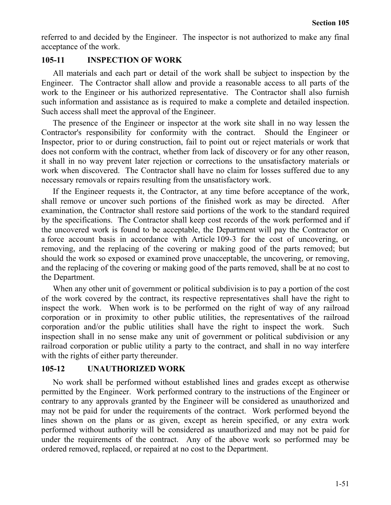referred to and decided by the Engineer. The inspector is not authorized to make any final acceptance of the work.

#### **105-11 INSPECTION OF WORK**

All materials and each part or detail of the work shall be subject to inspection by the Engineer. The Contractor shall allow and provide a reasonable access to all parts of the work to the Engineer or his authorized representative. The Contractor shall also furnish such information and assistance as is required to make a complete and detailed inspection. Such access shall meet the approval of the Engineer.

The presence of the Engineer or inspector at the work site shall in no way lessen the Contractor's responsibility for conformity with the contract. Should the Engineer or Inspector, prior to or during construction, fail to point out or reject materials or work that does not conform with the contract, whether from lack of discovery or for any other reason, it shall in no way prevent later rejection or corrections to the unsatisfactory materials or work when discovered. The Contractor shall have no claim for losses suffered due to any necessary removals or repairs resulting from the unsatisfactory work.

If the Engineer requests it, the Contractor, at any time before acceptance of the work, shall remove or uncover such portions of the finished work as may be directed. After examination, the Contractor shall restore said portions of the work to the standard required by the specifications. The Contractor shall keep cost records of the work performed and if the uncovered work is found to be acceptable, the Department will pay the Contractor on a force account basis in accordance with Article 109-3 for the cost of uncovering, or removing, and the replacing of the covering or making good of the parts removed; but should the work so exposed or examined prove unacceptable, the uncovering, or removing, and the replacing of the covering or making good of the parts removed, shall be at no cost to the Department.

When any other unit of government or political subdivision is to pay a portion of the cost of the work covered by the contract, its respective representatives shall have the right to inspect the work. When work is to be performed on the right of way of any railroad corporation or in proximity to other public utilities, the representatives of the railroad corporation and/or the public utilities shall have the right to inspect the work. Such inspection shall in no sense make any unit of government or political subdivision or any railroad corporation or public utility a party to the contract, and shall in no way interfere with the rights of either party thereunder.

#### **105-12 UNAUTHORIZED WORK**

No work shall be performed without established lines and grades except as otherwise permitted by the Engineer. Work performed contrary to the instructions of the Engineer or contrary to any approvals granted by the Engineer will be considered as unauthorized and may not be paid for under the requirements of the contract. Work performed beyond the lines shown on the plans or as given, except as herein specified, or any extra work performed without authority will be considered as unauthorized and may not be paid for under the requirements of the contract. Any of the above work so performed may be ordered removed, replaced, or repaired at no cost to the Department.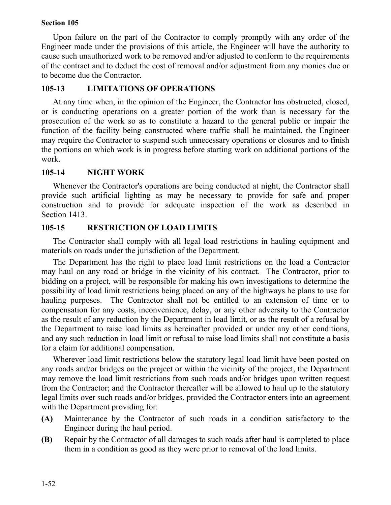Upon failure on the part of the Contractor to comply promptly with any order of the Engineer made under the provisions of this article, the Engineer will have the authority to cause such unauthorized work to be removed and/or adjusted to conform to the requirements of the contract and to deduct the cost of removal and/or adjustment from any monies due or to become due the Contractor.

### **105-13 LIMITATIONS OF OPERATIONS**

At any time when, in the opinion of the Engineer, the Contractor has obstructed, closed, or is conducting operations on a greater portion of the work than is necessary for the prosecution of the work so as to constitute a hazard to the general public or impair the function of the facility being constructed where traffic shall be maintained, the Engineer may require the Contractor to suspend such unnecessary operations or closures and to finish the portions on which work is in progress before starting work on additional portions of the work.

#### **105-14 NIGHT WORK**

Whenever the Contractor's operations are being conducted at night, the Contractor shall provide such artificial lighting as may be necessary to provide for safe and proper construction and to provide for adequate inspection of the work as described in Section 1413.

#### **105-15 RESTRICTION OF LOAD LIMITS**

The Contractor shall comply with all legal load restrictions in hauling equipment and materials on roads under the jurisdiction of the Department.

The Department has the right to place load limit restrictions on the load a Contractor may haul on any road or bridge in the vicinity of his contract. The Contractor, prior to bidding on a project, will be responsible for making his own investigations to determine the possibility of load limit restrictions being placed on any of the highways he plans to use for hauling purposes. The Contractor shall not be entitled to an extension of time or to compensation for any costs, inconvenience, delay, or any other adversity to the Contractor as the result of any reduction by the Department in load limit, or as the result of a refusal by the Department to raise load limits as hereinafter provided or under any other conditions, and any such reduction in load limit or refusal to raise load limits shall not constitute a basis for a claim for additional compensation.

Wherever load limit restrictions below the statutory legal load limit have been posted on any roads and/or bridges on the project or within the vicinity of the project, the Department may remove the load limit restrictions from such roads and/or bridges upon written request from the Contractor; and the Contractor thereafter will be allowed to haul up to the statutory legal limits over such roads and/or bridges, provided the Contractor enters into an agreement with the Department providing for:

- **(A)** Maintenance by the Contractor of such roads in a condition satisfactory to the Engineer during the haul period.
- **(B)** Repair by the Contractor of all damages to such roads after haul is completed to place them in a condition as good as they were prior to removal of the load limits.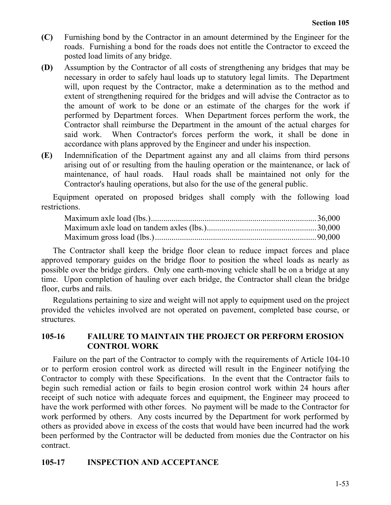- **(C)** Furnishing bond by the Contractor in an amount determined by the Engineer for the roads. Furnishing a bond for the roads does not entitle the Contractor to exceed the posted load limits of any bridge.
- **(D)** Assumption by the Contractor of all costs of strengthening any bridges that may be necessary in order to safely haul loads up to statutory legal limits. The Department will, upon request by the Contractor, make a determination as to the method and extent of strengthening required for the bridges and will advise the Contractor as to the amount of work to be done or an estimate of the charges for the work if performed by Department forces. When Department forces perform the work, the Contractor shall reimburse the Department in the amount of the actual charges for said work. When Contractor's forces perform the work, it shall be done in accordance with plans approved by the Engineer and under his inspection.
- **(E)** Indemnification of the Department against any and all claims from third persons arising out of or resulting from the hauling operation or the maintenance, or lack of maintenance, of haul roads. Haul roads shall be maintained not only for the Contractor's hauling operations, but also for the use of the general public.

Equipment operated on proposed bridges shall comply with the following load restrictions.

The Contractor shall keep the bridge floor clean to reduce impact forces and place approved temporary guides on the bridge floor to position the wheel loads as nearly as possible over the bridge girders. Only one earth-moving vehicle shall be on a bridge at any time. Upon completion of hauling over each bridge, the Contractor shall clean the bridge floor, curbs and rails.

Regulations pertaining to size and weight will not apply to equipment used on the project provided the vehicles involved are not operated on pavement, completed base course, or structures.

#### **105-16 FAILURE TO MAINTAIN THE PROJECT OR PERFORM EROSION CONTROL WORK**

Failure on the part of the Contractor to comply with the requirements of Article 104-10 or to perform erosion control work as directed will result in the Engineer notifying the Contractor to comply with these Specifications. In the event that the Contractor fails to begin such remedial action or fails to begin erosion control work within 24 hours after receipt of such notice with adequate forces and equipment, the Engineer may proceed to have the work performed with other forces. No payment will be made to the Contractor for work performed by others. Any costs incurred by the Department for work performed by others as provided above in excess of the costs that would have been incurred had the work been performed by the Contractor will be deducted from monies due the Contractor on his contract.

### **105-17 INSPECTION AND ACCEPTANCE**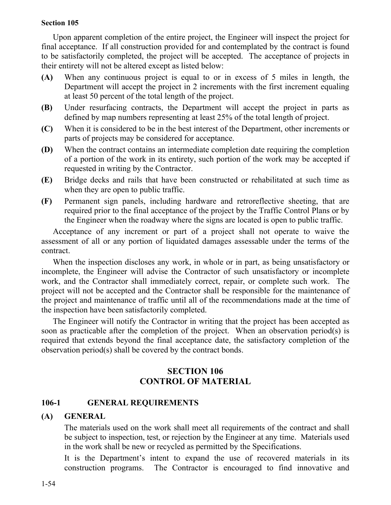Upon apparent completion of the entire project, the Engineer will inspect the project for final acceptance. If all construction provided for and contemplated by the contract is found to be satisfactorily completed, the project will be accepted. The acceptance of projects in their entirety will not be altered except as listed below:

- **(A)** When any continuous project is equal to or in excess of 5 miles in length, the Department will accept the project in 2 increments with the first increment equaling at least 50 percent of the total length of the project.
- **(B)** Under resurfacing contracts, the Department will accept the project in parts as defined by map numbers representing at least 25% of the total length of project.
- **(C)** When it is considered to be in the best interest of the Department, other increments or parts of projects may be considered for acceptance.
- **(D)** When the contract contains an intermediate completion date requiring the completion of a portion of the work in its entirety, such portion of the work may be accepted if requested in writing by the Contractor.
- **(E)** Bridge decks and rails that have been constructed or rehabilitated at such time as when they are open to public traffic.
- **(F)** Permanent sign panels, including hardware and retroreflective sheeting, that are required prior to the final acceptance of the project by the Traffic Control Plans or by the Engineer when the roadway where the signs are located is open to public traffic.

Acceptance of any increment or part of a project shall not operate to waive the assessment of all or any portion of liquidated damages assessable under the terms of the contract.

When the inspection discloses any work, in whole or in part, as being unsatisfactory or incomplete, the Engineer will advise the Contractor of such unsatisfactory or incomplete work, and the Contractor shall immediately correct, repair, or complete such work. The project will not be accepted and the Contractor shall be responsible for the maintenance of the project and maintenance of traffic until all of the recommendations made at the time of the inspection have been satisfactorily completed.

The Engineer will notify the Contractor in writing that the project has been accepted as soon as practicable after the completion of the project. When an observation period(s) is required that extends beyond the final acceptance date, the satisfactory completion of the observation period(s) shall be covered by the contract bonds.

# **SECTION 106 CONTROL OF MATERIAL**

# **106-1 GENERAL REQUIREMENTS**

### **(A) GENERAL**

The materials used on the work shall meet all requirements of the contract and shall be subject to inspection, test, or rejection by the Engineer at any time. Materials used in the work shall be new or recycled as permitted by the Specifications.

It is the Department's intent to expand the use of recovered materials in its construction programs. The Contractor is encouraged to find innovative and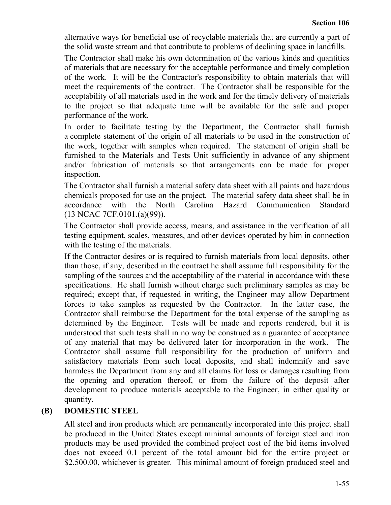alternative ways for beneficial use of recyclable materials that are currently a part of the solid waste stream and that contribute to problems of declining space in landfills.

The Contractor shall make his own determination of the various kinds and quantities of materials that are necessary for the acceptable performance and timely completion of the work. It will be the Contractor's responsibility to obtain materials that will meet the requirements of the contract. The Contractor shall be responsible for the acceptability of all materials used in the work and for the timely delivery of materials to the project so that adequate time will be available for the safe and proper performance of the work.

In order to facilitate testing by the Department, the Contractor shall furnish a complete statement of the origin of all materials to be used in the construction of the work, together with samples when required. The statement of origin shall be furnished to the Materials and Tests Unit sufficiently in advance of any shipment and/or fabrication of materials so that arrangements can be made for proper inspection.

The Contractor shall furnish a material safety data sheet with all paints and hazardous chemicals proposed for use on the project. The material safety data sheet shall be in accordance with the North Carolina Hazard Communication Standard (13 NCAC 7CF.0101.(a)(99)).

The Contractor shall provide access, means, and assistance in the verification of all testing equipment, scales, measures, and other devices operated by him in connection with the testing of the materials.

If the Contractor desires or is required to furnish materials from local deposits, other than those, if any, described in the contract he shall assume full responsibility for the sampling of the sources and the acceptability of the material in accordance with these specifications. He shall furnish without charge such preliminary samples as may be required; except that, if requested in writing, the Engineer may allow Department forces to take samples as requested by the Contractor. In the latter case, the Contractor shall reimburse the Department for the total expense of the sampling as determined by the Engineer. Tests will be made and reports rendered, but it is understood that such tests shall in no way be construed as a guarantee of acceptance of any material that may be delivered later for incorporation in the work. The Contractor shall assume full responsibility for the production of uniform and satisfactory materials from such local deposits, and shall indemnify and save harmless the Department from any and all claims for loss or damages resulting from the opening and operation thereof, or from the failure of the deposit after development to produce materials acceptable to the Engineer, in either quality or quantity.

# **(B) DOMESTIC STEEL**

All steel and iron products which are permanently incorporated into this project shall be produced in the United States except minimal amounts of foreign steel and iron products may be used provided the combined project cost of the bid items involved does not exceed 0.1 percent of the total amount bid for the entire project or \$2,500.00, whichever is greater. This minimal amount of foreign produced steel and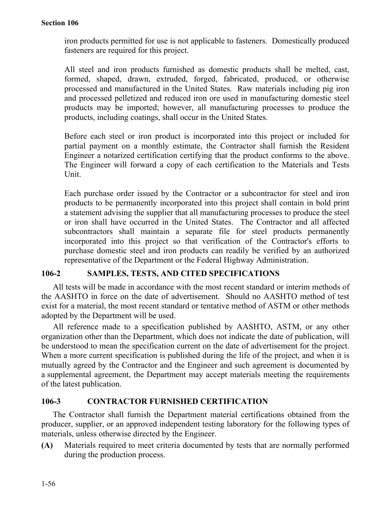iron products permitted for use is not applicable to fasteners. Domestically produced fasteners are required for this project.

All steel and iron products furnished as domestic products shall be melted, cast, formed, shaped, drawn, extruded, forged, fabricated, produced, or otherwise processed and manufactured in the United States. Raw materials including pig iron and processed pelletized and reduced iron ore used in manufacturing domestic steel products may be imported; however, all manufacturing processes to produce the products, including coatings, shall occur in the United States.

Before each steel or iron product is incorporated into this project or included for partial payment on a monthly estimate, the Contractor shall furnish the Resident Engineer a notarized certification certifying that the product conforms to the above. The Engineer will forward a copy of each certification to the Materials and Tests Unit.

Each purchase order issued by the Contractor or a subcontractor for steel and iron products to be permanently incorporated into this project shall contain in bold print a statement advising the supplier that all manufacturing processes to produce the steel or iron shall have occurred in the United States. The Contractor and all affected subcontractors shall maintain a separate file for steel products permanently incorporated into this project so that verification of the Contractor's efforts to purchase domestic steel and iron products can readily be verified by an authorized representative of the Department or the Federal Highway Administration.

### **106-2 SAMPLES, TESTS, AND CITED SPECIFICATIONS**

All tests will be made in accordance with the most recent standard or interim methods of the AASHTO in force on the date of advertisement. Should no AASHTO method of test exist for a material, the most recent standard or tentative method of ASTM or other methods adopted by the Department will be used.

All reference made to a specification published by AASHTO, ASTM, or any other organization other than the Department, which does not indicate the date of publication, will be understood to mean the specification current on the date of advertisement for the project. When a more current specification is published during the life of the project, and when it is mutually agreed by the Contractor and the Engineer and such agreement is documented by a supplemental agreement, the Department may accept materials meeting the requirements of the latest publication.

### **106-3 CONTRACTOR FURNISHED CERTIFICATION**

The Contractor shall furnish the Department material certifications obtained from the producer, supplier, or an approved independent testing laboratory for the following types of materials, unless otherwise directed by the Engineer.

**(A)** Materials required to meet criteria documented by tests that are normally performed during the production process.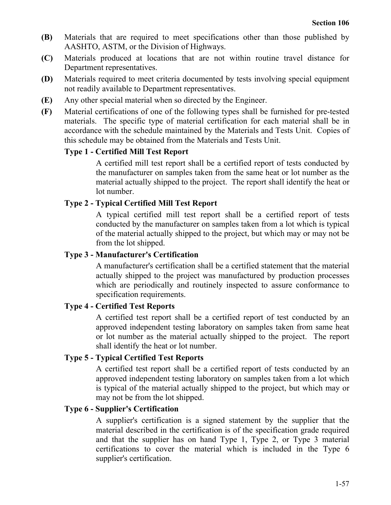- **(B)** Materials that are required to meet specifications other than those published by AASHTO, ASTM, or the Division of Highways.
- **(C)** Materials produced at locations that are not within routine travel distance for Department representatives.
- **(D)** Materials required to meet criteria documented by tests involving special equipment not readily available to Department representatives.
- **(E)** Any other special material when so directed by the Engineer.
- **(F)** Material certifications of one of the following types shall be furnished for pre-tested materials. The specific type of material certification for each material shall be in accordance with the schedule maintained by the Materials and Tests Unit. Copies of this schedule may be obtained from the Materials and Tests Unit.

# **Type 1 - Certified Mill Test Report**

A certified mill test report shall be a certified report of tests conducted by the manufacturer on samples taken from the same heat or lot number as the material actually shipped to the project. The report shall identify the heat or lot number.

# **Type 2 - Typical Certified Mill Test Report**

A typical certified mill test report shall be a certified report of tests conducted by the manufacturer on samples taken from a lot which is typical of the material actually shipped to the project, but which may or may not be from the lot shipped.

# **Type 3 - Manufacturer's Certification**

A manufacturer's certification shall be a certified statement that the material actually shipped to the project was manufactured by production processes which are periodically and routinely inspected to assure conformance to specification requirements.

# **Type 4 - Certified Test Reports**

A certified test report shall be a certified report of test conducted by an approved independent testing laboratory on samples taken from same heat or lot number as the material actually shipped to the project. The report shall identify the heat or lot number.

# **Type 5 - Typical Certified Test Reports**

A certified test report shall be a certified report of tests conducted by an approved independent testing laboratory on samples taken from a lot which is typical of the material actually shipped to the project, but which may or may not be from the lot shipped.

# **Type 6 - Supplier's Certification**

A supplier's certification is a signed statement by the supplier that the material described in the certification is of the specification grade required and that the supplier has on hand Type 1, Type 2, or Type 3 material certifications to cover the material which is included in the Type 6 supplier's certification.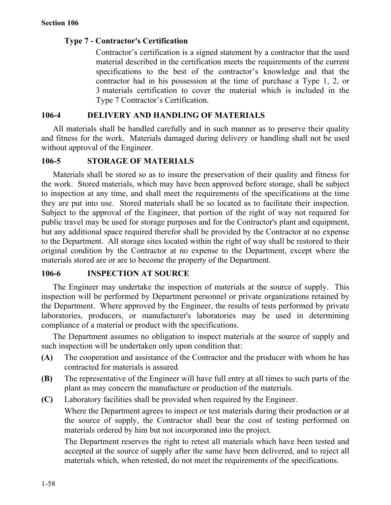### **Type 7 - Contractor's Certification**

Contractor's certification is a signed statement by a contractor that the used material described in the certification meets the requirements of the current specifications to the best of the contractor's knowledge and that the contractor had in his possession at the time of purchase a Type 1, 2, or 3 materials certification to cover the material which is included in the Type 7 Contractor's Certification.

### **106-4 DELIVERY AND HANDLING OF MATERIALS**

All materials shall be handled carefully and in such manner as to preserve their quality and fitness for the work. Materials damaged during delivery or handling shall not be used without approval of the Engineer.

### **106-5 STORAGE OF MATERIALS**

Materials shall be stored so as to insure the preservation of their quality and fitness for the work. Stored materials, which may have been approved before storage, shall be subject to inspection at any time, and shall meet the requirements of the specifications at the time they are put into use. Stored materials shall be so located as to facilitate their inspection. Subject to the approval of the Engineer, that portion of the right of way not required for public travel may be used for storage purposes and for the Contractor's plant and equipment, but any additional space required therefor shall be provided by the Contractor at no expense to the Department. All storage sites located within the right of way shall be restored to their original condition by the Contractor at no expense to the Department, except where the materials stored are or are to become the property of the Department.

### **106-6 INSPECTION AT SOURCE**

The Engineer may undertake the inspection of materials at the source of supply. This inspection will be performed by Department personnel or private organizations retained by the Department. Where approved by the Engineer, the results of tests performed by private laboratories, producers, or manufacturer's laboratories may be used in determining compliance of a material or product with the specifications.

The Department assumes no obligation to inspect materials at the source of supply and such inspection will be undertaken only upon condition that:

- **(A)** The cooperation and assistance of the Contractor and the producer with whom he has contracted for materials is assured.
- **(B)** The representative of the Engineer will have full entry at all times to such parts of the plant as may concern the manufacture or production of the materials.
- **(C)** Laboratory facilities shall be provided when required by the Engineer.

Where the Department agrees to inspect or test materials during their production or at the source of supply, the Contractor shall bear the cost of testing performed on materials ordered by him but not incorporated into the project.

The Department reserves the right to retest all materials which have been tested and accepted at the source of supply after the same have been delivered, and to reject all materials which, when retested, do not meet the requirements of the specifications.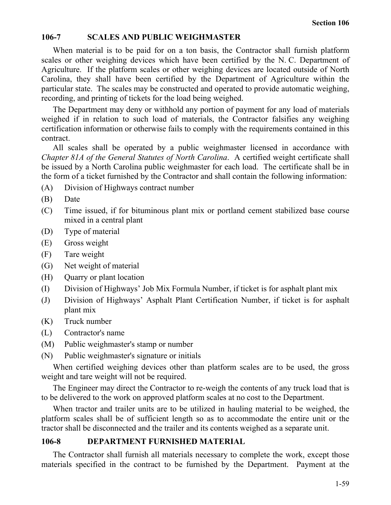#### **106-7 SCALES AND PUBLIC WEIGHMASTER**

When material is to be paid for on a ton basis, the Contractor shall furnish platform scales or other weighing devices which have been certified by the N. C. Department of Agriculture. If the platform scales or other weighing devices are located outside of North Carolina, they shall have been certified by the Department of Agriculture within the particular state. The scales may be constructed and operated to provide automatic weighing, recording, and printing of tickets for the load being weighed.

The Department may deny or withhold any portion of payment for any load of materials weighed if in relation to such load of materials, the Contractor falsifies any weighing certification information or otherwise fails to comply with the requirements contained in this contract.

All scales shall be operated by a public weighmaster licensed in accordance with *Chapter 81A of the General Statutes of North Carolina*. A certified weight certificate shall be issued by a North Carolina public weighmaster for each load. The certificate shall be in the form of a ticket furnished by the Contractor and shall contain the following information:

- (A) Division of Highways contract number
- (B) Date
- (C) Time issued, if for bituminous plant mix or portland cement stabilized base course mixed in a central plant
- (D) Type of material
- (E) Gross weight
- (F) Tare weight
- (G) Net weight of material
- (H) Quarry or plant location
- (I) Division of Highways' Job Mix Formula Number, if ticket is for asphalt plant mix
- (J) Division of Highways' Asphalt Plant Certification Number, if ticket is for asphalt plant mix
- (K) Truck number
- (L) Contractor's name
- (M) Public weighmaster's stamp or number
- (N) Public weighmaster's signature or initials

When certified weighing devices other than platform scales are to be used, the gross weight and tare weight will not be required.

The Engineer may direct the Contractor to re-weigh the contents of any truck load that is to be delivered to the work on approved platform scales at no cost to the Department.

When tractor and trailer units are to be utilized in hauling material to be weighed, the platform scales shall be of sufficient length so as to accommodate the entire unit or the tractor shall be disconnected and the trailer and its contents weighed as a separate unit.

#### **106-8 DEPARTMENT FURNISHED MATERIAL**

The Contractor shall furnish all materials necessary to complete the work, except those materials specified in the contract to be furnished by the Department. Payment at the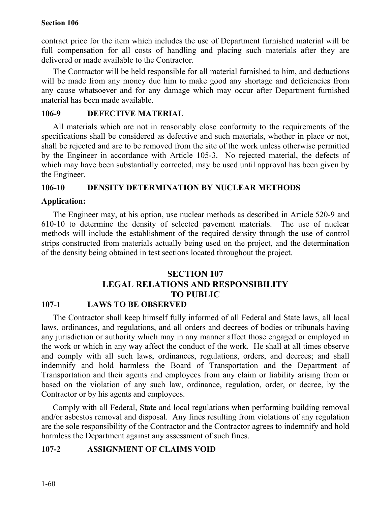contract price for the item which includes the use of Department furnished material will be full compensation for all costs of handling and placing such materials after they are delivered or made available to the Contractor.

The Contractor will be held responsible for all material furnished to him, and deductions will be made from any money due him to make good any shortage and deficiencies from any cause whatsoever and for any damage which may occur after Department furnished material has been made available.

#### **106-9 DEFECTIVE MATERIAL**

All materials which are not in reasonably close conformity to the requirements of the specifications shall be considered as defective and such materials, whether in place or not, shall be rejected and are to be removed from the site of the work unless otherwise permitted by the Engineer in accordance with Article 105-3. No rejected material, the defects of which may have been substantially corrected, may be used until approval has been given by the Engineer.

### **106-10 DENSITY DETERMINATION BY NUCLEAR METHODS**

### **Application:**

The Engineer may, at his option, use nuclear methods as described in Article 520-9 and 610-10 to determine the density of selected pavement materials. The use of nuclear methods will include the establishment of the required density through the use of control strips constructed from materials actually being used on the project, and the determination of the density being obtained in test sections located throughout the project.

# **SECTION 107 LEGAL RELATIONS AND RESPONSIBILITY TO PUBLIC**

### **107-1 LAWS TO BE OBSERVED**

The Contractor shall keep himself fully informed of all Federal and State laws, all local laws, ordinances, and regulations, and all orders and decrees of bodies or tribunals having any jurisdiction or authority which may in any manner affect those engaged or employed in the work or which in any way affect the conduct of the work. He shall at all times observe and comply with all such laws, ordinances, regulations, orders, and decrees; and shall indemnify and hold harmless the Board of Transportation and the Department of Transportation and their agents and employees from any claim or liability arising from or based on the violation of any such law, ordinance, regulation, order, or decree, by the Contractor or by his agents and employees.

Comply with all Federal, State and local regulations when performing building removal and/or asbestos removal and disposal. Any fines resulting from violations of any regulation are the sole responsibility of the Contractor and the Contractor agrees to indemnify and hold harmless the Department against any assessment of such fines.

### **107-2 ASSIGNMENT OF CLAIMS VOID**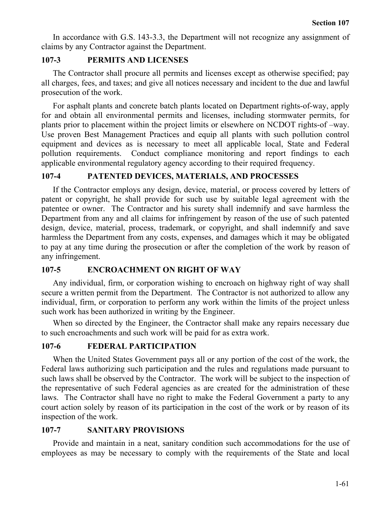In accordance with G.S. 143-3.3, the Department will not recognize any assignment of claims by any Contractor against the Department.

### **107-3 PERMITS AND LICENSES**

The Contractor shall procure all permits and licenses except as otherwise specified; pay all charges, fees, and taxes; and give all notices necessary and incident to the due and lawful prosecution of the work.

For asphalt plants and concrete batch plants located on Department rights-of-way, apply for and obtain all environmental permits and licenses, including stormwater permits, for plants prior to placement within the project limits or elsewhere on NCDOT rights-of –way. Use proven Best Management Practices and equip all plants with such pollution control equipment and devices as is necessary to meet all applicable local, State and Federal pollution requirements. Conduct compliance monitoring and report findings to each applicable environmental regulatory agency according to their required frequency.

# **107-4 PATENTED DEVICES, MATERIALS, AND PROCESSES**

If the Contractor employs any design, device, material, or process covered by letters of patent or copyright, he shall provide for such use by suitable legal agreement with the patentee or owner. The Contractor and his surety shall indemnify and save harmless the Department from any and all claims for infringement by reason of the use of such patented design, device, material, process, trademark, or copyright, and shall indemnify and save harmless the Department from any costs, expenses, and damages which it may be obligated to pay at any time during the prosecution or after the completion of the work by reason of any infringement.

# **107-5 ENCROACHMENT ON RIGHT OF WAY**

Any individual, firm, or corporation wishing to encroach on highway right of way shall secure a written permit from the Department. The Contractor is not authorized to allow any individual, firm, or corporation to perform any work within the limits of the project unless such work has been authorized in writing by the Engineer.

When so directed by the Engineer, the Contractor shall make any repairs necessary due to such encroachments and such work will be paid for as extra work.

# **107-6 FEDERAL PARTICIPATION**

When the United States Government pays all or any portion of the cost of the work, the Federal laws authorizing such participation and the rules and regulations made pursuant to such laws shall be observed by the Contractor. The work will be subject to the inspection of the representative of such Federal agencies as are created for the administration of these laws. The Contractor shall have no right to make the Federal Government a party to any court action solely by reason of its participation in the cost of the work or by reason of its inspection of the work.

# **107-7 SANITARY PROVISIONS**

Provide and maintain in a neat, sanitary condition such accommodations for the use of employees as may be necessary to comply with the requirements of the State and local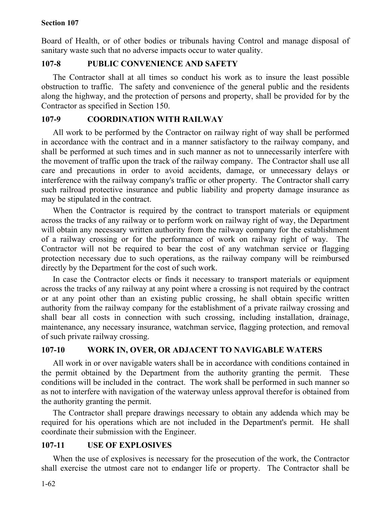Board of Health, or of other bodies or tribunals having Control and manage disposal of sanitary waste such that no adverse impacts occur to water quality.

# **107-8 PUBLIC CONVENIENCE AND SAFETY**

The Contractor shall at all times so conduct his work as to insure the least possible obstruction to traffic. The safety and convenience of the general public and the residents along the highway, and the protection of persons and property, shall be provided for by the Contractor as specified in Section 150.

# **107-9 COORDINATION WITH RAILWAY**

All work to be performed by the Contractor on railway right of way shall be performed in accordance with the contract and in a manner satisfactory to the railway company, and shall be performed at such times and in such manner as not to unnecessarily interfere with the movement of traffic upon the track of the railway company. The Contractor shall use all care and precautions in order to avoid accidents, damage, or unnecessary delays or interference with the railway company's traffic or other property. The Contractor shall carry such railroad protective insurance and public liability and property damage insurance as may be stipulated in the contract.

When the Contractor is required by the contract to transport materials or equipment across the tracks of any railway or to perform work on railway right of way, the Department will obtain any necessary written authority from the railway company for the establishment of a railway crossing or for the performance of work on railway right of way. The Contractor will not be required to bear the cost of any watchman service or flagging protection necessary due to such operations, as the railway company will be reimbursed directly by the Department for the cost of such work.

In case the Contractor elects or finds it necessary to transport materials or equipment across the tracks of any railway at any point where a crossing is not required by the contract or at any point other than an existing public crossing, he shall obtain specific written authority from the railway company for the establishment of a private railway crossing and shall bear all costs in connection with such crossing, including installation, drainage, maintenance, any necessary insurance, watchman service, flagging protection, and removal of such private railway crossing.

# **107-10 WORK IN, OVER, OR ADJACENT TO NAVIGABLE WATERS**

All work in or over navigable waters shall be in accordance with conditions contained in the permit obtained by the Department from the authority granting the permit. These conditions will be included in the contract. The work shall be performed in such manner so as not to interfere with navigation of the waterway unless approval therefor is obtained from the authority granting the permit.

The Contractor shall prepare drawings necessary to obtain any addenda which may be required for his operations which are not included in the Department's permit. He shall coordinate their submission with the Engineer.

# **107-11 USE OF EXPLOSIVES**

When the use of explosives is necessary for the prosecution of the work, the Contractor shall exercise the utmost care not to endanger life or property. The Contractor shall be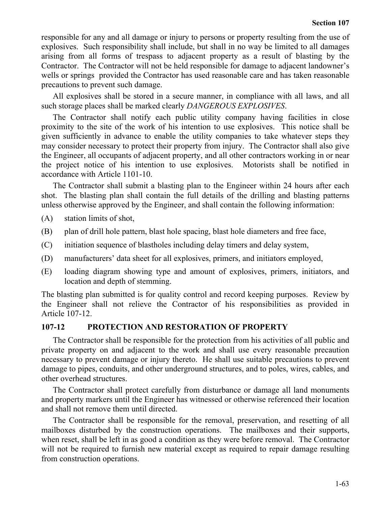responsible for any and all damage or injury to persons or property resulting from the use of explosives. Such responsibility shall include, but shall in no way be limited to all damages arising from all forms of trespass to adjacent property as a result of blasting by the Contractor. The Contractor will not be held responsible for damage to adjacent landowner's wells or springs provided the Contractor has used reasonable care and has taken reasonable precautions to prevent such damage.

All explosives shall be stored in a secure manner, in compliance with all laws, and all such storage places shall be marked clearly *DANGEROUS EXPLOSIVES*.

The Contractor shall notify each public utility company having facilities in close proximity to the site of the work of his intention to use explosives. This notice shall be given sufficiently in advance to enable the utility companies to take whatever steps they may consider necessary to protect their property from injury. The Contractor shall also give the Engineer, all occupants of adjacent property, and all other contractors working in or near the project notice of his intention to use explosives. Motorists shall be notified in accordance with Article 1101-10.

The Contractor shall submit a blasting plan to the Engineer within 24 hours after each shot. The blasting plan shall contain the full details of the drilling and blasting patterns unless otherwise approved by the Engineer, and shall contain the following information:

- (A) station limits of shot,
- (B) plan of drill hole pattern, blast hole spacing, blast hole diameters and free face,
- (C) initiation sequence of blastholes including delay timers and delay system,
- (D) manufacturers' data sheet for all explosives, primers, and initiators employed,
- (E) loading diagram showing type and amount of explosives, primers, initiators, and location and depth of stemming.

The blasting plan submitted is for quality control and record keeping purposes. Review by the Engineer shall not relieve the Contractor of his responsibilities as provided in Article 107-12.

### **107-12 PROTECTION AND RESTORATION OF PROPERTY**

The Contractor shall be responsible for the protection from his activities of all public and private property on and adjacent to the work and shall use every reasonable precaution necessary to prevent damage or injury thereto. He shall use suitable precautions to prevent damage to pipes, conduits, and other underground structures, and to poles, wires, cables, and other overhead structures.

The Contractor shall protect carefully from disturbance or damage all land monuments and property markers until the Engineer has witnessed or otherwise referenced their location and shall not remove them until directed.

The Contractor shall be responsible for the removal, preservation, and resetting of all mailboxes disturbed by the construction operations. The mailboxes and their supports, when reset, shall be left in as good a condition as they were before removal. The Contractor will not be required to furnish new material except as required to repair damage resulting from construction operations.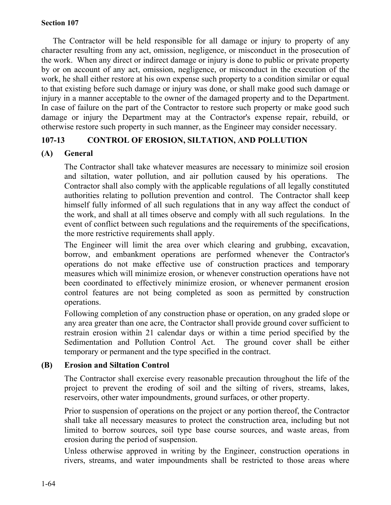The Contractor will be held responsible for all damage or injury to property of any character resulting from any act, omission, negligence, or misconduct in the prosecution of the work. When any direct or indirect damage or injury is done to public or private property by or on account of any act, omission, negligence, or misconduct in the execution of the work, he shall either restore at his own expense such property to a condition similar or equal to that existing before such damage or injury was done, or shall make good such damage or injury in a manner acceptable to the owner of the damaged property and to the Department. In case of failure on the part of the Contractor to restore such property or make good such damage or injury the Department may at the Contractor's expense repair, rebuild, or otherwise restore such property in such manner, as the Engineer may consider necessary.

### **107-13 CONTROL OF EROSION, SILTATION, AND POLLUTION**

### **(A) General**

The Contractor shall take whatever measures are necessary to minimize soil erosion and siltation, water pollution, and air pollution caused by his operations. The Contractor shall also comply with the applicable regulations of all legally constituted authorities relating to pollution prevention and control. The Contractor shall keep himself fully informed of all such regulations that in any way affect the conduct of the work, and shall at all times observe and comply with all such regulations. In the event of conflict between such regulations and the requirements of the specifications, the more restrictive requirements shall apply.

The Engineer will limit the area over which clearing and grubbing, excavation, borrow, and embankment operations are performed whenever the Contractor's operations do not make effective use of construction practices and temporary measures which will minimize erosion, or whenever construction operations have not been coordinated to effectively minimize erosion, or whenever permanent erosion control features are not being completed as soon as permitted by construction operations.

Following completion of any construction phase or operation, on any graded slope or any area greater than one acre, the Contractor shall provide ground cover sufficient to restrain erosion within 21 calendar days or within a time period specified by the Sedimentation and Pollution Control Act. The ground cover shall be either temporary or permanent and the type specified in the contract.

### **(B) Erosion and Siltation Control**

The Contractor shall exercise every reasonable precaution throughout the life of the project to prevent the eroding of soil and the silting of rivers, streams, lakes, reservoirs, other water impoundments, ground surfaces, or other property.

Prior to suspension of operations on the project or any portion thereof, the Contractor shall take all necessary measures to protect the construction area, including but not limited to borrow sources, soil type base course sources, and waste areas, from erosion during the period of suspension.

Unless otherwise approved in writing by the Engineer, construction operations in rivers, streams, and water impoundments shall be restricted to those areas where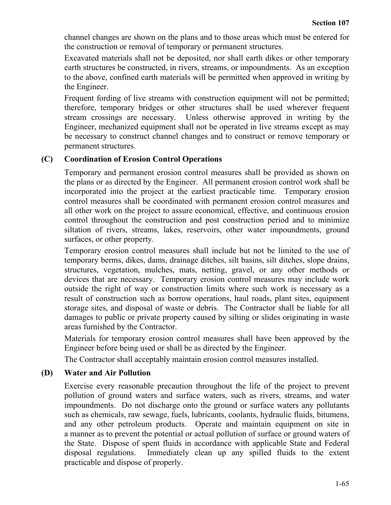channel changes are shown on the plans and to those areas which must be entered for the construction or removal of temporary or permanent structures.

Excavated materials shall not be deposited, nor shall earth dikes or other temporary earth structures be constructed, in rivers, streams, or impoundments. As an exception to the above, confined earth materials will be permitted when approved in writing by the Engineer.

Frequent fording of live streams with construction equipment will not be permitted; therefore, temporary bridges or other structures shall be used wherever frequent stream crossings are necessary. Unless otherwise approved in writing by the Engineer, mechanized equipment shall not be operated in live streams except as may be necessary to construct channel changes and to construct or remove temporary or permanent structures.

### **(C) Coordination of Erosion Control Operations**

Temporary and permanent erosion control measures shall be provided as shown on the plans or as directed by the Engineer. All permanent erosion control work shall be incorporated into the project at the earliest practicable time. Temporary erosion control measures shall be coordinated with permanent erosion control measures and all other work on the project to assure economical, effective, and continuous erosion control throughout the construction and post construction period and to minimize siltation of rivers, streams, lakes, reservoirs, other water impoundments, ground surfaces, or other property.

Temporary erosion control measures shall include but not be limited to the use of temporary berms, dikes, dams, drainage ditches, silt basins, silt ditches, slope drains, structures, vegetation, mulches, mats, netting, gravel, or any other methods or devices that are necessary. Temporary erosion control measures may include work outside the right of way or construction limits where such work is necessary as a result of construction such as borrow operations, haul roads, plant sites, equipment storage sites, and disposal of waste or debris. The Contractor shall be liable for all damages to public or private property caused by silting or slides originating in waste areas furnished by the Contractor.

Materials for temporary erosion control measures shall have been approved by the Engineer before being used or shall be as directed by the Engineer.

The Contractor shall acceptably maintain erosion control measures installed.

### **(D) Water and Air Pollution**

Exercise every reasonable precaution throughout the life of the project to prevent pollution of ground waters and surface waters, such as rivers, streams, and water impoundments. Do not discharge onto the ground or surface waters any pollutants such as chemicals, raw sewage, fuels, lubricants, coolants, hydraulic fluids, bitumens, and any other petroleum products. Operate and maintain equipment on site in a manner as to prevent the potential or actual pollution of surface or ground waters of the State. Dispose of spent fluids in accordance with applicable State and Federal disposal regulations. Immediately clean up any spilled fluids to the extent practicable and dispose of properly.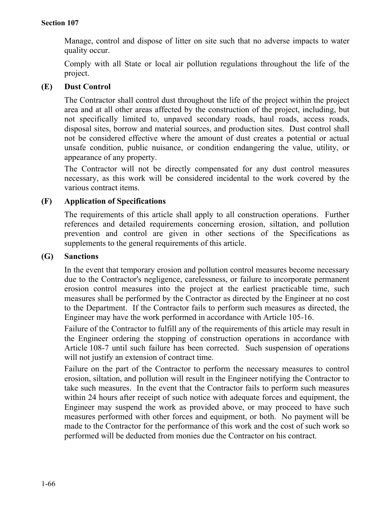Manage, control and dispose of litter on site such that no adverse impacts to water quality occur.

Comply with all State or local air pollution regulations throughout the life of the project.

### **(E) Dust Control**

The Contractor shall control dust throughout the life of the project within the project area and at all other areas affected by the construction of the project, including, but not specifically limited to, unpaved secondary roads, haul roads, access roads, disposal sites, borrow and material sources, and production sites. Dust control shall not be considered effective where the amount of dust creates a potential or actual unsafe condition, public nuisance, or condition endangering the value, utility, or appearance of any property.

The Contractor will not be directly compensated for any dust control measures necessary, as this work will be considered incidental to the work covered by the various contract items.

### **(F) Application of Specifications**

The requirements of this article shall apply to all construction operations. Further references and detailed requirements concerning erosion, siltation, and pollution prevention and control are given in other sections of the Specifications as supplements to the general requirements of this article.

#### **(G) Sanctions**

In the event that temporary erosion and pollution control measures become necessary due to the Contractor's negligence, carelessness, or failure to incorporate permanent erosion control measures into the project at the earliest practicable time, such measures shall be performed by the Contractor as directed by the Engineer at no cost to the Department. If the Contractor fails to perform such measures as directed, the Engineer may have the work performed in accordance with Article 105-16.

Failure of the Contractor to fulfill any of the requirements of this article may result in the Engineer ordering the stopping of construction operations in accordance with Article 108-7 until such failure has been corrected. Such suspension of operations will not justify an extension of contract time.

Failure on the part of the Contractor to perform the necessary measures to control erosion, siltation, and pollution will result in the Engineer notifying the Contractor to take such measures. In the event that the Contractor fails to perform such measures within 24 hours after receipt of such notice with adequate forces and equipment, the Engineer may suspend the work as provided above, or may proceed to have such measures performed with other forces and equipment, or both. No payment will be made to the Contractor for the performance of this work and the cost of such work so performed will be deducted from monies due the Contractor on his contract.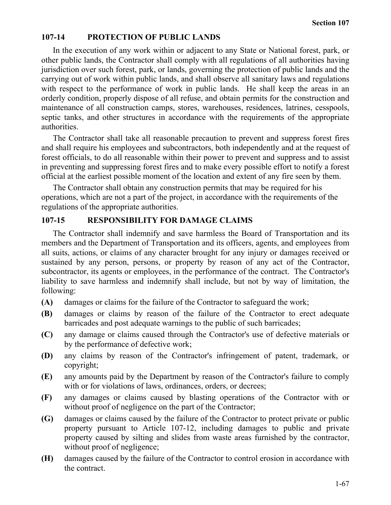### **107-14 PROTECTION OF PUBLIC LANDS**

In the execution of any work within or adjacent to any State or National forest, park, or other public lands, the Contractor shall comply with all regulations of all authorities having jurisdiction over such forest, park, or lands, governing the protection of public lands and the carrying out of work within public lands, and shall observe all sanitary laws and regulations with respect to the performance of work in public lands. He shall keep the areas in an orderly condition, properly dispose of all refuse, and obtain permits for the construction and maintenance of all construction camps, stores, warehouses, residences, latrines, cesspools, septic tanks, and other structures in accordance with the requirements of the appropriate authorities.

The Contractor shall take all reasonable precaution to prevent and suppress forest fires and shall require his employees and subcontractors, both independently and at the request of forest officials, to do all reasonable within their power to prevent and suppress and to assist in preventing and suppressing forest fires and to make every possible effort to notify a forest official at the earliest possible moment of the location and extent of any fire seen by them.

The Contractor shall obtain any construction permits that may be required for his operations, which are not a part of the project, in accordance with the requirements of the regulations of the appropriate authorities.

# **107-15 RESPONSIBILITY FOR DAMAGE CLAIMS**

The Contractor shall indemnify and save harmless the Board of Transportation and its members and the Department of Transportation and its officers, agents, and employees from all suits, actions, or claims of any character brought for any injury or damages received or sustained by any person, persons, or property by reason of any act of the Contractor, subcontractor, its agents or employees, in the performance of the contract. The Contractor's liability to save harmless and indemnify shall include, but not by way of limitation, the following:

- **(A)** damages or claims for the failure of the Contractor to safeguard the work;
- **(B)** damages or claims by reason of the failure of the Contractor to erect adequate barricades and post adequate warnings to the public of such barricades;
- **(C)** any damage or claims caused through the Contractor's use of defective materials or by the performance of defective work;
- **(D)** any claims by reason of the Contractor's infringement of patent, trademark, or copyright;
- **(E)** any amounts paid by the Department by reason of the Contractor's failure to comply with or for violations of laws, ordinances, orders, or decrees;
- **(F)** any damages or claims caused by blasting operations of the Contractor with or without proof of negligence on the part of the Contractor;
- **(G)** damages or claims caused by the failure of the Contractor to protect private or public property pursuant to Article 107-12, including damages to public and private property caused by silting and slides from waste areas furnished by the contractor, without proof of negligence;
- **(H)** damages caused by the failure of the Contractor to control erosion in accordance with the contract.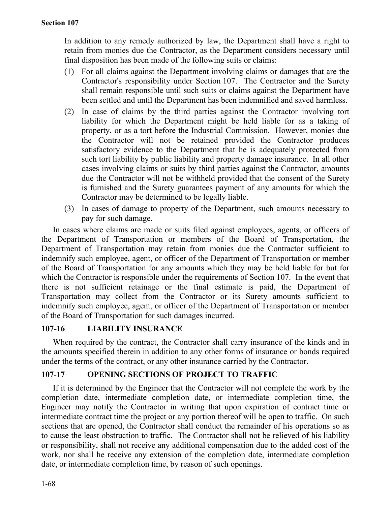In addition to any remedy authorized by law, the Department shall have a right to retain from monies due the Contractor, as the Department considers necessary until final disposition has been made of the following suits or claims:

- (1) For all claims against the Department involving claims or damages that are the Contractor's responsibility under Section 107. The Contractor and the Surety shall remain responsible until such suits or claims against the Department have been settled and until the Department has been indemnified and saved harmless.
- (2) In case of claims by the third parties against the Contractor involving tort liability for which the Department might be held liable for as a taking of property, or as a tort before the Industrial Commission. However, monies due the Contractor will not be retained provided the Contractor produces satisfactory evidence to the Department that he is adequately protected from such tort liability by public liability and property damage insurance. In all other cases involving claims or suits by third parties against the Contractor, amounts due the Contractor will not be withheld provided that the consent of the Surety is furnished and the Surety guarantees payment of any amounts for which the Contractor may be determined to be legally liable.
- (3) In cases of damage to property of the Department, such amounts necessary to pay for such damage.

In cases where claims are made or suits filed against employees, agents, or officers of the Department of Transportation or members of the Board of Transportation, the Department of Transportation may retain from monies due the Contractor sufficient to indemnify such employee, agent, or officer of the Department of Transportation or member of the Board of Transportation for any amounts which they may be held liable for but for which the Contractor is responsible under the requirements of Section 107. In the event that there is not sufficient retainage or the final estimate is paid, the Department of Transportation may collect from the Contractor or its Surety amounts sufficient to indemnify such employee, agent, or officer of the Department of Transportation or member of the Board of Transportation for such damages incurred.

### **107-16 LIABILITY INSURANCE**

When required by the contract, the Contractor shall carry insurance of the kinds and in the amounts specified therein in addition to any other forms of insurance or bonds required under the terms of the contract, or any other insurance carried by the Contractor.

# **107-17 OPENING SECTIONS OF PROJECT TO TRAFFIC**

If it is determined by the Engineer that the Contractor will not complete the work by the completion date, intermediate completion date, or intermediate completion time, the Engineer may notify the Contractor in writing that upon expiration of contract time or intermediate contract time the project or any portion thereof will be open to traffic. On such sections that are opened, the Contractor shall conduct the remainder of his operations so as to cause the least obstruction to traffic. The Contractor shall not be relieved of his liability or responsibility, shall not receive any additional compensation due to the added cost of the work, nor shall he receive any extension of the completion date, intermediate completion date, or intermediate completion time, by reason of such openings.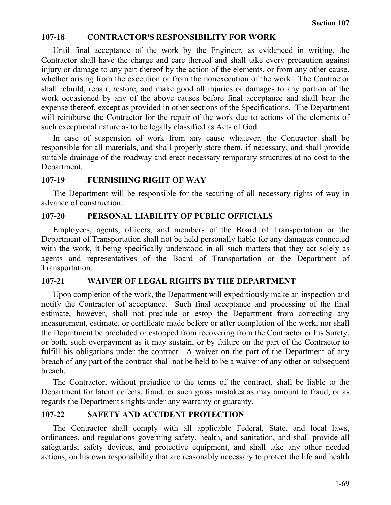#### **107-18 CONTRACTOR'S RESPONSIBILITY FOR WORK**

Until final acceptance of the work by the Engineer, as evidenced in writing, the Contractor shall have the charge and care thereof and shall take every precaution against injury or damage to any part thereof by the action of the elements, or from any other cause, whether arising from the execution or from the nonexecution of the work. The Contractor shall rebuild, repair, restore, and make good all injuries or damages to any portion of the work occasioned by any of the above causes before final acceptance and shall bear the expense thereof, except as provided in other sections of the Specifications. The Department will reimburse the Contractor for the repair of the work due to actions of the elements of such exceptional nature as to be legally classified as Acts of God.

In case of suspension of work from any cause whatever, the Contractor shall be responsible for all materials, and shall properly store them, if necessary, and shall provide suitable drainage of the roadway and erect necessary temporary structures at no cost to the Department.

#### **107-19 FURNISHING RIGHT OF WAY**

The Department will be responsible for the securing of all necessary rights of way in advance of construction.

#### **107-20 PERSONAL LIABILITY OF PUBLIC OFFICIALS**

Employees, agents, officers, and members of the Board of Transportation or the Department of Transportation shall not be held personally liable for any damages connected with the work, it being specifically understood in all such matters that they act solely as agents and representatives of the Board of Transportation or the Department of Transportation.

#### **107-21 WAIVER OF LEGAL RIGHTS BY THE DEPARTMENT**

Upon completion of the work, the Department will expeditiously make an inspection and notify the Contractor of acceptance. Such final acceptance and processing of the final estimate, however, shall not preclude or estop the Department from correcting any measurement, estimate, or certificate made before or after completion of the work, nor shall the Department be precluded or estopped from recovering from the Contractor or his Surety, or both, such overpayment as it may sustain, or by failure on the part of the Contractor to fulfill his obligations under the contract. A waiver on the part of the Department of any breach of any part of the contract shall not be held to be a waiver of any other or subsequent breach.

The Contractor, without prejudice to the terms of the contract, shall be liable to the Department for latent defects, fraud, or such gross mistakes as may amount to fraud, or as regards the Department's rights under any warranty or guaranty.

### **107-22 SAFETY AND ACCIDENT PROTECTION**

The Contractor shall comply with all applicable Federal, State, and local laws, ordinances, and regulations governing safety, health, and sanitation, and shall provide all safeguards, safety devices, and protective equipment, and shall take any other needed actions, on his own responsibility that are reasonably necessary to protect the life and health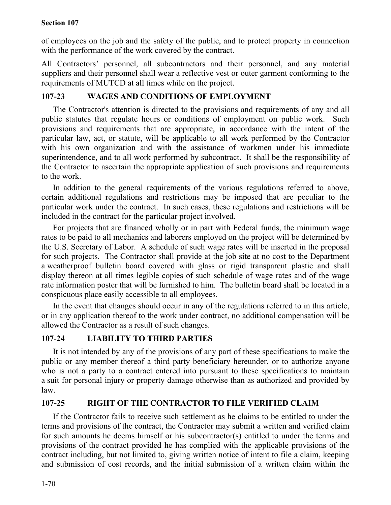of employees on the job and the safety of the public, and to protect property in connection with the performance of the work covered by the contract.

All Contractors' personnel, all subcontractors and their personnel, and any material suppliers and their personnel shall wear a reflective vest or outer garment conforming to the requirements of MUTCD at all times while on the project.

# **107-23 WAGES AND CONDITIONS OF EMPLOYMENT**

The Contractor's attention is directed to the provisions and requirements of any and all public statutes that regulate hours or conditions of employment on public work. Such provisions and requirements that are appropriate, in accordance with the intent of the particular law, act, or statute, will be applicable to all work performed by the Contractor with his own organization and with the assistance of workmen under his immediate superintendence, and to all work performed by subcontract. It shall be the responsibility of the Contractor to ascertain the appropriate application of such provisions and requirements to the work.

In addition to the general requirements of the various regulations referred to above, certain additional regulations and restrictions may be imposed that are peculiar to the particular work under the contract. In such cases, these regulations and restrictions will be included in the contract for the particular project involved.

For projects that are financed wholly or in part with Federal funds, the minimum wage rates to be paid to all mechanics and laborers employed on the project will be determined by the U.S. Secretary of Labor. A schedule of such wage rates will be inserted in the proposal for such projects. The Contractor shall provide at the job site at no cost to the Department a weatherproof bulletin board covered with glass or rigid transparent plastic and shall display thereon at all times legible copies of such schedule of wage rates and of the wage rate information poster that will be furnished to him. The bulletin board shall be located in a conspicuous place easily accessible to all employees.

In the event that changes should occur in any of the regulations referred to in this article, or in any application thereof to the work under contract, no additional compensation will be allowed the Contractor as a result of such changes.

# **107-24 LIABILITY TO THIRD PARTIES**

It is not intended by any of the provisions of any part of these specifications to make the public or any member thereof a third party beneficiary hereunder, or to authorize anyone who is not a party to a contract entered into pursuant to these specifications to maintain a suit for personal injury or property damage otherwise than as authorized and provided by law.

# **107-25 RIGHT OF THE CONTRACTOR TO FILE VERIFIED CLAIM**

If the Contractor fails to receive such settlement as he claims to be entitled to under the terms and provisions of the contract, the Contractor may submit a written and verified claim for such amounts he deems himself or his subcontractor(s) entitled to under the terms and provisions of the contract provided he has complied with the applicable provisions of the contract including, but not limited to, giving written notice of intent to file a claim, keeping and submission of cost records, and the initial submission of a written claim within the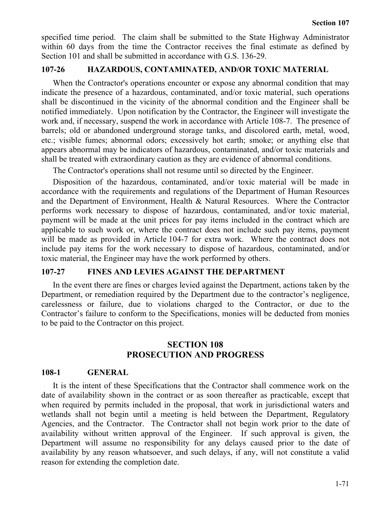specified time period. The claim shall be submitted to the State Highway Administrator within 60 days from the time the Contractor receives the final estimate as defined by Section 101 and shall be submitted in accordance with G.S. 136-29.

### **107-26 HAZARDOUS, CONTAMINATED, AND/OR TOXIC MATERIAL**

When the Contractor's operations encounter or expose any abnormal condition that may indicate the presence of a hazardous, contaminated, and/or toxic material, such operations shall be discontinued in the vicinity of the abnormal condition and the Engineer shall be notified immediately. Upon notification by the Contractor, the Engineer will investigate the work and, if necessary, suspend the work in accordance with Article 108-7. The presence of barrels; old or abandoned underground storage tanks, and discolored earth, metal, wood, etc.; visible fumes; abnormal odors; excessively hot earth; smoke; or anything else that appears abnormal may be indicators of hazardous, contaminated, and/or toxic materials and shall be treated with extraordinary caution as they are evidence of abnormal conditions.

The Contractor's operations shall not resume until so directed by the Engineer.

Disposition of the hazardous, contaminated, and/or toxic material will be made in accordance with the requirements and regulations of the Department of Human Resources and the Department of Environment, Health & Natural Resources. Where the Contractor performs work necessary to dispose of hazardous, contaminated, and/or toxic material, payment will be made at the unit prices for pay items included in the contract which are applicable to such work or, where the contract does not include such pay items, payment will be made as provided in Article 104-7 for extra work. Where the contract does not include pay items for the work necessary to dispose of hazardous, contaminated, and/or toxic material, the Engineer may have the work performed by others.

#### **107-27 FINES AND LEVIES AGAINST THE DEPARTMENT**

In the event there are fines or charges levied against the Department, actions taken by the Department, or remediation required by the Department due to the contractor's negligence, carelessness or failure, due to violations charged to the Contractor, or due to the Contractor's failure to conform to the Specifications, monies will be deducted from monies to be paid to the Contractor on this project.

### **SECTION 108 PROSECUTION AND PROGRESS**

#### **108-1 GENERAL**

It is the intent of these Specifications that the Contractor shall commence work on the date of availability shown in the contract or as soon thereafter as practicable, except that when required by permits included in the proposal, that work in jurisdictional waters and wetlands shall not begin until a meeting is held between the Department, Regulatory Agencies, and the Contractor. The Contractor shall not begin work prior to the date of availability without written approval of the Engineer. If such approval is given, the Department will assume no responsibility for any delays caused prior to the date of availability by any reason whatsoever, and such delays, if any, will not constitute a valid reason for extending the completion date.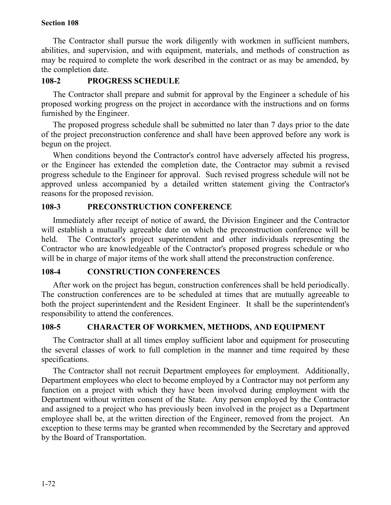The Contractor shall pursue the work diligently with workmen in sufficient numbers, abilities, and supervision, and with equipment, materials, and methods of construction as may be required to complete the work described in the contract or as may be amended, by the completion date.

### **108-2 PROGRESS SCHEDULE**

The Contractor shall prepare and submit for approval by the Engineer a schedule of his proposed working progress on the project in accordance with the instructions and on forms furnished by the Engineer.

The proposed progress schedule shall be submitted no later than 7 days prior to the date of the project preconstruction conference and shall have been approved before any work is begun on the project.

When conditions beyond the Contractor's control have adversely affected his progress, or the Engineer has extended the completion date, the Contractor may submit a revised progress schedule to the Engineer for approval. Such revised progress schedule will not be approved unless accompanied by a detailed written statement giving the Contractor's reasons for the proposed revision.

### **108-3 PRECONSTRUCTION CONFERENCE**

Immediately after receipt of notice of award, the Division Engineer and the Contractor will establish a mutually agreeable date on which the preconstruction conference will be held. The Contractor's project superintendent and other individuals representing the Contractor who are knowledgeable of the Contractor's proposed progress schedule or who will be in charge of major items of the work shall attend the preconstruction conference.

### **108-4 CONSTRUCTION CONFERENCES**

After work on the project has begun, construction conferences shall be held periodically. The construction conferences are to be scheduled at times that are mutually agreeable to both the project superintendent and the Resident Engineer. It shall be the superintendent's responsibility to attend the conferences.

### **108-5 CHARACTER OF WORKMEN, METHODS, AND EQUIPMENT**

The Contractor shall at all times employ sufficient labor and equipment for prosecuting the several classes of work to full completion in the manner and time required by these specifications.

The Contractor shall not recruit Department employees for employment. Additionally, Department employees who elect to become employed by a Contractor may not perform any function on a project with which they have been involved during employment with the Department without written consent of the State. Any person employed by the Contractor and assigned to a project who has previously been involved in the project as a Department employee shall be, at the written direction of the Engineer, removed from the project. An exception to these terms may be granted when recommended by the Secretary and approved by the Board of Transportation.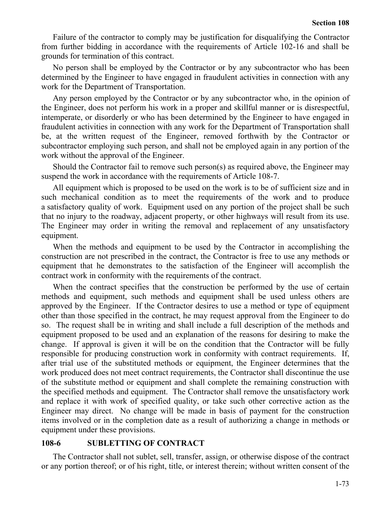Failure of the contractor to comply may be justification for disqualifying the Contractor from further bidding in accordance with the requirements of Article 102-16 and shall be grounds for termination of this contract.

No person shall be employed by the Contractor or by any subcontractor who has been determined by the Engineer to have engaged in fraudulent activities in connection with any work for the Department of Transportation.

Any person employed by the Contractor or by any subcontractor who, in the opinion of the Engineer, does not perform his work in a proper and skillful manner or is disrespectful, intemperate, or disorderly or who has been determined by the Engineer to have engaged in fraudulent activities in connection with any work for the Department of Transportation shall be, at the written request of the Engineer, removed forthwith by the Contractor or subcontractor employing such person, and shall not be employed again in any portion of the work without the approval of the Engineer.

Should the Contractor fail to remove such person(s) as required above, the Engineer may suspend the work in accordance with the requirements of Article 108-7.

All equipment which is proposed to be used on the work is to be of sufficient size and in such mechanical condition as to meet the requirements of the work and to produce a satisfactory quality of work. Equipment used on any portion of the project shall be such that no injury to the roadway, adjacent property, or other highways will result from its use. The Engineer may order in writing the removal and replacement of any unsatisfactory equipment.

When the methods and equipment to be used by the Contractor in accomplishing the construction are not prescribed in the contract, the Contractor is free to use any methods or equipment that he demonstrates to the satisfaction of the Engineer will accomplish the contract work in conformity with the requirements of the contract.

When the contract specifies that the construction be performed by the use of certain methods and equipment, such methods and equipment shall be used unless others are approved by the Engineer. If the Contractor desires to use a method or type of equipment other than those specified in the contract, he may request approval from the Engineer to do so. The request shall be in writing and shall include a full description of the methods and equipment proposed to be used and an explanation of the reasons for desiring to make the change. If approval is given it will be on the condition that the Contractor will be fully responsible for producing construction work in conformity with contract requirements. If, after trial use of the substituted methods or equipment, the Engineer determines that the work produced does not meet contract requirements, the Contractor shall discontinue the use of the substitute method or equipment and shall complete the remaining construction with the specified methods and equipment. The Contractor shall remove the unsatisfactory work and replace it with work of specified quality, or take such other corrective action as the Engineer may direct. No change will be made in basis of payment for the construction items involved or in the completion date as a result of authorizing a change in methods or equipment under these provisions.

#### **108-6 SUBLETTING OF CONTRACT**

The Contractor shall not sublet, sell, transfer, assign, or otherwise dispose of the contract or any portion thereof; or of his right, title, or interest therein; without written consent of the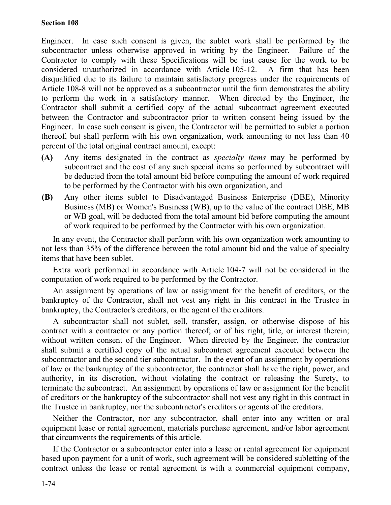#### **Section 108**

Engineer. In case such consent is given, the sublet work shall be performed by the subcontractor unless otherwise approved in writing by the Engineer. Failure of the Contractor to comply with these Specifications will be just cause for the work to be considered unauthorized in accordance with Article 105-12. A firm that has been disqualified due to its failure to maintain satisfactory progress under the requirements of Article 108-8 will not be approved as a subcontractor until the firm demonstrates the ability to perform the work in a satisfactory manner. When directed by the Engineer, the Contractor shall submit a certified copy of the actual subcontract agreement executed between the Contractor and subcontractor prior to written consent being issued by the Engineer. In case such consent is given, the Contractor will be permitted to sublet a portion thereof, but shall perform with his own organization, work amounting to not less than 40 percent of the total original contract amount, except:

- **(A)** Any items designated in the contract as *specialty items* may be performed by subcontract and the cost of any such special items so performed by subcontract will be deducted from the total amount bid before computing the amount of work required to be performed by the Contractor with his own organization, and
- **(B)** Any other items sublet to Disadvantaged Business Enterprise (DBE), Minority Business (MB) or Women's Business (WB), up to the value of the contract DBE, MB or WB goal, will be deducted from the total amount bid before computing the amount of work required to be performed by the Contractor with his own organization.

In any event, the Contractor shall perform with his own organization work amounting to not less than 35% of the difference between the total amount bid and the value of specialty items that have been sublet.

Extra work performed in accordance with Article 104-7 will not be considered in the computation of work required to be performed by the Contractor.

An assignment by operations of law or assignment for the benefit of creditors, or the bankruptcy of the Contractor, shall not vest any right in this contract in the Trustee in bankruptcy, the Contractor's creditors, or the agent of the creditors.

A subcontractor shall not sublet, sell, transfer, assign, or otherwise dispose of his contract with a contractor or any portion thereof; or of his right, title, or interest therein; without written consent of the Engineer. When directed by the Engineer, the contractor shall submit a certified copy of the actual subcontract agreement executed between the subcontractor and the second tier subcontractor. In the event of an assignment by operations of law or the bankruptcy of the subcontractor, the contractor shall have the right, power, and authority, in its discretion, without violating the contract or releasing the Surety, to terminate the subcontract. An assignment by operations of law or assignment for the benefit of creditors or the bankruptcy of the subcontractor shall not vest any right in this contract in the Trustee in bankruptcy, nor the subcontractor's creditors or agents of the creditors.

Neither the Contractor, nor any subcontractor, shall enter into any written or oral equipment lease or rental agreement, materials purchase agreement, and/or labor agreement that circumvents the requirements of this article.

If the Contractor or a subcontractor enter into a lease or rental agreement for equipment based upon payment for a unit of work, such agreement will be considered subletting of the contract unless the lease or rental agreement is with a commercial equipment company,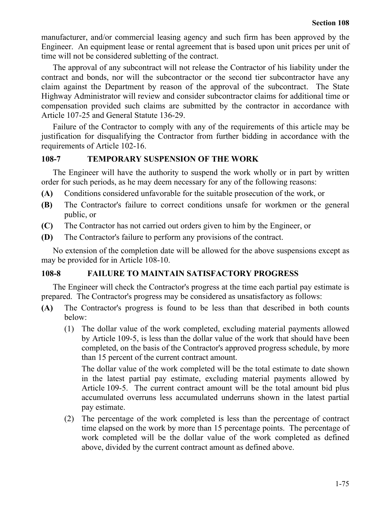manufacturer, and/or commercial leasing agency and such firm has been approved by the Engineer. An equipment lease or rental agreement that is based upon unit prices per unit of time will not be considered subletting of the contract.

The approval of any subcontract will not release the Contractor of his liability under the contract and bonds, nor will the subcontractor or the second tier subcontractor have any claim against the Department by reason of the approval of the subcontract. The State Highway Administrator will review and consider subcontractor claims for additional time or compensation provided such claims are submitted by the contractor in accordance with Article 107-25 and General Statute 136-29.

Failure of the Contractor to comply with any of the requirements of this article may be justification for disqualifying the Contractor from further bidding in accordance with the requirements of Article 102-16.

#### **108-7 TEMPORARY SUSPENSION OF THE WORK**

The Engineer will have the authority to suspend the work wholly or in part by written order for such periods, as he may deem necessary for any of the following reasons:

- **(A)** Conditions considered unfavorable for the suitable prosecution of the work, or
- **(B)** The Contractor's failure to correct conditions unsafe for workmen or the general public, or
- **(C)** The Contractor has not carried out orders given to him by the Engineer, or
- **(D)** The Contractor's failure to perform any provisions of the contract.

No extension of the completion date will be allowed for the above suspensions except as may be provided for in Article 108-10.

# **108-8 FAILURE TO MAINTAIN SATISFACTORY PROGRESS**

The Engineer will check the Contractor's progress at the time each partial pay estimate is prepared. The Contractor's progress may be considered as unsatisfactory as follows:

- **(A)** The Contractor's progress is found to be less than that described in both counts below:
	- (1) The dollar value of the work completed, excluding material payments allowed by Article 109-5, is less than the dollar value of the work that should have been completed, on the basis of the Contractor's approved progress schedule, by more than 15 percent of the current contract amount.

The dollar value of the work completed will be the total estimate to date shown in the latest partial pay estimate, excluding material payments allowed by Article 109-5. The current contract amount will be the total amount bid plus accumulated overruns less accumulated underruns shown in the latest partial pay estimate.

(2) The percentage of the work completed is less than the percentage of contract time elapsed on the work by more than 15 percentage points. The percentage of work completed will be the dollar value of the work completed as defined above, divided by the current contract amount as defined above.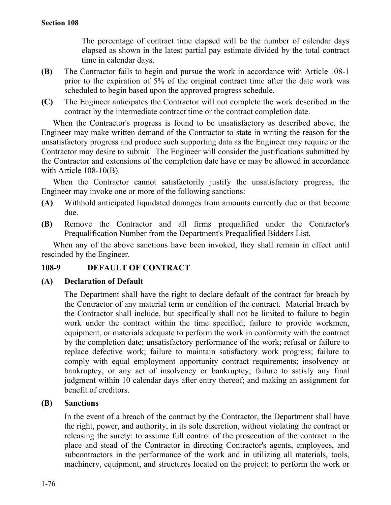The percentage of contract time elapsed will be the number of calendar days elapsed as shown in the latest partial pay estimate divided by the total contract time in calendar days.

- **(B)** The Contractor fails to begin and pursue the work in accordance with Article 108-1 prior to the expiration of 5% of the original contract time after the date work was scheduled to begin based upon the approved progress schedule.
- **(C)** The Engineer anticipates the Contractor will not complete the work described in the contract by the intermediate contract time or the contract completion date.

When the Contractor's progress is found to be unsatisfactory as described above, the Engineer may make written demand of the Contractor to state in writing the reason for the unsatisfactory progress and produce such supporting data as the Engineer may require or the Contractor may desire to submit. The Engineer will consider the justifications submitted by the Contractor and extensions of the completion date have or may be allowed in accordance with Article 108-10(B).

When the Contractor cannot satisfactorily justify the unsatisfactory progress, the Engineer may invoke one or more of the following sanctions:

- **(A)** Withhold anticipated liquidated damages from amounts currently due or that become due.
- **(B)** Remove the Contractor and all firms prequalified under the Contractor's Prequalification Number from the Department's Prequalified Bidders List.

When any of the above sanctions have been invoked, they shall remain in effect until rescinded by the Engineer.

## **108-9 DEFAULT OF CONTRACT**

## **(A) Declaration of Default**

The Department shall have the right to declare default of the contract for breach by the Contractor of any material term or condition of the contract. Material breach by the Contractor shall include, but specifically shall not be limited to failure to begin work under the contract within the time specified; failure to provide workmen, equipment, or materials adequate to perform the work in conformity with the contract by the completion date; unsatisfactory performance of the work; refusal or failure to replace defective work; failure to maintain satisfactory work progress; failure to comply with equal employment opportunity contract requirements; insolvency or bankruptcy, or any act of insolvency or bankruptcy; failure to satisfy any final judgment within 10 calendar days after entry thereof; and making an assignment for benefit of creditors.

## **(B) Sanctions**

In the event of a breach of the contract by the Contractor, the Department shall have the right, power, and authority, in its sole discretion, without violating the contract or releasing the surety: to assume full control of the prosecution of the contract in the place and stead of the Contractor in directing Contractor's agents, employees, and subcontractors in the performance of the work and in utilizing all materials, tools, machinery, equipment, and structures located on the project; to perform the work or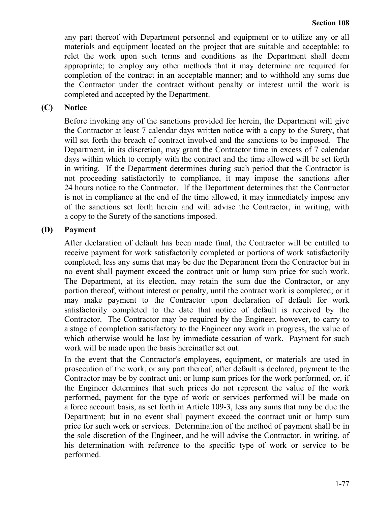any part thereof with Department personnel and equipment or to utilize any or all materials and equipment located on the project that are suitable and acceptable; to relet the work upon such terms and conditions as the Department shall deem appropriate; to employ any other methods that it may determine are required for completion of the contract in an acceptable manner; and to withhold any sums due the Contractor under the contract without penalty or interest until the work is completed and accepted by the Department.

## **(C) Notice**

Before invoking any of the sanctions provided for herein, the Department will give the Contractor at least 7 calendar days written notice with a copy to the Surety, that will set forth the breach of contract involved and the sanctions to be imposed. The Department, in its discretion, may grant the Contractor time in excess of 7 calendar days within which to comply with the contract and the time allowed will be set forth in writing. If the Department determines during such period that the Contractor is not proceeding satisfactorily to compliance, it may impose the sanctions after 24 hours notice to the Contractor. If the Department determines that the Contractor is not in compliance at the end of the time allowed, it may immediately impose any of the sanctions set forth herein and will advise the Contractor, in writing, with a copy to the Surety of the sanctions imposed.

#### **(D) Payment**

After declaration of default has been made final, the Contractor will be entitled to receive payment for work satisfactorily completed or portions of work satisfactorily completed, less any sums that may be due the Department from the Contractor but in no event shall payment exceed the contract unit or lump sum price for such work. The Department, at its election, may retain the sum due the Contractor, or any portion thereof, without interest or penalty, until the contract work is completed; or it may make payment to the Contractor upon declaration of default for work satisfactorily completed to the date that notice of default is received by the Contractor. The Contractor may be required by the Engineer, however, to carry to a stage of completion satisfactory to the Engineer any work in progress, the value of which otherwise would be lost by immediate cessation of work. Payment for such work will be made upon the basis hereinafter set out.

In the event that the Contractor's employees, equipment, or materials are used in prosecution of the work, or any part thereof, after default is declared, payment to the Contractor may be by contract unit or lump sum prices for the work performed, or, if the Engineer determines that such prices do not represent the value of the work performed, payment for the type of work or services performed will be made on a force account basis, as set forth in Article 109-3, less any sums that may be due the Department; but in no event shall payment exceed the contract unit or lump sum price for such work or services. Determination of the method of payment shall be in the sole discretion of the Engineer, and he will advise the Contractor, in writing, of his determination with reference to the specific type of work or service to be performed.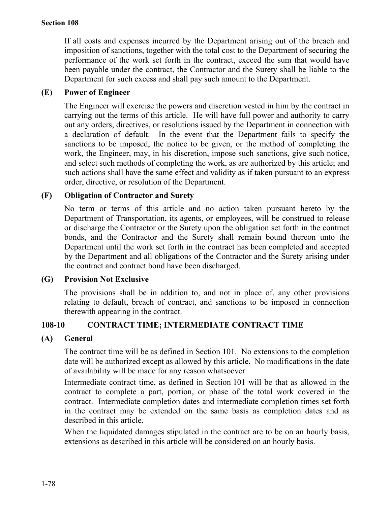If all costs and expenses incurred by the Department arising out of the breach and imposition of sanctions, together with the total cost to the Department of securing the performance of the work set forth in the contract, exceed the sum that would have been payable under the contract, the Contractor and the Surety shall be liable to the Department for such excess and shall pay such amount to the Department.

# **(E) Power of Engineer**

The Engineer will exercise the powers and discretion vested in him by the contract in carrying out the terms of this article. He will have full power and authority to carry out any orders, directives, or resolutions issued by the Department in connection with a declaration of default. In the event that the Department fails to specify the sanctions to be imposed, the notice to be given, or the method of completing the work, the Engineer, may, in his discretion, impose such sanctions, give such notice, and select such methods of completing the work, as are authorized by this article; and such actions shall have the same effect and validity as if taken pursuant to an express order, directive, or resolution of the Department.

# **(F) Obligation of Contractor and Surety**

No term or terms of this article and no action taken pursuant hereto by the Department of Transportation, its agents, or employees, will be construed to release or discharge the Contractor or the Surety upon the obligation set forth in the contract bonds, and the Contractor and the Surety shall remain bound thereon unto the Department until the work set forth in the contract has been completed and accepted by the Department and all obligations of the Contractor and the Surety arising under the contract and contract bond have been discharged.

## **(G) Provision Not Exclusive**

The provisions shall be in addition to, and not in place of, any other provisions relating to default, breach of contract, and sanctions to be imposed in connection therewith appearing in the contract.

## **108-10 CONTRACT TIME; INTERMEDIATE CONTRACT TIME**

## **(A) General**

The contract time will be as defined in Section 101. No extensions to the completion date will be authorized except as allowed by this article. No modifications in the date of availability will be made for any reason whatsoever.

Intermediate contract time, as defined in Section 101 will be that as allowed in the contract to complete a part, portion, or phase of the total work covered in the contract. Intermediate completion dates and intermediate completion times set forth in the contract may be extended on the same basis as completion dates and as described in this article.

When the liquidated damages stipulated in the contract are to be on an hourly basis, extensions as described in this article will be considered on an hourly basis.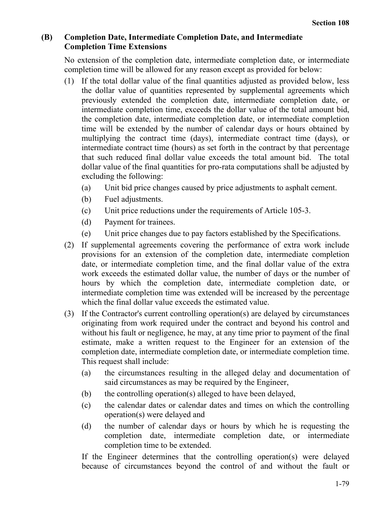# **(B) Completion Date, Intermediate Completion Date, and Intermediate Completion Time Extensions**

No extension of the completion date, intermediate completion date, or intermediate completion time will be allowed for any reason except as provided for below:

- (1) If the total dollar value of the final quantities adjusted as provided below, less the dollar value of quantities represented by supplemental agreements which previously extended the completion date, intermediate completion date, or intermediate completion time, exceeds the dollar value of the total amount bid, the completion date, intermediate completion date, or intermediate completion time will be extended by the number of calendar days or hours obtained by multiplying the contract time (days), intermediate contract time (days), or intermediate contract time (hours) as set forth in the contract by that percentage that such reduced final dollar value exceeds the total amount bid. The total dollar value of the final quantities for pro-rata computations shall be adjusted by excluding the following:
	- (a) Unit bid price changes caused by price adjustments to asphalt cement.
	- (b) Fuel adjustments.
	- (c) Unit price reductions under the requirements of Article 105-3.
	- (d) Payment for trainees.
	- (e) Unit price changes due to pay factors established by the Specifications.
- (2) If supplemental agreements covering the performance of extra work include provisions for an extension of the completion date, intermediate completion date, or intermediate completion time, and the final dollar value of the extra work exceeds the estimated dollar value, the number of days or the number of hours by which the completion date, intermediate completion date, or intermediate completion time was extended will be increased by the percentage which the final dollar value exceeds the estimated value.
- (3) If the Contractor's current controlling operation(s) are delayed by circumstances originating from work required under the contract and beyond his control and without his fault or negligence, he may, at any time prior to payment of the final estimate, make a written request to the Engineer for an extension of the completion date, intermediate completion date, or intermediate completion time. This request shall include:
	- (a) the circumstances resulting in the alleged delay and documentation of said circumstances as may be required by the Engineer,
	- (b) the controlling operation(s) alleged to have been delayed,
	- (c) the calendar dates or calendar dates and times on which the controlling operation(s) were delayed and
	- (d) the number of calendar days or hours by which he is requesting the completion date, intermediate completion date, or intermediate completion time to be extended.

If the Engineer determines that the controlling operation(s) were delayed because of circumstances beyond the control of and without the fault or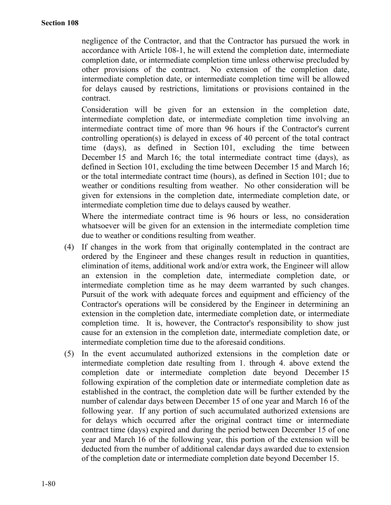negligence of the Contractor, and that the Contractor has pursued the work in accordance with Article 108-1, he will extend the completion date, intermediate completion date, or intermediate completion time unless otherwise precluded by other provisions of the contract. No extension of the completion date, intermediate completion date, or intermediate completion time will be allowed for delays caused by restrictions, limitations or provisions contained in the contract.

Consideration will be given for an extension in the completion date, intermediate completion date, or intermediate completion time involving an intermediate contract time of more than 96 hours if the Contractor's current controlling operation(s) is delayed in excess of 40 percent of the total contract time (days), as defined in Section 101, excluding the time between December 15 and March 16; the total intermediate contract time (days), as defined in Section 101, excluding the time between December 15 and March 16; or the total intermediate contract time (hours), as defined in Section 101; due to weather or conditions resulting from weather. No other consideration will be given for extensions in the completion date, intermediate completion date, or intermediate completion time due to delays caused by weather.

Where the intermediate contract time is 96 hours or less, no consideration whatsoever will be given for an extension in the intermediate completion time due to weather or conditions resulting from weather.

- (4) If changes in the work from that originally contemplated in the contract are ordered by the Engineer and these changes result in reduction in quantities, elimination of items, additional work and/or extra work, the Engineer will allow an extension in the completion date, intermediate completion date, or intermediate completion time as he may deem warranted by such changes. Pursuit of the work with adequate forces and equipment and efficiency of the Contractor's operations will be considered by the Engineer in determining an extension in the completion date, intermediate completion date, or intermediate completion time. It is, however, the Contractor's responsibility to show just cause for an extension in the completion date, intermediate completion date, or intermediate completion time due to the aforesaid conditions.
- (5) In the event accumulated authorized extensions in the completion date or intermediate completion date resulting from 1. through 4. above extend the completion date or intermediate completion date beyond December 15 following expiration of the completion date or intermediate completion date as established in the contract, the completion date will be further extended by the number of calendar days between December 15 of one year and March 16 of the following year. If any portion of such accumulated authorized extensions are for delays which occurred after the original contract time or intermediate contract time (days) expired and during the period between December 15 of one year and March 16 of the following year, this portion of the extension will be deducted from the number of additional calendar days awarded due to extension of the completion date or intermediate completion date beyond December 15.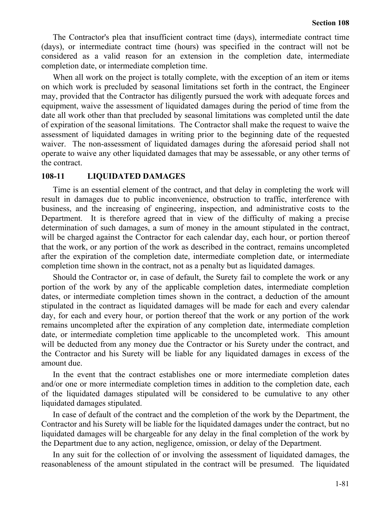The Contractor's plea that insufficient contract time (days), intermediate contract time (days), or intermediate contract time (hours) was specified in the contract will not be considered as a valid reason for an extension in the completion date, intermediate completion date, or intermediate completion time.

When all work on the project is totally complete, with the exception of an item or items on which work is precluded by seasonal limitations set forth in the contract, the Engineer may, provided that the Contractor has diligently pursued the work with adequate forces and equipment, waive the assessment of liquidated damages during the period of time from the date all work other than that precluded by seasonal limitations was completed until the date of expiration of the seasonal limitations. The Contractor shall make the request to waive the assessment of liquidated damages in writing prior to the beginning date of the requested waiver. The non-assessment of liquidated damages during the aforesaid period shall not operate to waive any other liquidated damages that may be assessable, or any other terms of the contract.

#### **108-11 LIQUIDATED DAMAGES**

Time is an essential element of the contract, and that delay in completing the work will result in damages due to public inconvenience, obstruction to traffic, interference with business, and the increasing of engineering, inspection, and administrative costs to the Department. It is therefore agreed that in view of the difficulty of making a precise determination of such damages, a sum of money in the amount stipulated in the contract, will be charged against the Contractor for each calendar day, each hour, or portion thereof that the work, or any portion of the work as described in the contract, remains uncompleted after the expiration of the completion date, intermediate completion date, or intermediate completion time shown in the contract, not as a penalty but as liquidated damages.

Should the Contractor or, in case of default, the Surety fail to complete the work or any portion of the work by any of the applicable completion dates, intermediate completion dates, or intermediate completion times shown in the contract, a deduction of the amount stipulated in the contract as liquidated damages will be made for each and every calendar day, for each and every hour, or portion thereof that the work or any portion of the work remains uncompleted after the expiration of any completion date, intermediate completion date, or intermediate completion time applicable to the uncompleted work. This amount will be deducted from any money due the Contractor or his Surety under the contract, and the Contractor and his Surety will be liable for any liquidated damages in excess of the amount due.

In the event that the contract establishes one or more intermediate completion dates and/or one or more intermediate completion times in addition to the completion date, each of the liquidated damages stipulated will be considered to be cumulative to any other liquidated damages stipulated.

In case of default of the contract and the completion of the work by the Department, the Contractor and his Surety will be liable for the liquidated damages under the contract, but no liquidated damages will be chargeable for any delay in the final completion of the work by the Department due to any action, negligence, omission, or delay of the Department.

In any suit for the collection of or involving the assessment of liquidated damages, the reasonableness of the amount stipulated in the contract will be presumed. The liquidated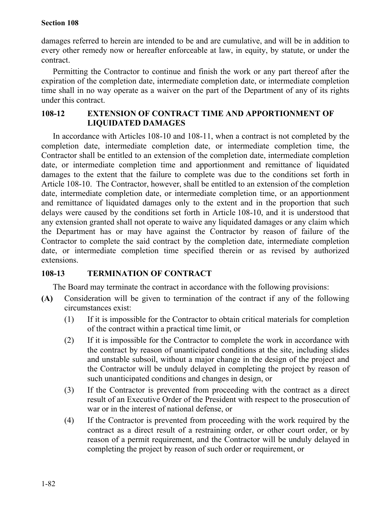#### **Section 108**

damages referred to herein are intended to be and are cumulative, and will be in addition to every other remedy now or hereafter enforceable at law, in equity, by statute, or under the contract.

Permitting the Contractor to continue and finish the work or any part thereof after the expiration of the completion date, intermediate completion date, or intermediate completion time shall in no way operate as a waiver on the part of the Department of any of its rights under this contract.

## **108-12 EXTENSION OF CONTRACT TIME AND APPORTIONMENT OF LIQUIDATED DAMAGES**

In accordance with Articles 108-10 and 108-11, when a contract is not completed by the completion date, intermediate completion date, or intermediate completion time, the Contractor shall be entitled to an extension of the completion date, intermediate completion date, or intermediate completion time and apportionment and remittance of liquidated damages to the extent that the failure to complete was due to the conditions set forth in Article 108-10. The Contractor, however, shall be entitled to an extension of the completion date, intermediate completion date, or intermediate completion time, or an apportionment and remittance of liquidated damages only to the extent and in the proportion that such delays were caused by the conditions set forth in Article 108-10, and it is understood that any extension granted shall not operate to waive any liquidated damages or any claim which the Department has or may have against the Contractor by reason of failure of the Contractor to complete the said contract by the completion date, intermediate completion date, or intermediate completion time specified therein or as revised by authorized extensions.

## **108-13 TERMINATION OF CONTRACT**

The Board may terminate the contract in accordance with the following provisions:

- **(A)** Consideration will be given to termination of the contract if any of the following circumstances exist:
	- (1) If it is impossible for the Contractor to obtain critical materials for completion of the contract within a practical time limit, or
	- (2) If it is impossible for the Contractor to complete the work in accordance with the contract by reason of unanticipated conditions at the site, including slides and unstable subsoil, without a major change in the design of the project and the Contractor will be unduly delayed in completing the project by reason of such unanticipated conditions and changes in design, or
	- (3) If the Contractor is prevented from proceeding with the contract as a direct result of an Executive Order of the President with respect to the prosecution of war or in the interest of national defense, or
	- (4) If the Contractor is prevented from proceeding with the work required by the contract as a direct result of a restraining order, or other court order, or by reason of a permit requirement, and the Contractor will be unduly delayed in completing the project by reason of such order or requirement, or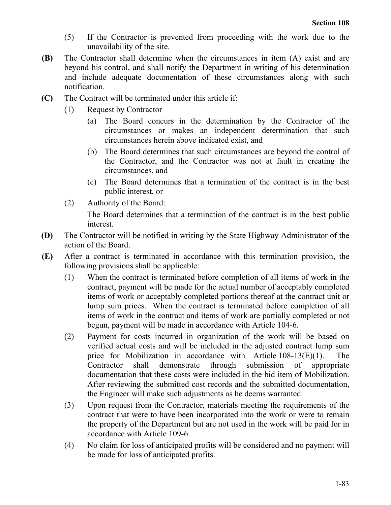- (5) If the Contractor is prevented from proceeding with the work due to the unavailability of the site.
- **(B)** The Contractor shall determine when the circumstances in item (A) exist and are beyond his control, and shall notify the Department in writing of his determination and include adequate documentation of these circumstances along with such notification.
- **(C)** The Contract will be terminated under this article if:
	- (1) Request by Contractor
		- (a) The Board concurs in the determination by the Contractor of the circumstances or makes an independent determination that such circumstances herein above indicated exist, and
		- (b) The Board determines that such circumstances are beyond the control of the Contractor, and the Contractor was not at fault in creating the circumstances, and
		- (c) The Board determines that a termination of the contract is in the best public interest, or
	- (2) Authority of the Board:

The Board determines that a termination of the contract is in the best public interest.

- **(D)** The Contractor will be notified in writing by the State Highway Administrator of the action of the Board.
- **(E)** After a contract is terminated in accordance with this termination provision, the following provisions shall be applicable:
	- (1) When the contract is terminated before completion of all items of work in the contract, payment will be made for the actual number of acceptably completed items of work or acceptably completed portions thereof at the contract unit or lump sum prices. When the contract is terminated before completion of all items of work in the contract and items of work are partially completed or not begun, payment will be made in accordance with Article 104-6.
	- (2) Payment for costs incurred in organization of the work will be based on verified actual costs and will be included in the adjusted contract lump sum price for Mobilization in accordance with Article 108-13(E)(1). The Contractor shall demonstrate through submission of appropriate documentation that these costs were included in the bid item of Mobilization. After reviewing the submitted cost records and the submitted documentation, the Engineer will make such adjustments as he deems warranted.
	- (3) Upon request from the Contractor, materials meeting the requirements of the contract that were to have been incorporated into the work or were to remain the property of the Department but are not used in the work will be paid for in accordance with Article 109-6.
	- (4) No claim for loss of anticipated profits will be considered and no payment will be made for loss of anticipated profits.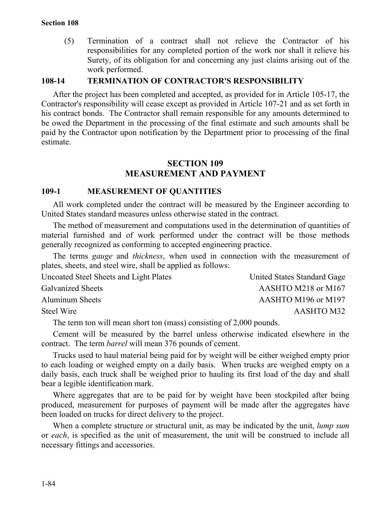(5) Termination of a contract shall not relieve the Contractor of his responsibilities for any completed portion of the work nor shall it relieve his Surety, of its obligation for and concerning any just claims arising out of the work performed.

#### **108-14 TERMINATION OF CONTRACTOR'S RESPONSIBILITY**

After the project has been completed and accepted, as provided for in Article 105-17, the Contractor's responsibility will cease except as provided in Article 107-21 and as set forth in his contract bonds. The Contractor shall remain responsible for any amounts determined to be owed the Department in the processing of the final estimate and such amounts shall be paid by the Contractor upon notification by the Department prior to processing of the final estimate.

## **SECTION 109 MEASUREMENT AND PAYMENT**

#### **109-1 MEASUREMENT OF QUANTITIES**

All work completed under the contract will be measured by the Engineer according to United States standard measures unless otherwise stated in the contract.

The method of measurement and computations used in the determination of quantities of material furnished and of work performed under the contract will be those methods generally recognized as conforming to accepted engineering practice.

The terms *gauge* and *thickness*, when used in connection with the measurement of plates, sheets, and steel wire, shall be applied as follows:

| Uncoated Steel Sheets and Light Plates | United States Standard Gage |
|----------------------------------------|-----------------------------|
| <b>Galvanized Sheets</b>               | AASHTO M218 or M167         |
| <b>Aluminum Sheets</b>                 | AASHTO M196 or M197         |
| Steel Wire                             | AASHTO M32                  |

The term ton will mean short ton (mass) consisting of 2,000 pounds.

Cement will be measured by the barrel unless otherwise indicated elsewhere in the contract. The term *barrel* will mean 376 pounds of cement.

Trucks used to haul material being paid for by weight will be either weighed empty prior to each loading or weighed empty on a daily basis. When trucks are weighed empty on a daily basis, each truck shall be weighed prior to hauling its first load of the day and shall bear a legible identification mark.

Where aggregates that are to be paid for by weight have been stockpiled after being produced, measurement for purposes of payment will be made after the aggregates have been loaded on trucks for direct delivery to the project.

When a complete structure or structural unit, as may be indicated by the unit, *lump sum* or *each*, is specified as the unit of measurement, the unit will be construed to include all necessary fittings and accessories.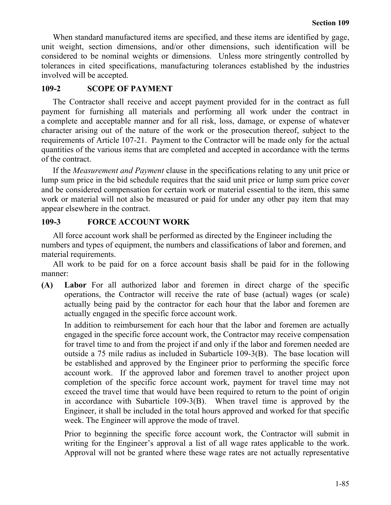When standard manufactured items are specified, and these items are identified by gage, unit weight, section dimensions, and/or other dimensions, such identification will be considered to be nominal weights or dimensions. Unless more stringently controlled by tolerances in cited specifications, manufacturing tolerances established by the industries involved will be accepted.

# **109-2 SCOPE OF PAYMENT**

The Contractor shall receive and accept payment provided for in the contract as full payment for furnishing all materials and performing all work under the contract in a complete and acceptable manner and for all risk, loss, damage, or expense of whatever character arising out of the nature of the work or the prosecution thereof, subject to the requirements of Article 107-21. Payment to the Contractor will be made only for the actual quantities of the various items that are completed and accepted in accordance with the terms of the contract.

If the *Measurement and Payment* clause in the specifications relating to any unit price or lump sum price in the bid schedule requires that the said unit price or lump sum price cover and be considered compensation for certain work or material essential to the item, this same work or material will not also be measured or paid for under any other pay item that may appear elsewhere in the contract.

# **109-3 FORCE ACCOUNT WORK**

All force account work shall be performed as directed by the Engineer including the numbers and types of equipment, the numbers and classifications of labor and foremen, and material requirements.

All work to be paid for on a force account basis shall be paid for in the following manner:

**(A) Labor** For all authorized labor and foremen in direct charge of the specific operations, the Contractor will receive the rate of base (actual) wages (or scale) actually being paid by the contractor for each hour that the labor and foremen are actually engaged in the specific force account work.

In addition to reimbursement for each hour that the labor and foremen are actually engaged in the specific force account work, the Contractor may receive compensation for travel time to and from the project if and only if the labor and foremen needed are outside a 75 mile radius as included in Subarticle 109-3(B). The base location will be established and approved by the Engineer prior to performing the specific force account work. If the approved labor and foremen travel to another project upon completion of the specific force account work, payment for travel time may not exceed the travel time that would have been required to return to the point of origin in accordance with Subarticle 109-3(B). When travel time is approved by the Engineer, it shall be included in the total hours approved and worked for that specific week. The Engineer will approve the mode of travel.

Prior to beginning the specific force account work, the Contractor will submit in writing for the Engineer's approval a list of all wage rates applicable to the work. Approval will not be granted where these wage rates are not actually representative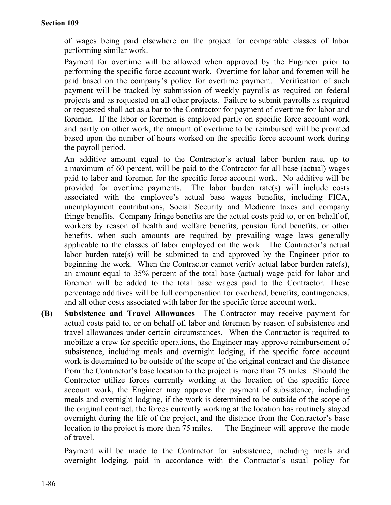of wages being paid elsewhere on the project for comparable classes of labor performing similar work.

Payment for overtime will be allowed when approved by the Engineer prior to performing the specific force account work. Overtime for labor and foremen will be paid based on the company's policy for overtime payment. Verification of such payment will be tracked by submission of weekly payrolls as required on federal projects and as requested on all other projects. Failure to submit payrolls as required or requested shall act as a bar to the Contractor for payment of overtime for labor and foremen. If the labor or foremen is employed partly on specific force account work and partly on other work, the amount of overtime to be reimbursed will be prorated based upon the number of hours worked on the specific force account work during the payroll period.

An additive amount equal to the Contractor's actual labor burden rate, up to a maximum of 60 percent, will be paid to the Contractor for all base (actual) wages paid to labor and foremen for the specific force account work. No additive will be provided for overtime payments. The labor burden rate(s) will include costs associated with the employee's actual base wages benefits, including FICA, unemployment contributions, Social Security and Medicare taxes and company fringe benefits. Company fringe benefits are the actual costs paid to, or on behalf of, workers by reason of health and welfare benefits, pension fund benefits, or other benefits, when such amounts are required by prevailing wage laws generally applicable to the classes of labor employed on the work. The Contractor's actual labor burden rate(s) will be submitted to and approved by the Engineer prior to beginning the work. When the Contractor cannot verify actual labor burden rate(s), an amount equal to 35% percent of the total base (actual) wage paid for labor and foremen will be added to the total base wages paid to the Contractor. These percentage additives will be full compensation for overhead, benefits, contingencies, and all other costs associated with labor for the specific force account work.

**(B) Subsistence and Travel Allowances** The Contractor may receive payment for actual costs paid to, or on behalf of, labor and foremen by reason of subsistence and travel allowances under certain circumstances. When the Contractor is required to mobilize a crew for specific operations, the Engineer may approve reimbursement of subsistence, including meals and overnight lodging, if the specific force account work is determined to be outside of the scope of the original contract and the distance from the Contractor's base location to the project is more than 75 miles. Should the Contractor utilize forces currently working at the location of the specific force account work, the Engineer may approve the payment of subsistence, including meals and overnight lodging, if the work is determined to be outside of the scope of the original contract, the forces currently working at the location has routinely stayed overnight during the life of the project, and the distance from the Contractor's base location to the project is more than 75 miles. The Engineer will approve the mode of travel.

Payment will be made to the Contractor for subsistence, including meals and overnight lodging, paid in accordance with the Contractor's usual policy for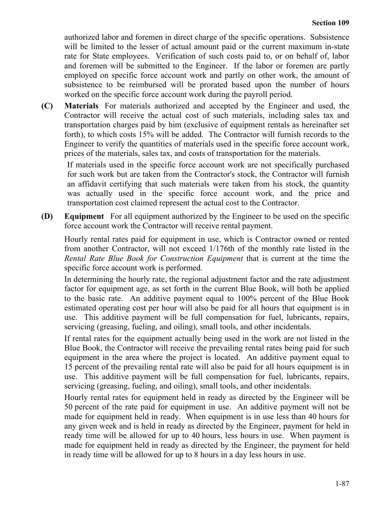authorized labor and foremen in direct charge of the specific operations. Subsistence will be limited to the lesser of actual amount paid or the current maximum in-state rate for State employees. Verification of such costs paid to, or on behalf of, labor and foremen will be submitted to the Engineer. If the labor or foremen are partly employed on specific force account work and partly on other work, the amount of subsistence to be reimbursed will be prorated based upon the number of hours worked on the specific force account work during the payroll period.

**(C) Materials** For materials authorized and accepted by the Engineer and used, the Contractor will receive the actual cost of such materials, including sales tax and transportation charges paid by him (exclusive of equipment rentals as hereinafter set forth), to which costs 15% will be added. The Contractor will furnish records to the Engineer to verify the quantities of materials used in the specific force account work, prices of the materials, sales tax, and costs of transportation for the materials.

If materials used in the specific force account work are not specifically purchased for such work but are taken from the Contractor's stock, the Contractor will furnish an affidavit certifying that such materials were taken from his stock, the quantity was actually used in the specific force account work, and the price and transportation cost claimed represent the actual cost to the Contractor.

**(D) Equipment** For all equipment authorized by the Engineer to be used on the specific force account work the Contractor will receive rental payment.

Hourly rental rates paid for equipment in use, which is Contractor owned or rented from another Contractor, will not exceed 1/176th of the monthly rate listed in the *Rental Rate Blue Book for Construction Equipment* that is current at the time the specific force account work is performed.

In determining the hourly rate, the regional adjustment factor and the rate adjustment factor for equipment age, as set forth in the current Blue Book, will both be applied to the basic rate. An additive payment equal to 100% percent of the Blue Book estimated operating cost per hour will also be paid for all hours that equipment is in use. This additive payment will be full compensation for fuel, lubricants, repairs, servicing (greasing, fueling, and oiling), small tools, and other incidentals.

If rental rates for the equipment actually being used in the work are not listed in the Blue Book, the Contractor will receive the prevailing rental rates being paid for such equipment in the area where the project is located. An additive payment equal to 15 percent of the prevailing rental rate will also be paid for all hours equipment is in use. This additive payment will be full compensation for fuel, lubricants, repairs, servicing (greasing, fueling, and oiling), small tools, and other incidentals.

Hourly rental rates for equipment held in ready as directed by the Engineer will be 50 percent of the rate paid for equipment in use. An additive payment will not be made for equipment held in ready. When equipment is in use less than 40 hours for any given week and is held in ready as directed by the Engineer, payment for held in ready time will be allowed for up to 40 hours, less hours in use. When payment is made for equipment held in ready as directed by the Engineer, the payment for held in ready time will be allowed for up to 8 hours in a day less hours in use.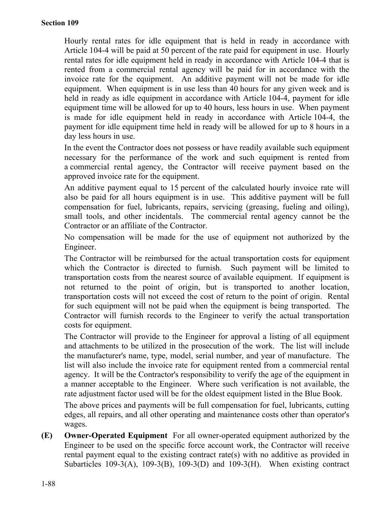Hourly rental rates for idle equipment that is held in ready in accordance with Article 104-4 will be paid at 50 percent of the rate paid for equipment in use. Hourly rental rates for idle equipment held in ready in accordance with Article 104-4 that is rented from a commercial rental agency will be paid for in accordance with the invoice rate for the equipment. An additive payment will not be made for idle equipment. When equipment is in use less than 40 hours for any given week and is held in ready as idle equipment in accordance with Article 104-4, payment for idle equipment time will be allowed for up to 40 hours, less hours in use. When payment is made for idle equipment held in ready in accordance with Article 104-4, the payment for idle equipment time held in ready will be allowed for up to 8 hours in a day less hours in use.

In the event the Contractor does not possess or have readily available such equipment necessary for the performance of the work and such equipment is rented from a commercial rental agency, the Contractor will receive payment based on the approved invoice rate for the equipment.

An additive payment equal to 15 percent of the calculated hourly invoice rate will also be paid for all hours equipment is in use. This additive payment will be full compensation for fuel, lubricants, repairs, servicing (greasing, fueling and oiling), small tools, and other incidentals. The commercial rental agency cannot be the Contractor or an affiliate of the Contractor.

No compensation will be made for the use of equipment not authorized by the Engineer.

The Contractor will be reimbursed for the actual transportation costs for equipment which the Contractor is directed to furnish. Such payment will be limited to transportation costs from the nearest source of available equipment. If equipment is not returned to the point of origin, but is transported to another location, transportation costs will not exceed the cost of return to the point of origin. Rental for such equipment will not be paid when the equipment is being transported. The Contractor will furnish records to the Engineer to verify the actual transportation costs for equipment.

The Contractor will provide to the Engineer for approval a listing of all equipment and attachments to be utilized in the prosecution of the work. The list will include the manufacturer's name, type, model, serial number, and year of manufacture. The list will also include the invoice rate for equipment rented from a commercial rental agency. It will be the Contractor's responsibility to verify the age of the equipment in a manner acceptable to the Engineer. Where such verification is not available, the rate adjustment factor used will be for the oldest equipment listed in the Blue Book.

The above prices and payments will be full compensation for fuel, lubricants, cutting edges, all repairs, and all other operating and maintenance costs other than operator's wages.

**(E) Owner-Operated Equipment** For all owner-operated equipment authorized by the Engineer to be used on the specific force account work, the Contractor will receive rental payment equal to the existing contract rate(s) with no additive as provided in Subarticles 109-3(A), 109-3(B), 109-3(D) and 109-3(H). When existing contract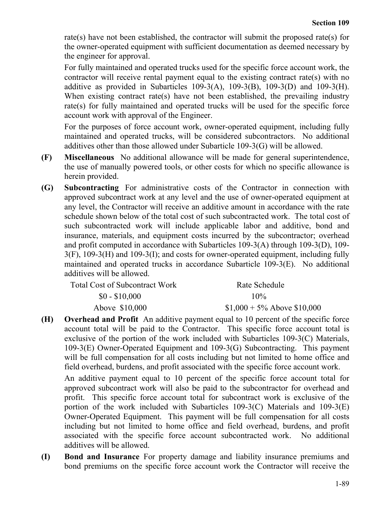rate(s) have not been established, the contractor will submit the proposed rate(s) for the owner-operated equipment with sufficient documentation as deemed necessary by the engineer for approval.

For fully maintained and operated trucks used for the specific force account work, the contractor will receive rental payment equal to the existing contract rate(s) with no additive as provided in Subarticles 109-3(A), 109-3(B), 109-3(D) and 109-3(H). When existing contract rate(s) have not been established, the prevailing industry rate(s) for fully maintained and operated trucks will be used for the specific force account work with approval of the Engineer.

For the purposes of force account work, owner-operated equipment, including fully maintained and operated trucks, will be considered subcontractors. No additional additives other than those allowed under Subarticle 109-3(G) will be allowed.

- **(F) Miscellaneous** No additional allowance will be made for general superintendence, the use of manually powered tools, or other costs for which no specific allowance is herein provided.
- **(G) Subcontracting** For administrative costs of the Contractor in connection with approved subcontract work at any level and the use of owner-operated equipment at any level, the Contractor will receive an additive amount in accordance with the rate schedule shown below of the total cost of such subcontracted work. The total cost of such subcontracted work will include applicable labor and additive, bond and insurance, materials, and equipment costs incurred by the subcontractor; overhead and profit computed in accordance with Subarticles 109-3(A) through 109-3(D), 109- 3(F), 109-3(H) and 109-3(I); and costs for owner-operated equipment, including fully maintained and operated trucks in accordance Subarticle 109-3(E). No additional additives will be allowed.

| <b>Total Cost of Subcontract Work</b> | Rate Schedule                 |
|---------------------------------------|-------------------------------|
| $$0 - $10,000$                        | $10\%$                        |
| Above \$10,000                        | $$1,000 + 5\%$ Above \$10,000 |

**(H) Overhead and Profit** An additive payment equal to 10 percent of the specific force account total will be paid to the Contractor. This specific force account total is exclusive of the portion of the work included with Subarticles 109-3(C) Materials, 109-3(E) Owner-Operated Equipment and 109-3(G) Subcontracting. This payment will be full compensation for all costs including but not limited to home office and field overhead, burdens, and profit associated with the specific force account work.

An additive payment equal to 10 percent of the specific force account total for approved subcontract work will also be paid to the subcontractor for overhead and profit. This specific force account total for subcontract work is exclusive of the portion of the work included with Subarticles 109-3(C) Materials and 109-3(E) Owner-Operated Equipment. This payment will be full compensation for all costs including but not limited to home office and field overhead, burdens, and profit associated with the specific force account subcontracted work. No additional additives will be allowed.

**(I) Bond and Insurance** For property damage and liability insurance premiums and bond premiums on the specific force account work the Contractor will receive the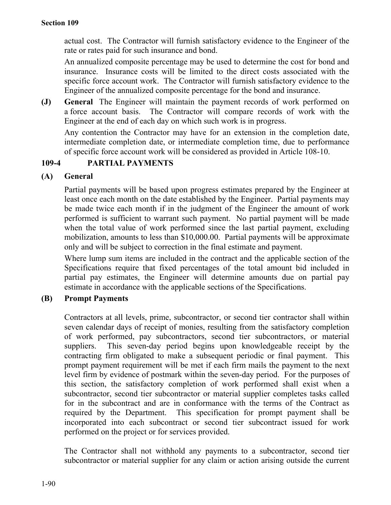actual cost. The Contractor will furnish satisfactory evidence to the Engineer of the rate or rates paid for such insurance and bond.

An annualized composite percentage may be used to determine the cost for bond and insurance. Insurance costs will be limited to the direct costs associated with the specific force account work. The Contractor will furnish satisfactory evidence to the Engineer of the annualized composite percentage for the bond and insurance.

**(J) General** The Engineer will maintain the payment records of work performed on a force account basis. The Contractor will compare records of work with the Engineer at the end of each day on which such work is in progress.

Any contention the Contractor may have for an extension in the completion date, intermediate completion date, or intermediate completion time, due to performance of specific force account work will be considered as provided in Article 108-10.

## **109-4 PARTIAL PAYMENTS**

## **(A) General**

Partial payments will be based upon progress estimates prepared by the Engineer at least once each month on the date established by the Engineer. Partial payments may be made twice each month if in the judgment of the Engineer the amount of work performed is sufficient to warrant such payment. No partial payment will be made when the total value of work performed since the last partial payment, excluding mobilization, amounts to less than \$10,000.00. Partial payments will be approximate only and will be subject to correction in the final estimate and payment.

Where lump sum items are included in the contract and the applicable section of the Specifications require that fixed percentages of the total amount bid included in partial pay estimates, the Engineer will determine amounts due on partial pay estimate in accordance with the applicable sections of the Specifications.

## **(B) Prompt Payments**

Contractors at all levels, prime, subcontractor, or second tier contractor shall within seven calendar days of receipt of monies, resulting from the satisfactory completion of work performed, pay subcontractors, second tier subcontractors, or material suppliers. This seven-day period begins upon knowledgeable receipt by the contracting firm obligated to make a subsequent periodic or final payment. This prompt payment requirement will be met if each firm mails the payment to the next level firm by evidence of postmark within the seven-day period. For the purposes of this section, the satisfactory completion of work performed shall exist when a subcontractor, second tier subcontractor or material supplier completes tasks called for in the subcontract and are in conformance with the terms of the Contract as required by the Department. This specification for prompt payment shall be incorporated into each subcontract or second tier subcontract issued for work performed on the project or for services provided.

The Contractor shall not withhold any payments to a subcontractor, second tier subcontractor or material supplier for any claim or action arising outside the current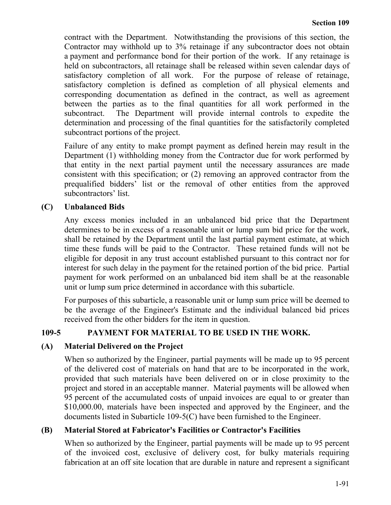contract with the Department. Notwithstanding the provisions of this section, the Contractor may withhold up to 3% retainage if any subcontractor does not obtain a payment and performance bond for their portion of the work. If any retainage is held on subcontractors, all retainage shall be released within seven calendar days of satisfactory completion of all work. For the purpose of release of retainage, satisfactory completion is defined as completion of all physical elements and corresponding documentation as defined in the contract, as well as agreement between the parties as to the final quantities for all work performed in the subcontract. The Department will provide internal controls to expedite the determination and processing of the final quantities for the satisfactorily completed subcontract portions of the project.

Failure of any entity to make prompt payment as defined herein may result in the Department (1) withholding money from the Contractor due for work performed by that entity in the next partial payment until the necessary assurances are made consistent with this specification; or (2) removing an approved contractor from the prequalified bidders' list or the removal of other entities from the approved subcontractors' list.

# **(C) Unbalanced Bids**

Any excess monies included in an unbalanced bid price that the Department determines to be in excess of a reasonable unit or lump sum bid price for the work, shall be retained by the Department until the last partial payment estimate, at which time these funds will be paid to the Contractor. These retained funds will not be eligible for deposit in any trust account established pursuant to this contract nor for interest for such delay in the payment for the retained portion of the bid price. Partial payment for work performed on an unbalanced bid item shall be at the reasonable unit or lump sum price determined in accordance with this subarticle.

For purposes of this subarticle, a reasonable unit or lump sum price will be deemed to be the average of the Engineer's Estimate and the individual balanced bid prices received from the other bidders for the item in question.

# **109-5 PAYMENT FOR MATERIAL TO BE USED IN THE WORK.**

## **(A) Material Delivered on the Project**

When so authorized by the Engineer, partial payments will be made up to 95 percent of the delivered cost of materials on hand that are to be incorporated in the work, provided that such materials have been delivered on or in close proximity to the project and stored in an acceptable manner. Material payments will be allowed when 95 percent of the accumulated costs of unpaid invoices are equal to or greater than \$10,000.00, materials have been inspected and approved by the Engineer, and the documents listed in Subarticle 109-5(C) have been furnished to the Engineer.

## **(B) Material Stored at Fabricator's Facilities or Contractor's Facilities**

When so authorized by the Engineer, partial payments will be made up to 95 percent of the invoiced cost, exclusive of delivery cost, for bulky materials requiring fabrication at an off site location that are durable in nature and represent a significant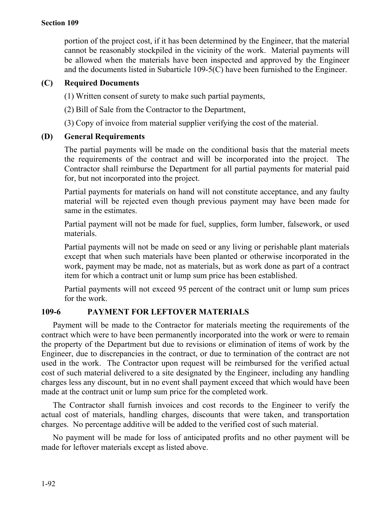#### **Section 109**

portion of the project cost, if it has been determined by the Engineer, that the material cannot be reasonably stockpiled in the vicinity of the work. Material payments will be allowed when the materials have been inspected and approved by the Engineer and the documents listed in Subarticle 109-5(C) have been furnished to the Engineer.

#### **(C) Required Documents**

(1) Written consent of surety to make such partial payments,

(2) Bill of Sale from the Contractor to the Department,

(3) Copy of invoice from material supplier verifying the cost of the material.

#### **(D) General Requirements**

The partial payments will be made on the conditional basis that the material meets the requirements of the contract and will be incorporated into the project. The Contractor shall reimburse the Department for all partial payments for material paid for, but not incorporated into the project.

Partial payments for materials on hand will not constitute acceptance, and any faulty material will be rejected even though previous payment may have been made for same in the estimates.

Partial payment will not be made for fuel, supplies, form lumber, falsework, or used materials.

Partial payments will not be made on seed or any living or perishable plant materials except that when such materials have been planted or otherwise incorporated in the work, payment may be made, not as materials, but as work done as part of a contract item for which a contract unit or lump sum price has been established.

Partial payments will not exceed 95 percent of the contract unit or lump sum prices for the work.

## **109-6 PAYMENT FOR LEFTOVER MATERIALS**

Payment will be made to the Contractor for materials meeting the requirements of the contract which were to have been permanently incorporated into the work or were to remain the property of the Department but due to revisions or elimination of items of work by the Engineer, due to discrepancies in the contract, or due to termination of the contract are not used in the work. The Contractor upon request will be reimbursed for the verified actual cost of such material delivered to a site designated by the Engineer, including any handling charges less any discount, but in no event shall payment exceed that which would have been made at the contract unit or lump sum price for the completed work.

The Contractor shall furnish invoices and cost records to the Engineer to verify the actual cost of materials, handling charges, discounts that were taken, and transportation charges. No percentage additive will be added to the verified cost of such material.

No payment will be made for loss of anticipated profits and no other payment will be made for leftover materials except as listed above.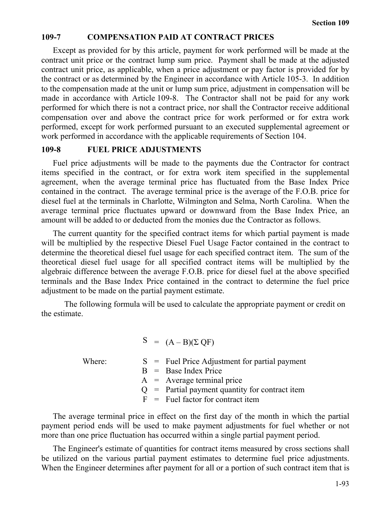# **109-7 COMPENSATION PAID AT CONTRACT PRICES**

Except as provided for by this article, payment for work performed will be made at the contract unit price or the contract lump sum price. Payment shall be made at the adjusted contract unit price, as applicable, when a price adjustment or pay factor is provided for by the contract or as determined by the Engineer in accordance with Article 105-3. In addition to the compensation made at the unit or lump sum price, adjustment in compensation will be made in accordance with Article 109-8. The Contractor shall not be paid for any work performed for which there is not a contract price, nor shall the Contractor receive additional compensation over and above the contract price for work performed or for extra work performed, except for work performed pursuant to an executed supplemental agreement or work performed in accordance with the applicable requirements of Section 104.

#### **109-8 FUEL PRICE ADJUSTMENTS**

Fuel price adjustments will be made to the payments due the Contractor for contract items specified in the contract, or for extra work item specified in the supplemental agreement, when the average terminal price has fluctuated from the Base Index Price contained in the contract. The average terminal price is the average of the F.O.B. price for diesel fuel at the terminals in Charlotte, Wilmington and Selma, North Carolina. When the average terminal price fluctuates upward or downward from the Base Index Price, an amount will be added to or deducted from the monies due the Contractor as follows.

The current quantity for the specified contract items for which partial payment is made will be multiplied by the respective Diesel Fuel Usage Factor contained in the contract to determine the theoretical diesel fuel usage for each specified contract item. The sum of the theoretical diesel fuel usage for all specified contract items will be multiplied by the algebraic difference between the average F.O.B. price for diesel fuel at the above specified terminals and the Base Index Price contained in the contract to determine the fuel price adjustment to be made on the partial payment estimate.

The following formula will be used to calculate the appropriate payment or credit on the estimate.

 $S = (A - B)(\Sigma \text{ OF})$ 

Where:  $S =$  Fuel Price Adjustment for partial payment

- B = Base Index Price
- $A$  = Average terminal price
- $Q =$  Partial payment quantity for contract item
- $F =$  Fuel factor for contract item

The average terminal price in effect on the first day of the month in which the partial payment period ends will be used to make payment adjustments for fuel whether or not more than one price fluctuation has occurred within a single partial payment period.

The Engineer's estimate of quantities for contract items measured by cross sections shall be utilized on the various partial payment estimates to determine fuel price adjustments. When the Engineer determines after payment for all or a portion of such contract item that is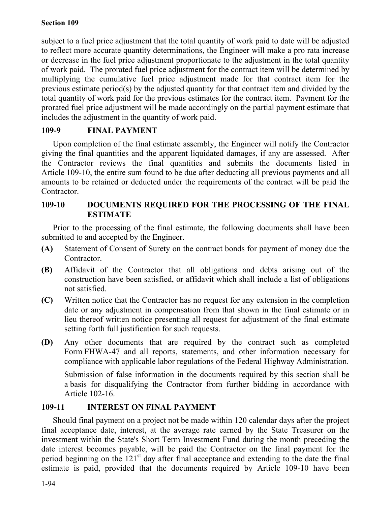#### **Section 109**

subject to a fuel price adjustment that the total quantity of work paid to date will be adjusted to reflect more accurate quantity determinations, the Engineer will make a pro rata increase or decrease in the fuel price adjustment proportionate to the adjustment in the total quantity of work paid. The prorated fuel price adjustment for the contract item will be determined by multiplying the cumulative fuel price adjustment made for that contract item for the previous estimate period(s) by the adjusted quantity for that contract item and divided by the total quantity of work paid for the previous estimates for the contract item. Payment for the prorated fuel price adjustment will be made accordingly on the partial payment estimate that includes the adjustment in the quantity of work paid.

# **109-9 FINAL PAYMENT**

Upon completion of the final estimate assembly, the Engineer will notify the Contractor giving the final quantities and the apparent liquidated damages, if any are assessed. After the Contractor reviews the final quantities and submits the documents listed in Article 109-10, the entire sum found to be due after deducting all previous payments and all amounts to be retained or deducted under the requirements of the contract will be paid the Contractor.

## **109-10 DOCUMENTS REQUIRED FOR THE PROCESSING OF THE FINAL ESTIMATE**

Prior to the processing of the final estimate, the following documents shall have been submitted to and accepted by the Engineer.

- **(A)** Statement of Consent of Surety on the contract bonds for payment of money due the Contractor.
- **(B)** Affidavit of the Contractor that all obligations and debts arising out of the construction have been satisfied, or affidavit which shall include a list of obligations not satisfied.
- **(C)** Written notice that the Contractor has no request for any extension in the completion date or any adjustment in compensation from that shown in the final estimate or in lieu thereof written notice presenting all request for adjustment of the final estimate setting forth full justification for such requests.
- **(D)** Any other documents that are required by the contract such as completed Form FHWA-47 and all reports, statements, and other information necessary for compliance with applicable labor regulations of the Federal Highway Administration.

Submission of false information in the documents required by this section shall be a basis for disqualifying the Contractor from further bidding in accordance with Article 102-16.

## **109-11 INTEREST ON FINAL PAYMENT**

Should final payment on a project not be made within 120 calendar days after the project final acceptance date, interest, at the average rate earned by the State Treasurer on the investment within the State's Short Term Investment Fund during the month preceding the date interest becomes payable, will be paid the Contractor on the final payment for the period beginning on the  $121<sup>st</sup>$  day after final acceptance and extending to the date the final estimate is paid, provided that the documents required by Article 109-10 have been